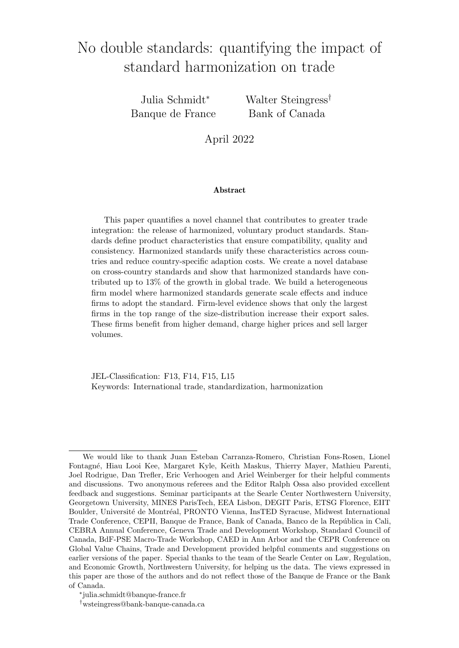# No double standards: quantifying the impact of standard harmonization on trade

Julia Schmidt<sup>∗</sup> Banque de France Walter Steingress<sup>†</sup> Bank of Canada

April 2022

#### Abstract

This paper quantifies a novel channel that contributes to greater trade integration: the release of harmonized, voluntary product standards. Standards define product characteristics that ensure compatibility, quality and consistency. Harmonized standards unify these characteristics across countries and reduce country-specific adaption costs. We create a novel database on cross-country standards and show that harmonized standards have contributed up to 13% of the growth in global trade. We build a heterogeneous firm model where harmonized standards generate scale effects and induce firms to adopt the standard. Firm-level evidence shows that only the largest firms in the top range of the size-distribution increase their export sales. These firms benefit from higher demand, charge higher prices and sell larger volumes.

JEL-Classification: F13, F14, F15, L15 Keywords: International trade, standardization, harmonization

We would like to thank Juan Esteban Carranza-Romero, Christian Fons-Rosen, Lionel Fontagn´e, Hiau Looi Kee, Margaret Kyle, Keith Maskus, Thierry Mayer, Mathieu Parenti, Joel Rodrigue, Dan Trefler, Eric Verhoogen and Ariel Weinberger for their helpful comments and discussions. Two anonymous referees and the Editor Ralph Ossa also provided excellent feedback and suggestions. Seminar participants at the Searle Center Northwestern University, Georgetown University, MINES ParisTech, EEA Lisbon, DEGIT Paris, ETSG Florence, EIIT Boulder, Université de Montréal, PRONTO Vienna, InsTED Syracuse, Midwest International Trade Conference, CEPII, Banque de France, Bank of Canada, Banco de la República in Cali, CEBRA Annual Conference, Geneva Trade and Development Workshop, Standard Council of Canada, BdF-PSE Macro-Trade Workshop, CAED in Ann Arbor and the CEPR Conference on Global Value Chains, Trade and Development provided helpful comments and suggestions on earlier versions of the paper. Special thanks to the team of the Searle Center on Law, Regulation, and Economic Growth, Northwestern University, for helping us the data. The views expressed in this paper are those of the authors and do not reflect those of the Banque de France or the Bank of Canada.

<sup>∗</sup> julia.schmidt@banque-france.fr

<sup>†</sup>wsteingress@bank-banque-canada.ca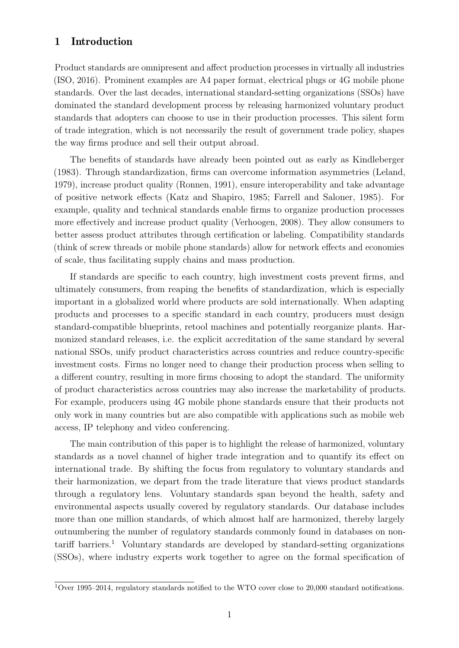# 1 Introduction

Product standards are omnipresent and affect production processes in virtually all industries [\(ISO,](#page-39-0) [2016\)](#page-39-0). Prominent examples are A4 paper format, electrical plugs or 4G mobile phone standards. Over the last decades, international standard-setting organizations (SSOs) have dominated the standard development process by releasing harmonized voluntary product standards that adopters can choose to use in their production processes. This silent form of trade integration, which is not necessarily the result of government trade policy, shapes the way firms produce and sell their output abroad.

The benefits of standards have already been pointed out as early as [Kindleberger](#page-39-1) [\(1983\)](#page-39-1). Through standardization, firms can overcome information asymmetries [\(Leland,](#page-39-2) [1979\)](#page-39-2), increase product quality [\(Ronnen,](#page-40-0) [1991\)](#page-40-0), ensure interoperability and take advantage of positive network effects [\(Katz and Shapiro,](#page-39-3) [1985;](#page-39-3) [Farrell and Saloner,](#page-38-0) [1985\)](#page-38-0). For example, quality and technical standards enable firms to organize production processes more effectively and increase product quality [\(Verhoogen,](#page-41-0) [2008\)](#page-41-0). They allow consumers to better assess product attributes through certification or labeling. Compatibility standards (think of screw threads or mobile phone standards) allow for network effects and economies of scale, thus facilitating supply chains and mass production.

If standards are specific to each country, high investment costs prevent firms, and ultimately consumers, from reaping the benefits of standardization, which is especially important in a globalized world where products are sold internationally. When adapting products and processes to a specific standard in each country, producers must design standard-compatible blueprints, retool machines and potentially reorganize plants. Harmonized standard releases, i.e. the explicit accreditation of the same standard by several national SSOs, unify product characteristics across countries and reduce country-specific investment costs. Firms no longer need to change their production process when selling to a different country, resulting in more firms choosing to adopt the standard. The uniformity of product characteristics across countries may also increase the marketability of products. For example, producers using 4G mobile phone standards ensure that their products not only work in many countries but are also compatible with applications such as mobile web access, IP telephony and video conferencing.

The main contribution of this paper is to highlight the release of harmonized, voluntary standards as a novel channel of higher trade integration and to quantify its effect on international trade. By shifting the focus from regulatory to voluntary standards and their harmonization, we depart from the trade literature that views product standards through a regulatory lens. Voluntary standards span beyond the health, safety and environmental aspects usually covered by regulatory standards. Our database includes more than one million standards, of which almost half are harmonized, thereby largely outnumbering the number of regulatory standards commonly found in databases on non-tariff barriers.<sup>[1](#page-1-0)</sup> Voluntary standards are developed by standard-setting organizations (SSOs), where industry experts work together to agree on the formal specification of

<span id="page-1-0"></span> $\frac{1}{1}$ Over 1995–2014, regulatory standards notified to the WTO cover close to 20,000 standard notifications.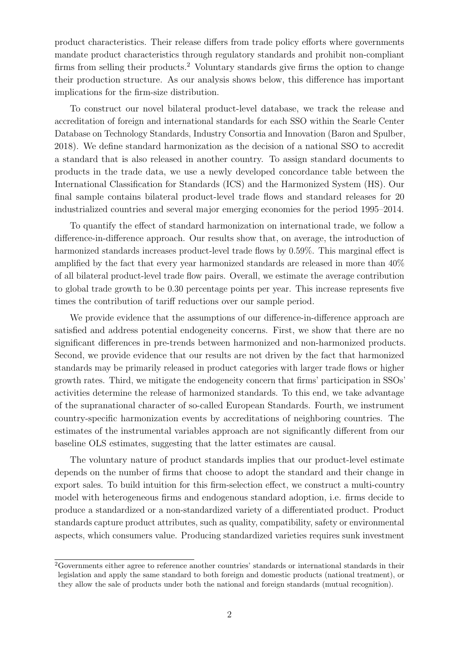product characteristics. Their release differs from trade policy efforts where governments mandate product characteristics through regulatory standards and prohibit non-compliant firms from selling their products.[2](#page-2-0) Voluntary standards give firms the option to change their production structure. As our analysis shows below, this difference has important implications for the firm-size distribution.

To construct our novel bilateral product-level database, we track the release and accreditation of foreign and international standards for each SSO within the Searle Center Database on Technology Standards, Industry Consortia and Innovation [\(Baron and Spulber,](#page-37-0) [2018\)](#page-37-0). We define standard harmonization as the decision of a national SSO to accredit a standard that is also released in another country. To assign standard documents to products in the trade data, we use a newly developed concordance table between the International Classification for Standards (ICS) and the Harmonized System (HS). Our final sample contains bilateral product-level trade flows and standard releases for 20 industrialized countries and several major emerging economies for the period 1995–2014.

To quantify the effect of standard harmonization on international trade, we follow a difference-in-difference approach. Our results show that, on average, the introduction of harmonized standards increases product-level trade flows by 0.59%. This marginal effect is amplified by the fact that every year harmonized standards are released in more than 40% of all bilateral product-level trade flow pairs. Overall, we estimate the average contribution to global trade growth to be 0.30 percentage points per year. This increase represents five times the contribution of tariff reductions over our sample period.

We provide evidence that the assumptions of our difference-in-difference approach are satisfied and address potential endogeneity concerns. First, we show that there are no significant differences in pre-trends between harmonized and non-harmonized products. Second, we provide evidence that our results are not driven by the fact that harmonized standards may be primarily released in product categories with larger trade flows or higher growth rates. Third, we mitigate the endogeneity concern that firms' participation in SSOs' activities determine the release of harmonized standards. To this end, we take advantage of the supranational character of so-called European Standards. Fourth, we instrument country-specific harmonization events by accreditations of neighboring countries. The estimates of the instrumental variables approach are not significantly different from our baseline OLS estimates, suggesting that the latter estimates are causal.

The voluntary nature of product standards implies that our product-level estimate depends on the number of firms that choose to adopt the standard and their change in export sales. To build intuition for this firm-selection effect, we construct a multi-country model with heterogeneous firms and endogenous standard adoption, i.e. firms decide to produce a standardized or a non-standardized variety of a differentiated product. Product standards capture product attributes, such as quality, compatibility, safety or environmental aspects, which consumers value. Producing standardized varieties requires sunk investment

<span id="page-2-0"></span><sup>2</sup>Governments either agree to reference another countries' standards or international standards in their legislation and apply the same standard to both foreign and domestic products (national treatment), or they allow the sale of products under both the national and foreign standards (mutual recognition).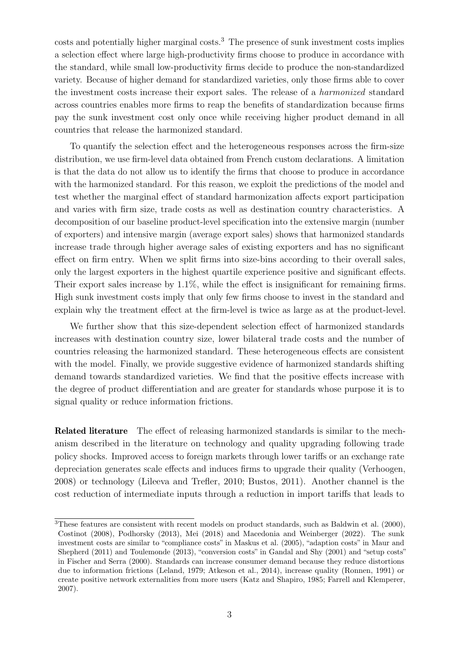costs and potentially higher marginal costs.<sup>[3](#page-3-0)</sup> The presence of sunk investment costs implies a selection effect where large high-productivity firms choose to produce in accordance with the standard, while small low-productivity firms decide to produce the non-standardized variety. Because of higher demand for standardized varieties, only those firms able to cover the investment costs increase their export sales. The release of a harmonized standard across countries enables more firms to reap the benefits of standardization because firms pay the sunk investment cost only once while receiving higher product demand in all countries that release the harmonized standard.

To quantify the selection effect and the heterogeneous responses across the firm-size distribution, we use firm-level data obtained from French custom declarations. A limitation is that the data do not allow us to identify the firms that choose to produce in accordance with the harmonized standard. For this reason, we exploit the predictions of the model and test whether the marginal effect of standard harmonization affects export participation and varies with firm size, trade costs as well as destination country characteristics. A decomposition of our baseline product-level specification into the extensive margin (number of exporters) and intensive margin (average export sales) shows that harmonized standards increase trade through higher average sales of existing exporters and has no significant effect on firm entry. When we split firms into size-bins according to their overall sales, only the largest exporters in the highest quartile experience positive and significant effects. Their export sales increase by 1.1%, while the effect is insignificant for remaining firms. High sunk investment costs imply that only few firms choose to invest in the standard and explain why the treatment effect at the firm-level is twice as large as at the product-level.

We further show that this size-dependent selection effect of harmonized standards increases with destination country size, lower bilateral trade costs and the number of countries releasing the harmonized standard. These heterogeneous effects are consistent with the model. Finally, we provide suggestive evidence of harmonized standards shifting demand towards standardized varieties. We find that the positive effects increase with the degree of product differentiation and are greater for standards whose purpose it is to signal quality or reduce information frictions.

Related literature The effect of releasing harmonized standards is similar to the mechanism described in the literature on technology and quality upgrading following trade policy shocks. Improved access to foreign markets through lower tariffs or an exchange rate depreciation generates scale effects and induces firms to upgrade their quality [\(Verhoogen,](#page-41-0) [2008\)](#page-41-0) or technology [\(Lileeva and Trefler,](#page-39-4) [2010;](#page-39-4) [Bustos,](#page-37-1) [2011\)](#page-37-1). Another channel is the cost reduction of intermediate inputs through a reduction in import tariffs that leads to

<span id="page-3-0"></span><sup>3</sup>These features are consistent with recent models on product standards, such as [Baldwin et al.](#page-37-2) [\(2000\)](#page-37-2), [Costinot](#page-38-1) [\(2008\)](#page-38-1), [Podhorsky](#page-40-1) [\(2013\)](#page-40-1), [Mei](#page-40-2) [\(2018\)](#page-40-2) and [Macedonia and Weinberger](#page-39-5) [\(2022\)](#page-39-5). The sunk investment costs are similar to "compliance costs" in [Maskus et al.](#page-39-6) [\(2005\)](#page-39-6), "adaption costs" in [Maur and](#page-39-7) [Shepherd](#page-39-7) [\(2011\)](#page-39-7) and [Toulemonde](#page-40-3) [\(2013\)](#page-40-3), "conversion costs" in [Gandal and Shy](#page-38-2) [\(2001\)](#page-38-2) and "setup costs" in [Fischer and Serra](#page-38-3) [\(2000\)](#page-38-3). Standards can increase consumer demand because they reduce distortions due to information frictions [\(Leland,](#page-39-2) [1979;](#page-39-2) [Atkeson et al.,](#page-37-3) [2014\)](#page-37-3), increase quality [\(Ronnen,](#page-40-0) [1991\)](#page-40-0) or create positive network externalities from more users [\(Katz and Shapiro,](#page-39-3) [1985;](#page-39-3) [Farrell and Klemperer,](#page-38-4) [2007\)](#page-38-4).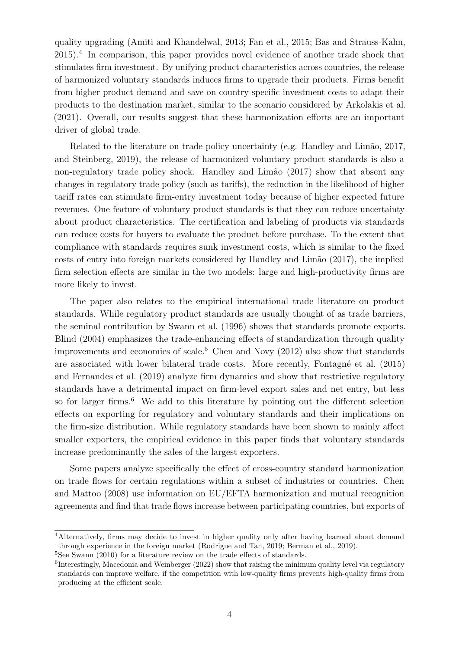quality upgrading [\(Amiti and Khandelwal,](#page-37-4) [2013;](#page-37-4) [Fan et al.,](#page-38-5) [2015;](#page-38-5) [Bas and Strauss-Kahn,](#page-37-5) [2015\)](#page-37-5).[4](#page-4-0) In comparison, this paper provides novel evidence of another trade shock that stimulates firm investment. By unifying product characteristics across countries, the release of harmonized voluntary standards induces firms to upgrade their products. Firms benefit from higher product demand and save on country-specific investment costs to adapt their products to the destination market, similar to the scenario considered by [Arkolakis et al.](#page-37-6) [\(2021\)](#page-37-6). Overall, our results suggest that these harmonization efforts are an important driver of global trade.

Related to the literature on trade policy uncertainty (e.g. Handley and Limão, [2017,](#page-38-6) and [Steinberg,](#page-40-4) [2019\)](#page-40-4), the release of harmonized voluntary product standards is also a non-regulatory trade policy shock. Handley and Limão [\(2017\)](#page-38-6) show that absent any changes in regulatory trade policy (such as tariffs), the reduction in the likelihood of higher tariff rates can stimulate firm-entry investment today because of higher expected future revenues. One feature of voluntary product standards is that they can reduce uncertainty about product characteristics. The certification and labeling of products via standards can reduce costs for buyers to evaluate the product before purchase. To the extent that compliance with standards requires sunk investment costs, which is similar to the fixed costs of entry into foreign markets considered by [Handley and Lim˜ao](#page-38-6) [\(2017\)](#page-38-6), the implied firm selection effects are similar in the two models: large and high-productivity firms are more likely to invest.

The paper also relates to the empirical international trade literature on product standards. While regulatory product standards are usually thought of as trade barriers, the seminal contribution by [Swann et al.](#page-40-5) [\(1996\)](#page-40-5) shows that standards promote exports. [Blind](#page-37-7) [\(2004\)](#page-37-7) emphasizes the trade-enhancing effects of standardization through quality improvements and economies of scale.<sup>[5](#page-4-1)</sup> [Chen and Novy](#page-38-7)  $(2012)$  also show that standards are associated with lower bilateral trade costs. More recently, Fontagné et al. [\(2015\)](#page-38-8) and [Fernandes et al.](#page-38-9) [\(2019\)](#page-38-9) analyze firm dynamics and show that restrictive regulatory standards have a detrimental impact on firm-level export sales and net entry, but less so for larger firms.<sup>[6](#page-4-2)</sup> We add to this literature by pointing out the different selection effects on exporting for regulatory and voluntary standards and their implications on the firm-size distribution. While regulatory standards have been shown to mainly affect smaller exporters, the empirical evidence in this paper finds that voluntary standards increase predominantly the sales of the largest exporters.

Some papers analyze specifically the effect of cross-country standard harmonization on trade flows for certain regulations within a subset of industries or countries. [Chen](#page-37-8) [and Mattoo](#page-37-8) [\(2008\)](#page-37-8) use information on EU/EFTA harmonization and mutual recognition agreements and find that trade flows increase between participating countries, but exports of

<span id="page-4-0"></span><sup>&</sup>lt;sup>4</sup>Alternatively, firms may decide to invest in higher quality only after having learned about demand through experience in the foreign market [\(Rodrigue and Tan,](#page-40-6) [2019;](#page-40-6) [Berman et al.,](#page-37-9) [2019\)](#page-37-9).

<span id="page-4-1"></span><sup>&</sup>lt;sup>5</sup>See [Swann](#page-40-7) [\(2010\)](#page-40-7) for a literature review on the trade effects of standards.

<span id="page-4-2"></span> ${}^{6}$ Interestingly, [Macedonia and Weinberger](#page-39-5) [\(2022\)](#page-39-5) show that raising the minimum quality level via regulatory standards can improve welfare, if the competition with low-quality firms prevents high-quality firms from producing at the efficient scale.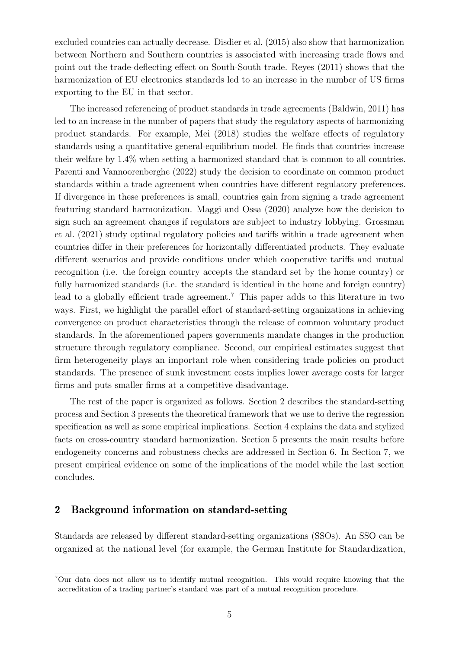excluded countries can actually decrease. [Disdier et al.](#page-38-10) [\(2015\)](#page-38-10) also show that harmonization between Northern and Southern countries is associated with increasing trade flows and point out the trade-deflecting effect on South-South trade. [Reyes](#page-40-8) [\(2011\)](#page-40-8) shows that the harmonization of EU electronics standards led to an increase in the number of US firms exporting to the EU in that sector.

The increased referencing of product standards in trade agreements [\(Baldwin,](#page-37-10) [2011\)](#page-37-10) has led to an increase in the number of papers that study the regulatory aspects of harmonizing product standards. For example, [Mei](#page-40-2) [\(2018\)](#page-40-2) studies the welfare effects of regulatory standards using a quantitative general-equilibrium model. He finds that countries increase their welfare by 1.4% when setting a harmonized standard that is common to all countries. [Parenti and Vannoorenberghe](#page-40-9) [\(2022\)](#page-40-9) study the decision to coordinate on common product standards within a trade agreement when countries have different regulatory preferences. If divergence in these preferences is small, countries gain from signing a trade agreement featuring standard harmonization. [Maggi and Ossa](#page-39-8) [\(2020\)](#page-39-8) analyze how the decision to sign such an agreement changes if regulators are subject to industry lobbying. [Grossman](#page-38-11) [et al.](#page-38-11) [\(2021\)](#page-38-11) study optimal regulatory policies and tariffs within a trade agreement when countries differ in their preferences for horizontally differentiated products. They evaluate different scenarios and provide conditions under which cooperative tariffs and mutual recognition (i.e. the foreign country accepts the standard set by the home country) or fully harmonized standards (i.e. the standard is identical in the home and foreign country) lead to a globally efficient trade agreement.<sup>[7](#page-5-0)</sup> This paper adds to this literature in two ways. First, we highlight the parallel effort of standard-setting organizations in achieving convergence on product characteristics through the release of common voluntary product standards. In the aforementioned papers governments mandate changes in the production structure through regulatory compliance. Second, our empirical estimates suggest that firm heterogeneity plays an important role when considering trade policies on product standards. The presence of sunk investment costs implies lower average costs for larger firms and puts smaller firms at a competitive disadvantage.

The rest of the paper is organized as follows. Section [2](#page-5-1) describes the standard-setting process and Section [3](#page-8-0) presents the theoretical framework that we use to derive the regression specification as well as some empirical implications. Section [4](#page-14-0) explains the data and stylized facts on cross-country standard harmonization. Section [5](#page-16-0) presents the main results before endogeneity concerns and robustness checks are addressed in Section [6.](#page-22-0) In Section [7,](#page-28-0) we present empirical evidence on some of the implications of the model while the last section concludes.

# <span id="page-5-1"></span>2 Background information on standard-setting

Standards are released by different standard-setting organizations (SSOs). An SSO can be organized at the national level (for example, the German Institute for Standardization,

<span id="page-5-0"></span><sup>7</sup>Our data does not allow us to identify mutual recognition. This would require knowing that the accreditation of a trading partner's standard was part of a mutual recognition procedure.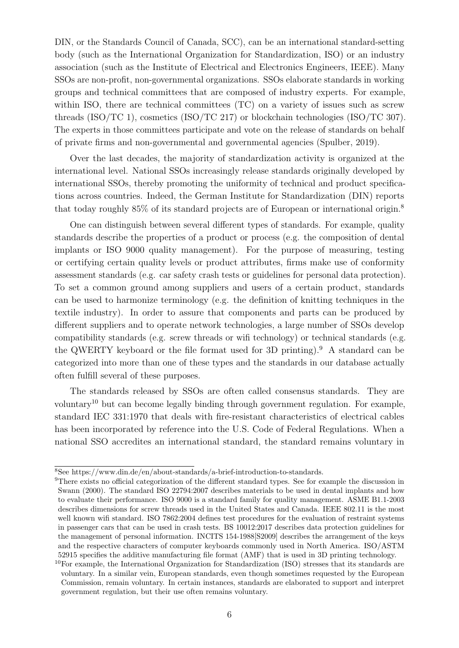DIN, or the Standards Council of Canada, SCC), can be an international standard-setting body (such as the International Organization for Standardization, ISO) or an industry association (such as the Institute of Electrical and Electronics Engineers, IEEE). Many SSOs are non-profit, non-governmental organizations. SSOs elaborate standards in working groups and technical committees that are composed of industry experts. For example, within ISO, there are technical committees (TC) on a variety of issues such as screw threads (ISO/TC 1), cosmetics (ISO/TC 217) or blockchain technologies (ISO/TC 307). The experts in those committees participate and vote on the release of standards on behalf of private firms and non-governmental and governmental agencies [\(Spulber,](#page-40-10) [2019\)](#page-40-10).

Over the last decades, the majority of standardization activity is organized at the international level. National SSOs increasingly release standards originally developed by international SSOs, thereby promoting the uniformity of technical and product specifications across countries. Indeed, the German Institute for Standardization (DIN) reports that today roughly 85% of its standard projects are of European or international origin.[8](#page-6-0)

One can distinguish between several different types of standards. For example, quality standards describe the properties of a product or process (e.g. the composition of dental implants or ISO 9000 quality management). For the purpose of measuring, testing or certifying certain quality levels or product attributes, firms make use of conformity assessment standards (e.g. car safety crash tests or guidelines for personal data protection). To set a common ground among suppliers and users of a certain product, standards can be used to harmonize terminology (e.g. the definition of knitting techniques in the textile industry). In order to assure that components and parts can be produced by different suppliers and to operate network technologies, a large number of SSOs develop compatibility standards (e.g. screw threads or wifi technology) or technical standards (e.g. the QWERTY keyboard or the file format used for 3D printing).<sup>[9](#page-6-1)</sup> A standard can be categorized into more than one of these types and the standards in our database actually often fulfill several of these purposes.

The standards released by SSOs are often called consensus standards. They are voluntary[10](#page-6-2) but can become legally binding through government regulation. For example, standard IEC 331:1970 that deals with fire-resistant characteristics of electrical cables has been incorporated by reference into the U.S. Code of Federal Regulations. When a national SSO accredites an international standard, the standard remains voluntary in

<span id="page-6-0"></span> $^8{\rm See}$ [https://www.din.de/en/about-standards/a-brief-introduction-to-standards.](https://www.din.de/en/about-standards/a-brief-introduction-to-standards)

<span id="page-6-1"></span><sup>9</sup>There exists no official categorization of the different standard types. See for example the discussion in [Swann](#page-40-11) [\(2000\)](#page-40-11). The standard ISO 22794:2007 describes materials to be used in dental implants and how to evaluate their performance. ISO 9000 is a standard family for quality management. ASME B1.1-2003 describes dimensions for screw threads used in the United States and Canada. IEEE 802.11 is the most well known wifi standard. ISO 7862:2004 defines test procedures for the evaluation of restraint systems in passenger cars that can be used in crash tests. BS 10012:2017 describes data protection guidelines for the management of personal information. INCITS 154-1988[S2009] describes the arrangement of the keys and the respective characters of computer keyboards commonly used in North America. ISO/ASTM 52915 specifies the additive manufacturing file format (AMF) that is used in 3D printing technology.

<span id="page-6-2"></span><sup>10</sup>For example, the International Organization for Standardization (ISO) stresses that its standards are voluntary. In a similar vein, European standards, even though sometimes requested by the European Commission, remain voluntary. In certain instances, standards are elaborated to support and interpret government regulation, but their use often remains voluntary.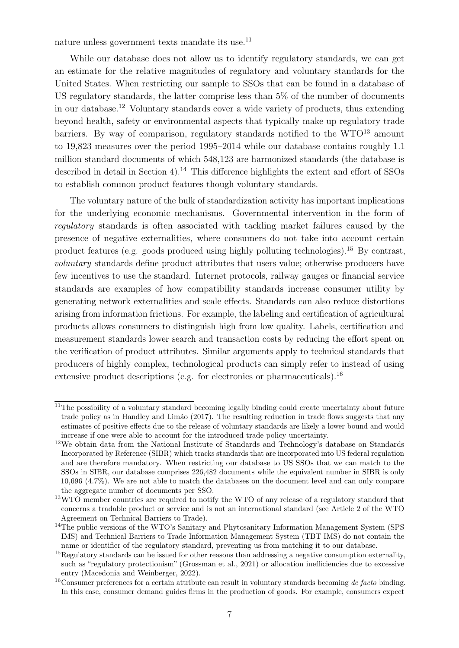nature unless government texts mandate its use.<sup>[11](#page-7-0)</sup>

While our database does not allow us to identify regulatory standards, we can get an estimate for the relative magnitudes of regulatory and voluntary standards for the United States. When restricting our sample to SSOs that can be found in a database of US regulatory standards, the latter comprise less than 5% of the number of documents in our database.[12](#page-7-1) Voluntary standards cover a wide variety of products, thus extending beyond health, safety or environmental aspects that typically make up regulatory trade barriers. By way of comparison, regulatory standards notified to the WTO<sup>[13](#page-7-2)</sup> amount to 19,823 measures over the period 1995–2014 while our database contains roughly 1.1 million standard documents of which 548,123 are harmonized standards (the database is described in detail in Section [4\)](#page-14-0).<sup>[14](#page-7-3)</sup> This difference highlights the extent and effort of SSOs to establish common product features though voluntary standards.

The voluntary nature of the bulk of standardization activity has important implications for the underlying economic mechanisms. Governmental intervention in the form of regulatory standards is often associated with tackling market failures caused by the presence of negative externalities, where consumers do not take into account certain product features (e.g. goods produced using highly polluting technologies).[15](#page-7-4) By contrast, voluntary standards define product attributes that users value; otherwise producers have few incentives to use the standard. Internet protocols, railway gauges or financial service standards are examples of how compatibility standards increase consumer utility by generating network externalities and scale effects. Standards can also reduce distortions arising from information frictions. For example, the labeling and certification of agricultural products allows consumers to distinguish high from low quality. Labels, certification and measurement standards lower search and transaction costs by reducing the effort spent on the verification of product attributes. Similar arguments apply to technical standards that producers of highly complex, technological products can simply refer to instead of using extensive product descriptions (e.g. for electronics or pharmaceuticals).<sup>[16](#page-7-5)</sup>

<span id="page-7-0"></span> $11$ The possibility of a voluntary standard becoming legally binding could create uncertainty about future trade policy as in Handley and Limão [\(2017\)](#page-38-6). The resulting reduction in trade flows suggests that any estimates of positive effects due to the release of voluntary standards are likely a lower bound and would increase if one were able to account for the introduced trade policy uncertainty.

<span id="page-7-1"></span><sup>12</sup>We obtain data from the National Institute of Standards and Technology's database on Standards Incorporated by Reference (SIBR) which tracks standards that are incorporated into US federal regulation and are therefore mandatory. When restricting our database to US SSOs that we can match to the SSOs in SIBR, our database comprises 226,482 documents while the equivalent number in SIBR is only 10,696 (4.7%). We are not able to match the databases on the document level and can only compare the aggregate number of documents per SSO.

<span id="page-7-2"></span> $13$ WTO member countries are required to notify the WTO of any release of a regulatory standard that concerns a tradable product or service and is not an international standard (see Article 2 of the WTO Agreement on Technical Barriers to Trade).

<span id="page-7-3"></span><sup>&</sup>lt;sup>14</sup>The public versions of the WTO's Sanitary and Phytosanitary Information Management System (SPS IMS) and Technical Barriers to Trade Information Management System (TBT IMS) do not contain the name or identifier of the regulatory standard, preventing us from matching it to our database.

<span id="page-7-4"></span><sup>&</sup>lt;sup>15</sup>Regulatory standards can be issued for other reasons than addressing a negative consumption externality, such as "regulatory protectionism" [\(Grossman et al.,](#page-38-11) [2021\)](#page-38-11) or allocation inefficiencies due to excessive entry [\(Macedonia and Weinberger,](#page-39-5) [2022\)](#page-39-5).

<span id="page-7-5"></span> $16$ Consumer preferences for a certain attribute can result in voluntary standards becoming de facto binding. In this case, consumer demand guides firms in the production of goods. For example, consumers expect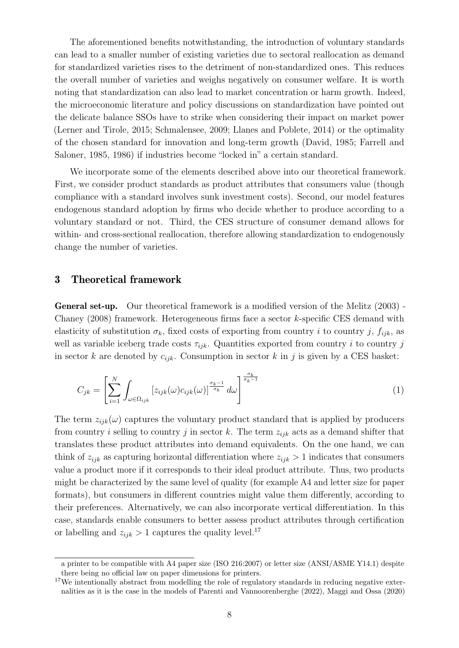The aforementioned benefits notwithstanding, the introduction of voluntary standards can lead to a smaller number of existing varieties due to sectoral reallocation as demand for standardized varieties rises to the detriment of non-standardized ones. This reduces the overall number of varieties and weighs negatively on consumer welfare. It is worth noting that standardization can also lead to market concentration or harm growth. Indeed, the microeconomic literature and policy discussions on standardization have pointed out the delicate balance SSOs have to strike when considering their impact on market power [\(Lerner and Tirole,](#page-39-9) [2015;](#page-39-9) [Schmalensee,](#page-40-12) [2009;](#page-40-12) [Llanes and Poblete,](#page-39-10) [2014\)](#page-39-10) or the optimality of the chosen standard for innovation and long-term growth [\(David,](#page-38-12) [1985;](#page-38-12) [Farrell and](#page-38-0) [Saloner,](#page-38-0) [1985,](#page-38-0) [1986\)](#page-38-13) if industries become "locked in" a certain standard.

We incorporate some of the elements described above into our theoretical framework. First, we consider product standards as product attributes that consumers value (though compliance with a standard involves sunk investment costs). Second, our model features endogenous standard adoption by firms who decide whether to produce according to a voluntary standard or not. Third, the CES structure of consumer demand allows for within- and cross-sectional reallocation, therefore allowing standardization to endogenously change the number of varieties.

## <span id="page-8-0"></span>3 Theoretical framework

General set-up. Our theoretical framework is a modified version of the [Melitz](#page-40-13) [\(2003\)](#page-40-13) - [Chaney](#page-37-11) [\(2008\)](#page-37-11) framework. Heterogeneous firms face a sector k-specific CES demand with elasticity of substitution  $\sigma_k$ , fixed costs of exporting from country i to country j,  $f_{ijk}$ , as well as variable iceberg trade costs  $\tau_{ijk}$ . Quantities exported from country i to country j in sector k are denoted by  $c_{ijk}$ . Consumption in sector k in j is given by a CES basket:

$$
C_{jk} = \left[\sum_{i=1}^{N} \int_{\omega \in \Omega_{ijk}} \left[z_{ijk}(\omega)c_{ijk}(\omega)\right]^{\frac{\sigma_k - 1}{\sigma_k}} d\omega\right]^{\frac{\sigma_k}{\sigma_k - 1}}
$$
(1)

The term  $z_{ijk}(\omega)$  captures the voluntary product standard that is applied by producers from country i selling to country j in sector k. The term  $z_{ijk}$  acts as a demand shifter that translates these product attributes into demand equivalents. On the one hand, we can think of  $z_{ijk}$  as capturing horizontal differentiation where  $z_{ijk} > 1$  indicates that consumers value a product more if it corresponds to their ideal product attribute. Thus, two products might be characterized by the same level of quality (for example A4 and letter size for paper formats), but consumers in different countries might value them differently, according to their preferences. Alternatively, we can also incorporate vertical differentiation. In this case, standards enable consumers to better assess product attributes through certification or labelling and  $z_{ijk} > 1$  captures the quality level.<sup>[17](#page-8-1)</sup>

a printer to be compatible with A4 paper size (ISO 216:2007) or letter size (ANSI/ASME Y14.1) despite there being no official law on paper dimensions for printers.

<span id="page-8-1"></span><sup>&</sup>lt;sup>17</sup>We intentionally abstract from modelling the role of regulatory standards in reducing negative externalities as it is the case in the models of [Parenti and Vannoorenberghe](#page-40-9) [\(2022\)](#page-40-9), [Maggi and Ossa](#page-39-8) [\(2020\)](#page-39-8)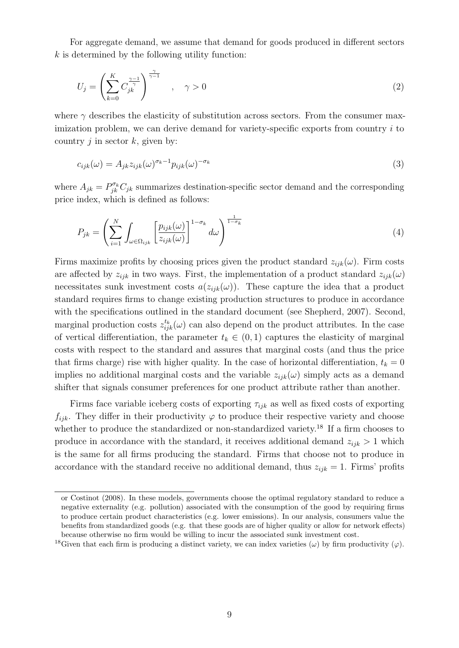For aggregate demand, we assume that demand for goods produced in different sectors  $k$  is determined by the following utility function:

$$
U_j = \left(\sum_{k=0}^K C_{jk}^{\frac{\gamma - 1}{\gamma}}\right)^{\frac{\gamma}{\gamma - 1}}, \quad \gamma > 0
$$
\n
$$
(2)
$$

where  $\gamma$  describes the elasticity of substitution across sectors. From the consumer maximization problem, we can derive demand for variety-specific exports from country  $i$  to country  $i$  in sector  $k$ , given by:

$$
c_{ijk}(\omega) = A_{jk} z_{ijk}(\omega)^{\sigma_k - 1} p_{ijk}(\omega)^{-\sigma_k}
$$
\n(3)

where  $A_{jk} = P_{jk}^{\sigma_k} C_{jk}$  summarizes destination-specific sector demand and the corresponding price index, which is defined as follows:

$$
P_{jk} = \left(\sum_{i=1}^{N} \int_{\omega \in \Omega_{ijk}} \left[\frac{p_{ijk}(\omega)}{z_{ijk}(\omega)}\right]^{1-\sigma_k} d\omega\right)^{\frac{1}{1-\sigma_k}}
$$
(4)

Firms maximize profits by choosing prices given the product standard  $z_{ijk}(\omega)$ . Firm costs are affected by  $z_{ijk}$  in two ways. First, the implementation of a product standard  $z_{ijk}(\omega)$ necessitates sunk investment costs  $a(z_{ijk}(\omega))$ . These capture the idea that a product standard requires firms to change existing production structures to produce in accordance with the specifications outlined in the standard document (see [Shepherd,](#page-40-14) [2007\)](#page-40-14). Second, marginal production costs  $z_{ijk}^{t_k}(\omega)$  can also depend on the product attributes. In the case of vertical differentiation, the parameter  $t_k \in (0,1)$  captures the elasticity of marginal costs with respect to the standard and assures that marginal costs (and thus the price that firms charge) rise with higher quality. In the case of horizontal differentiation,  $t_k = 0$ implies no additional marginal costs and the variable  $z_{ijk}(\omega)$  simply acts as a demand shifter that signals consumer preferences for one product attribute rather than another.

Firms face variable iceberg costs of exporting  $\tau_{ijk}$  as well as fixed costs of exporting  $f_{ijk}$ . They differ in their productivity  $\varphi$  to produce their respective variety and choose whether to produce the standardized or non-standardized variety.<sup>[18](#page-9-0)</sup> If a firm chooses to produce in accordance with the standard, it receives additional demand  $z_{ijk} > 1$  which is the same for all firms producing the standard. Firms that choose not to produce in accordance with the standard receive no additional demand, thus  $z_{ijk} = 1$ . Firms' profits

or [Costinot](#page-38-1) [\(2008\)](#page-38-1). In these models, governments choose the optimal regulatory standard to reduce a negative externality (e.g. pollution) associated with the consumption of the good by requiring firms to produce certain product characteristics (e.g. lower emissions). In our analysis, consumers value the benefits from standardized goods (e.g. that these goods are of higher quality or allow for network effects) because otherwise no firm would be willing to incur the associated sunk investment cost.

<span id="page-9-0"></span><sup>&</sup>lt;sup>18</sup>Given that each firm is producing a distinct variety, we can index varieties (ω) by firm productivity ( $\varphi$ ).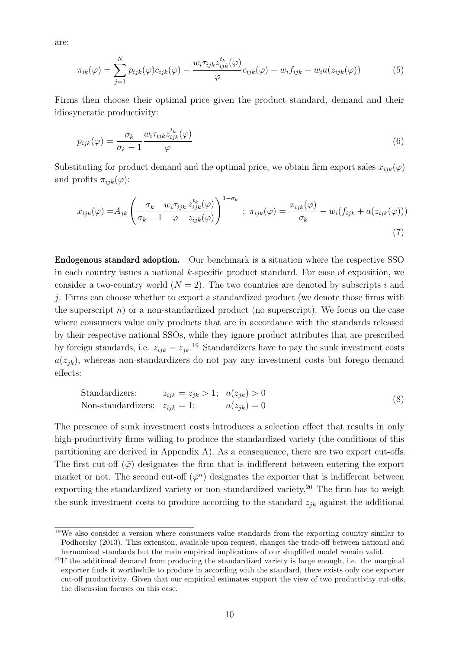are:

$$
\pi_{ik}(\varphi) = \sum_{j=1}^{N} p_{ijk}(\varphi) c_{ijk}(\varphi) - \frac{w_i \tau_{ijk} z_{ijk}^{t_k}(\varphi)}{\varphi} c_{ijk}(\varphi) - w_i f_{ijk} - w_i a(z_{ijk}(\varphi))
$$
(5)

Firms then choose their optimal price given the product standard, demand and their idiosyncratic productivity:

$$
p_{ijk}(\varphi) = \frac{\sigma_k}{\sigma_k - 1} \frac{w_i \tau_{ijk} z_{ijk}^{t_k}(\varphi)}{\varphi} \tag{6}
$$

Substituting for product demand and the optimal price, we obtain firm export sales  $x_{ijk}(\varphi)$ and profits  $\pi_{ijk}(\varphi)$ :

$$
x_{ijk}(\varphi) = A_{jk} \left( \frac{\sigma_k}{\sigma_k - 1} \frac{w_i \tau_{ijk}}{\varphi} \frac{z_{ijk}^{t_k}(\varphi)}{z_{ijk}(\varphi)} \right)^{1 - \sigma_k} ; \ \pi_{ijk}(\varphi) = \frac{x_{ijk}(\varphi)}{\sigma_k} - w_i (f_{ijk} + a(z_{ijk}(\varphi)))
$$
\n(7)

Endogenous standard adoption. Our benchmark is a situation where the respective SSO in each country issues a national  $k$ -specific product standard. For ease of exposition, we consider a two-country world  $(N = 2)$ . The two countries are denoted by subscripts i and j. Firms can choose whether to export a standardized product (we denote those firms with the superscript  $n$ ) or a non-standardized product (no superscript). We focus on the case where consumers value only products that are in accordance with the standards released by their respective national SSOs, while they ignore product attributes that are prescribed by foreign standards, i.e.  $z_{ijk} = z_{jk}$ <sup>[19](#page-10-0)</sup> Standardizers have to pay the sunk investment costs  $a(z_{ik})$ , whereas non-standardizers do not pay any investment costs but forego demand effects:

Standardizers: 
$$
z_{ijk} = z_{jk} > 1
$$
;  $a(z_{jk}) > 0$   
Non-standardizers:  $z_{ijk} = 1$ ;  $a(z_{jk}) = 0$  (8)

The presence of sunk investment costs introduces a selection effect that results in only high-productivity firms willing to produce the standardized variety (the conditions of this partitioning are derived in Appendix [A\)](#page-42-0). As a consequence, there are two export cut-offs. The first cut-off  $(\bar{\varphi})$  designates the firm that is indifferent between entering the export market or not. The second cut-off  $(\bar{\varphi}^n)$  designates the exporter that is indifferent between exporting the standardized variety or non-standardized variety.<sup>[20](#page-10-1)</sup> The firm has to weigh the sunk investment costs to produce according to the standard  $z_{ik}$  against the additional

<span id="page-10-0"></span><sup>19</sup>We also consider a version where consumers value standards from the exporting country similar to [Podhorsky](#page-40-1) [\(2013\)](#page-40-1). This extension, available upon request, changes the trade-off between national and harmonized standards but the main empirical implications of our simplified model remain valid.

<span id="page-10-1"></span> $20$ If the additional demand from producing the standardized variety is large enough, i.e. the marginal exporter finds it worthwhile to produce in according with the standard, there exists only one exporter cut-off productivity. Given that our empirical estimates support the view of two productivity cut-offs, the discussion focuses on this case.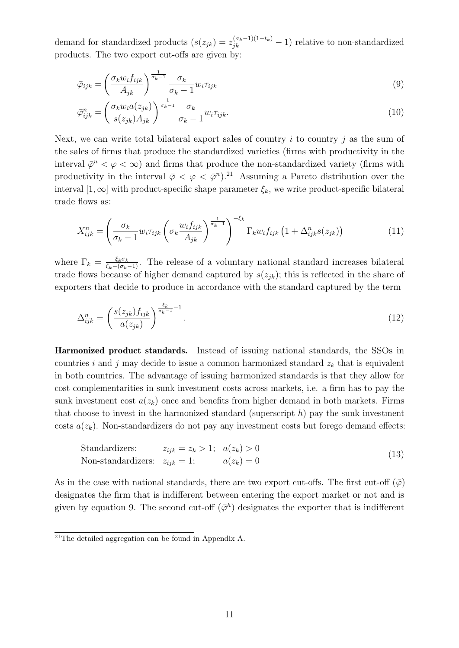demand for standardized products  $(s(z_{jk}) = z_{jk}^{(\sigma_k - 1)(1 - t_k)} - 1)$  relative to non-standardized products. The two export cut-offs are given by:

<span id="page-11-1"></span>
$$
\bar{\varphi}_{ijk} = \left(\frac{\sigma_k w_i f_{ijk}}{A_{jk}}\right)^{\frac{1}{\sigma_k - 1}} \frac{\sigma_k}{\sigma_k - 1} w_i \tau_{ijk} \tag{9}
$$

$$
\bar{\varphi}_{ijk}^{n} = \left(\frac{\sigma_k w_i a(z_{jk})}{s(z_{jk}) A_{jk}}\right)^{\frac{1}{\sigma_k - 1}} \frac{\sigma_k}{\sigma_k - 1} w_i \tau_{ijk}.
$$
\n(10)

Next, we can write total bilateral export sales of country  $i$  to country  $j$  as the sum of the sales of firms that produce the standardized varieties (firms with productivity in the interval  $\bar{\varphi}^n < \varphi < \infty$ ) and firms that produce the non-standardized variety (firms with productivity in the interval  $\bar{\varphi} < \varphi < \bar{\varphi}^n$ .<sup>[21](#page-11-0)</sup> Assuming a Pareto distribution over the interval  $[1,\infty]$  with product-specific shape parameter  $\xi_k$ , we write product-specific bilateral trade flows as:

<span id="page-11-2"></span>
$$
X_{ijk}^{n} = \left(\frac{\sigma_k}{\sigma_k - 1} w_i \tau_{ijk} \left(\sigma_k \frac{w_i f_{ijk}}{A_{jk}}\right)^{\frac{1}{\sigma_k - 1}}\right)^{-\xi_k} \Gamma_k w_i f_{ijk} \left(1 + \Delta_{ijk}^n s(z_{jk})\right)
$$
(11)

where  $\Gamma_k = \frac{\xi_k \sigma_k}{\xi_k - (\sigma_k - 1)}$ . The release of a voluntary national standard increases bilateral trade flows because of higher demand captured by  $s(z_{jk})$ ; this is reflected in the share of exporters that decide to produce in accordance with the standard captured by the term

$$
\Delta_{ijk}^n = \left(\frac{s(z_{jk})f_{ijk}}{a(z_{jk})}\right)^{\frac{\xi_k}{\sigma_k - 1} - 1}.\tag{12}
$$

Harmonized product standards. Instead of issuing national standards, the SSOs in countries i and j may decide to issue a common harmonized standard  $z_k$  that is equivalent in both countries. The advantage of issuing harmonized standards is that they allow for cost complementarities in sunk investment costs across markets, i.e. a firm has to pay the sunk investment cost  $a(z_k)$  once and benefits from higher demand in both markets. Firms that choose to invest in the harmonized standard (superscript  $h$ ) pay the sunk investment costs  $a(z_k)$ . Non-standardizers do not pay any investment costs but forego demand effects:

Standardizers: 
$$
z_{ijk} = z_k > 1
$$
;  $a(z_k) > 0$   
Non-standardizers:  $z_{ijk} = 1$ ;  $a(z_k) = 0$  (13)

As in the case with national standards, there are two export cut-offs. The first cut-off  $(\bar{\varphi})$ designates the firm that is indifferent between entering the export market or not and is given by equation [9.](#page-11-1) The second cut-off  $(\bar{\varphi}^h)$  designates the exporter that is indifferent

<span id="page-11-0"></span> $\overline{^{21}$ The detailed aggregation can be found in Appendix [A.](#page-42-0)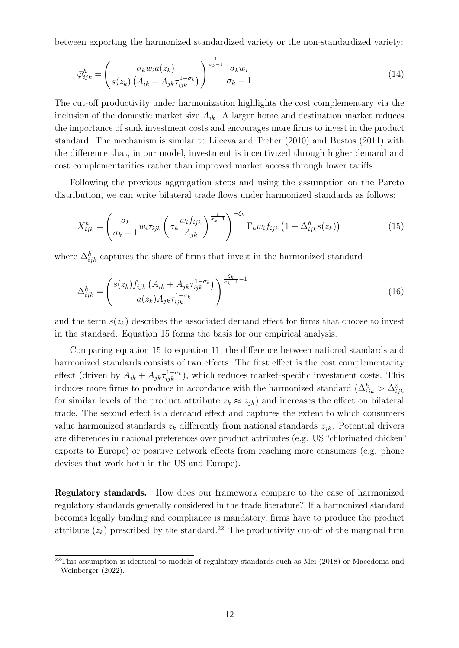between exporting the harmonized standardized variety or the non-standardized variety:

<span id="page-12-3"></span>
$$
\bar{\varphi}_{ijk}^{h} = \left(\frac{\sigma_k w_i a(z_k)}{s(z_k) \left(A_{ik} + A_{jk} \tau_{ijk}^{1 - \sigma_k}\right)}\right)^{\frac{1}{\sigma_k - 1}} \frac{\sigma_k w_i}{\sigma_k - 1} \tag{14}
$$

The cut-off productivity under harmonization highlights the cost complementary via the inclusion of the domestic market size  $A_{ik}$ . A larger home and destination market reduces the importance of sunk investment costs and encourages more firms to invest in the product standard. The mechanism is similar to [Lileeva and Trefler](#page-39-4) [\(2010\)](#page-39-4) and [Bustos](#page-37-1) [\(2011\)](#page-37-1) with the difference that, in our model, investment is incentivized through higher demand and cost complementarities rather than improved market access through lower tariffs.

Following the previous aggregation steps and using the assumption on the Pareto distribution, we can write bilateral trade flows under harmonized standards as follows:

<span id="page-12-0"></span>
$$
X_{ijk}^h = \left(\frac{\sigma_k}{\sigma_k - 1} w_i \tau_{ijk} \left(\sigma_k \frac{w_i f_{ijk}}{A_{jk}}\right)^{\frac{1}{\sigma_k - 1}}\right)^{-\xi_k} \Gamma_k w_i f_{ijk} \left(1 + \Delta_{ijk}^h s(z_k)\right)
$$
(15)

where  $\Delta_{ijk}^h$  captures the share of firms that invest in the harmonized standard

<span id="page-12-2"></span>
$$
\Delta_{ijk}^{h} = \left(\frac{s(z_k)f_{ijk}\left(A_{ik} + A_{jk}\tau_{ijk}^{1-\sigma_k}\right)}{a(z_k)A_{jk}\tau_{ijk}^{1-\sigma_k}}\right)^{\frac{\xi_k}{\sigma_k - 1} - 1} \tag{16}
$$

and the term  $s(z_k)$  describes the associated demand effect for firms that choose to invest in the standard. Equation [15](#page-12-0) forms the basis for our empirical analysis.

Comparing equation [15](#page-12-0) to equation [11,](#page-11-2) the difference between national standards and harmonized standards consists of two effects. The first effect is the cost complementarity effect (driven by  $A_{ik} + A_{jk}\tau_{ijk}^{1-\sigma_k}$ ), which reduces market-specific investment costs. This induces more firms to produce in accordance with the harmonized standard  $(\Delta_{ijk}^h > \Delta_{ijk}^n)$ for similar levels of the product attribute  $z_k \approx z_{jk}$ ) and increases the effect on bilateral trade. The second effect is a demand effect and captures the extent to which consumers value harmonized standards  $z_k$  differently from national standards  $z_{jk}$ . Potential drivers are differences in national preferences over product attributes (e.g. US "chlorinated chicken" exports to Europe) or positive network effects from reaching more consumers (e.g. phone devises that work both in the US and Europe).

Regulatory standards. How does our framework compare to the case of harmonized regulatory standards generally considered in the trade literature? If a harmonized standard becomes legally binding and compliance is mandatory, firms have to produce the product attribute  $(z_k)$  prescribed by the standard.<sup>[22](#page-12-1)</sup> The productivity cut-off of the marginal firm

<span id="page-12-1"></span><sup>&</sup>lt;sup>22</sup>This assumption is identical to models of regulatory standards such as [Mei](#page-40-2)  $(2018)$  or [Macedonia and](#page-39-5) [Weinberger](#page-39-5) [\(2022\)](#page-39-5).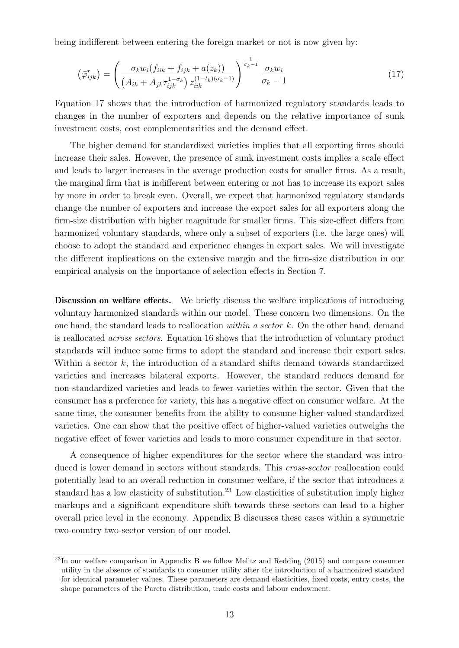being indifferent between entering the foreign market or not is now given by:

<span id="page-13-0"></span>
$$
\left(\bar{\varphi}_{ijk}^{r}\right) = \left(\frac{\sigma_{k}w_{i}(f_{iik} + f_{ijk} + a(z_{k}))}{\left(A_{ik} + A_{jk}\tau_{ijk}^{1-\sigma_{k}}\right)z_{iik}^{(1-t_{k})(\sigma_{k}-1)}}\right)^{\frac{1}{\sigma_{k}-1}}\frac{\sigma_{k}w_{i}}{\sigma_{k}-1}
$$
\n(17)

Equation [17](#page-13-0) shows that the introduction of harmonized regulatory standards leads to changes in the number of exporters and depends on the relative importance of sunk investment costs, cost complementarities and the demand effect.

The higher demand for standardized varieties implies that all exporting firms should increase their sales. However, the presence of sunk investment costs implies a scale effect and leads to larger increases in the average production costs for smaller firms. As a result, the marginal firm that is indifferent between entering or not has to increase its export sales by more in order to break even. Overall, we expect that harmonized regulatory standards change the number of exporters and increase the export sales for all exporters along the firm-size distribution with higher magnitude for smaller firms. This size-effect differs from harmonized voluntary standards, where only a subset of exporters (i.e. the large ones) will choose to adopt the standard and experience changes in export sales. We will investigate the different implications on the extensive margin and the firm-size distribution in our empirical analysis on the importance of selection effects in Section [7.](#page-28-0)

Discussion on welfare effects. We briefly discuss the welfare implications of introducing voluntary harmonized standards within our model. These concern two dimensions. On the one hand, the standard leads to reallocation *within a sector k*. On the other hand, demand is reallocated across sectors. Equation [16](#page-12-2) shows that the introduction of voluntary product standards will induce some firms to adopt the standard and increase their export sales. Within a sector  $k$ , the introduction of a standard shifts demand towards standardized varieties and increases bilateral exports. However, the standard reduces demand for non-standardized varieties and leads to fewer varieties within the sector. Given that the consumer has a preference for variety, this has a negative effect on consumer welfare. At the same time, the consumer benefits from the ability to consume higher-valued standardized varieties. One can show that the positive effect of higher-valued varieties outweighs the negative effect of fewer varieties and leads to more consumer expenditure in that sector.

A consequence of higher expenditures for the sector where the standard was introduced is lower demand in sectors without standards. This *cross-sector* reallocation could potentially lead to an overall reduction in consumer welfare, if the sector that introduces a standard has a low elasticity of substitution.<sup>[23](#page-13-1)</sup> Low elasticities of substitution imply higher markups and a significant expenditure shift towards these sectors can lead to a higher overall price level in the economy. Appendix [B](#page-47-0) discusses these cases within a symmetric two-country two-sector version of our model.

<span id="page-13-1"></span><sup>&</sup>lt;sup>23</sup>In our welfare comparison in Appendix [B](#page-47-0) we follow [Melitz and Redding](#page-40-15) [\(2015\)](#page-40-15) and compare consumer utility in the absence of standards to consumer utility after the introduction of a harmonized standard for identical parameter values. These parameters are demand elasticities, fixed costs, entry costs, the shape parameters of the Pareto distribution, trade costs and labour endowment.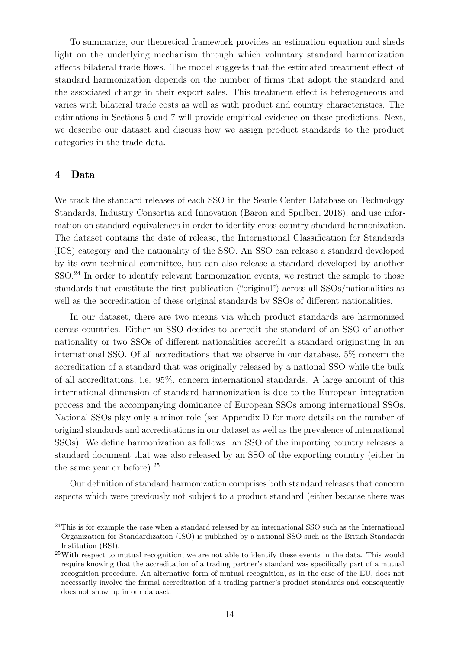To summarize, our theoretical framework provides an estimation equation and sheds light on the underlying mechanism through which voluntary standard harmonization affects bilateral trade flows. The model suggests that the estimated treatment effect of standard harmonization depends on the number of firms that adopt the standard and the associated change in their export sales. This treatment effect is heterogeneous and varies with bilateral trade costs as well as with product and country characteristics. The estimations in Sections [5](#page-16-0) and [7](#page-28-0) will provide empirical evidence on these predictions. Next, we describe our dataset and discuss how we assign product standards to the product categories in the trade data.

# <span id="page-14-0"></span>4 Data

We track the standard releases of each SSO in the Searle Center Database on Technology Standards, Industry Consortia and Innovation [\(Baron and Spulber,](#page-37-0) [2018\)](#page-37-0), and use information on standard equivalences in order to identify cross-country standard harmonization. The dataset contains the date of release, the International Classification for Standards (ICS) category and the nationality of the SSO. An SSO can release a standard developed by its own technical committee, but can also release a standard developed by another SSO.<sup>[24](#page-14-1)</sup> In order to identify relevant harmonization events, we restrict the sample to those standards that constitute the first publication ("original") across all SSOs/nationalities as well as the accreditation of these original standards by SSOs of different nationalities.

In our dataset, there are two means via which product standards are harmonized across countries. Either an SSO decides to accredit the standard of an SSO of another nationality or two SSOs of different nationalities accredit a standard originating in an international SSO. Of all accreditations that we observe in our database, 5% concern the accreditation of a standard that was originally released by a national SSO while the bulk of all accreditations, i.e. 95%, concern international standards. A large amount of this international dimension of standard harmonization is due to the European integration process and the accompanying dominance of European SSOs among international SSOs. National SSOs play only a minor role (see Appendix [D](#page-52-0) for more details on the number of original standards and accreditations in our dataset as well as the prevalence of international SSOs). We define harmonization as follows: an SSO of the importing country releases a standard document that was also released by an SSO of the exporting country (either in the same year or before).[25](#page-14-2)

Our definition of standard harmonization comprises both standard releases that concern aspects which were previously not subject to a product standard (either because there was

<span id="page-14-1"></span> $^{24}$ This is for example the case when a standard released by an international SSO such as the International Organization for Standardization (ISO) is published by a national SSO such as the British Standards Institution (BSI).

<span id="page-14-2"></span><sup>&</sup>lt;sup>25</sup>With respect to mutual recognition, we are not able to identify these events in the data. This would require knowing that the accreditation of a trading partner's standard was specifically part of a mutual recognition procedure. An alternative form of mutual recognition, as in the case of the EU, does not necessarily involve the formal accreditation of a trading partner's product standards and consequently does not show up in our dataset.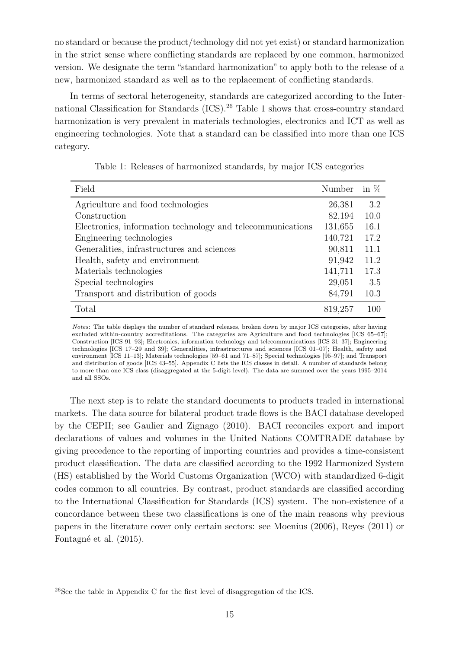no standard or because the product/technology did not yet exist) or standard harmonization in the strict sense where conflicting standards are replaced by one common, harmonized version. We designate the term "standard harmonization" to apply both to the release of a new, harmonized standard as well as to the replacement of conflicting standards.

In terms of sectoral heterogeneity, standards are categorized according to the Inter-national Classification for Standards (ICS).<sup>[26](#page-15-0)</sup> Table [1](#page-15-1) shows that cross-country standard harmonization is very prevalent in materials technologies, electronics and ICT as well as engineering technologies. Note that a standard can be classified into more than one ICS category.

<span id="page-15-1"></span>

| Field                                                      | Number  | in $%$ |
|------------------------------------------------------------|---------|--------|
| Agriculture and food technologies                          | 26,381  | 3.2    |
| Construction                                               | 82,194  | 10.0   |
| Electronics, information technology and telecommunications | 131,655 | 16.1   |
| Engineering technologies                                   | 140,721 | 17.2   |
| Generalities, infrastructures and sciences                 | 90,811  | 11.1   |
| Health, safety and environment                             | 91,942  | 11.2   |
| Materials technologies                                     | 141,711 | 17.3   |
| Special technologies                                       | 29,051  | 3.5    |
| Transport and distribution of goods                        | 84,791  | 10.3   |
| Total                                                      | 819,257 | 100    |

Table 1: Releases of harmonized standards, by major ICS categories

Notes: The table displays the number of standard releases, broken down by major ICS categories, after having excluded within-country accreditations. The categories are Agriculture and food technologies [ICS 65–67]; Construction [ICS 91–93]; Electronics, information technology and telecommunications [ICS 31–37]; Engineering technologies [ICS 17–29 and 39]; Generalities, infrastructures and sciences [ICS 01–07]; Health, safety and environment [ICS 11–13]; Materials technologies [59–61 and 71–87]; Special technologies [95–97]; and Transport and distribution of goods [ICS 43–55]. Appendix [C](#page-51-0) lists the ICS classes in detail. A number of standards belong to more than one ICS class (disaggregated at the 5-digit level). The data are summed over the years 1995–2014 and all SSOs.

The next step is to relate the standard documents to products traded in international markets. The data source for bilateral product trade flows is the BACI database developed by the CEPII; see [Gaulier and Zignago](#page-38-14) [\(2010\)](#page-38-14). BACI reconciles export and import declarations of values and volumes in the United Nations COMTRADE database by giving precedence to the reporting of importing countries and provides a time-consistent product classification. The data are classified according to the 1992 Harmonized System (HS) established by the World Customs Organization (WCO) with standardized 6-digit codes common to all countries. By contrast, product standards are classified according to the International Classification for Standards (ICS) system. The non-existence of a concordance between these two classifications is one of the main reasons why previous papers in the literature cover only certain sectors: see [Moenius](#page-40-16) [\(2006\)](#page-40-16), [Reyes](#page-40-8) [\(2011\)](#page-40-8) or Fontagné et al. [\(2015\)](#page-38-8).

<span id="page-15-0"></span><sup>26</sup>See the table in Appendix [C](#page-51-0) for the first level of disaggregation of the ICS.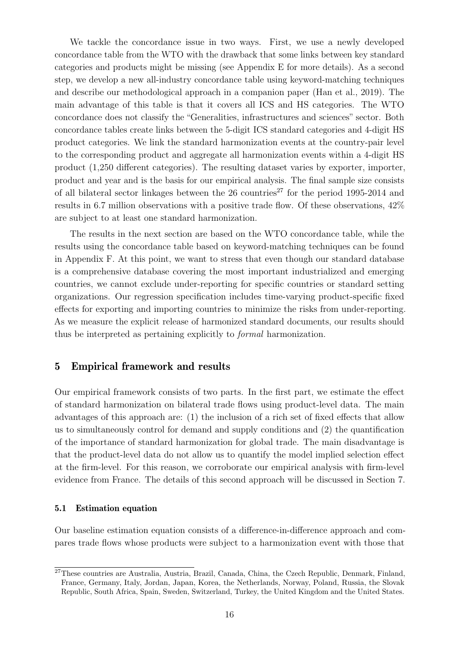We tackle the concordance issue in two ways. First, we use a newly developed concordance table from the WTO with the drawback that some links between key standard categories and products might be missing (see Appendix [E](#page-58-0) for more details). As a second step, we develop a new all-industry concordance table using keyword-matching techniques and describe our methodological approach in a companion paper [\(Han et al.,](#page-38-15) [2019\)](#page-38-15). The main advantage of this table is that it covers all ICS and HS categories. The WTO concordance does not classify the "Generalities, infrastructures and sciences" sector. Both concordance tables create links between the 5-digit ICS standard categories and 4-digit HS product categories. We link the standard harmonization events at the country-pair level to the corresponding product and aggregate all harmonization events within a 4-digit HS product (1,250 different categories). The resulting dataset varies by exporter, importer, product and year and is the basis for our empirical analysis. The final sample size consists of all bilateral sector linkages between the  $26$  countries<sup>[27](#page-16-1)</sup> for the period 1995-2014 and results in 6.7 million observations with a positive trade flow. Of these observations, 42% are subject to at least one standard harmonization.

The results in the next section are based on the WTO concordance table, while the results using the concordance table based on keyword-matching techniques can be found in Appendix [F.](#page-60-0) At this point, we want to stress that even though our standard database is a comprehensive database covering the most important industrialized and emerging countries, we cannot exclude under-reporting for specific countries or standard setting organizations. Our regression specification includes time-varying product-specific fixed effects for exporting and importing countries to minimize the risks from under-reporting. As we measure the explicit release of harmonized standard documents, our results should thus be interpreted as pertaining explicitly to formal harmonization.

# <span id="page-16-0"></span>5 Empirical framework and results

Our empirical framework consists of two parts. In the first part, we estimate the effect of standard harmonization on bilateral trade flows using product-level data. The main advantages of this approach are: (1) the inclusion of a rich set of fixed effects that allow us to simultaneously control for demand and supply conditions and (2) the quantification of the importance of standard harmonization for global trade. The main disadvantage is that the product-level data do not allow us to quantify the model implied selection effect at the firm-level. For this reason, we corroborate our empirical analysis with firm-level evidence from France. The details of this second approach will be discussed in Section [7.](#page-28-0)

#### 5.1 Estimation equation

Our baseline estimation equation consists of a difference-in-difference approach and compares trade flows whose products were subject to a harmonization event with those that

<span id="page-16-1"></span><sup>27</sup>These countries are Australia, Austria, Brazil, Canada, China, the Czech Republic, Denmark, Finland, France, Germany, Italy, Jordan, Japan, Korea, the Netherlands, Norway, Poland, Russia, the Slovak Republic, South Africa, Spain, Sweden, Switzerland, Turkey, the United Kingdom and the United States.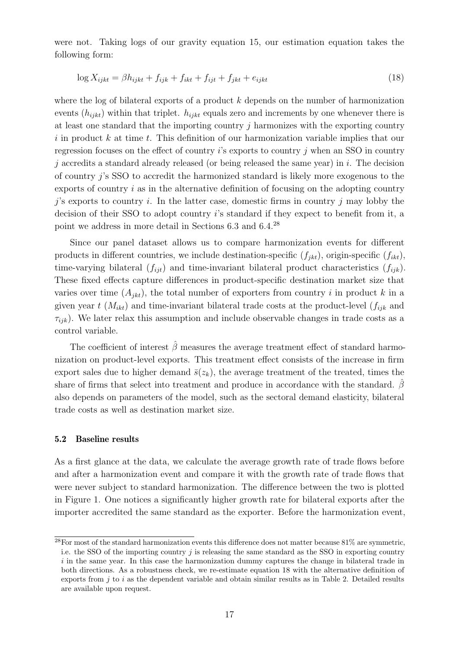were not. Taking logs of our gravity equation [15,](#page-12-0) our estimation equation takes the following form:

<span id="page-17-1"></span>
$$
\log X_{ijkt} = \beta h_{ijkt} + f_{ijk} + f_{ikt} + f_{ijt} + f_{jkt} + e_{ijkt}
$$
\n(18)

where the log of bilateral exports of a product  $k$  depends on the number of harmonization events  $(h_{iikt})$  within that triplet.  $h_{iikt}$  equals zero and increments by one whenever there is at least one standard that the importing country  $j$  harmonizes with the exporting country  $i$  in product  $k$  at time  $t$ . This definition of our harmonization variable implies that our regression focuses on the effect of country  $i$ 's exports to country  $j$  when an SSO in country j accredits a standard already released (or being released the same year) in  $i$ . The decision of country j's SSO to accredit the harmonized standard is likely more exogenous to the exports of country i as in the alternative definition of focusing on the adopting country  $j$ 's exports to country i. In the latter case, domestic firms in country j may lobby the decision of their SSO to adopt country i's standard if they expect to benefit from it, a point we address in more detail in Sections [6.3](#page-25-0) and [6.4.](#page-26-0) [28](#page-17-0)

Since our panel dataset allows us to compare harmonization events for different products in different countries, we include destination-specific  $(f_{ikt})$ , origin-specific  $(f_{ikt})$ , time-varying bilateral  $(f_{ijt})$  and time-invariant bilateral product characteristics  $(f_{ijk})$ . These fixed effects capture differences in product-specific destination market size that varies over time  $(A_{ikt})$ , the total number of exporters from country i in product k in a given year t  $(M_{ikt})$  and time-invariant bilateral trade costs at the product-level  $(f_{ijk}$  and  $\tau_{ijk}$ ). We later relax this assumption and include observable changes in trade costs as a control variable.

The coefficient of interest  $\hat{\beta}$  measures the average treatment effect of standard harmonization on product-level exports. This treatment effect consists of the increase in firm export sales due to higher demand  $\bar{s}(z_k)$ , the average treatment of the treated, times the share of firms that select into treatment and produce in accordance with the standard.  $\beta$ also depends on parameters of the model, such as the sectoral demand elasticity, bilateral trade costs as well as destination market size.

#### 5.2 Baseline results

As a first glance at the data, we calculate the average growth rate of trade flows before and after a harmonization event and compare it with the growth rate of trade flows that were never subject to standard harmonization. The difference between the two is plotted in Figure [1.](#page-18-0) One notices a significantly higher growth rate for bilateral exports after the importer accredited the same standard as the exporter. Before the harmonization event,

<span id="page-17-0"></span> $^{28}$ For most of the standard harmonization events this difference does not matter because 81% are symmetric, i.e. the SSO of the importing country  $j$  is releasing the same standard as the SSO in exporting country  $i$  in the same year. In this case the harmonization dummy captures the change in bilateral trade in both directions. As a robustness check, we re-estimate equation [18](#page-17-1) with the alternative definition of exports from  $i$  to  $i$  as the dependent variable and obtain similar results as in Table [2.](#page-19-0) Detailed results are available upon request.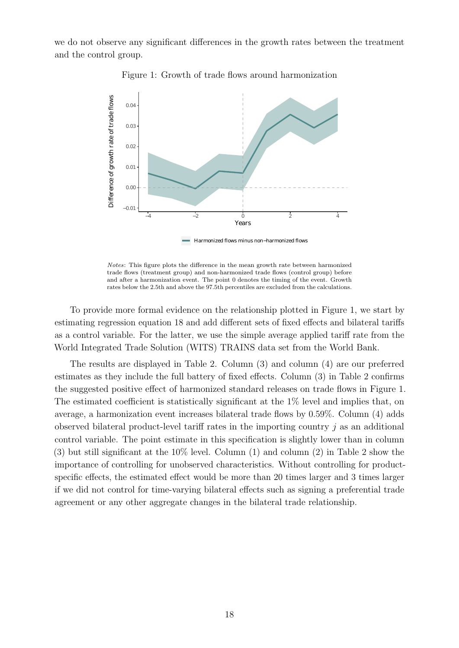<span id="page-18-0"></span>we do not observe any significant differences in the growth rates between the treatment and the control group.



Figure 1: Growth of trade flows around harmonization

Harmonized flows minus non−harmonized flows

Notes: This figure plots the difference in the mean growth rate between harmonized trade flows (treatment group) and non-harmonized trade flows (control group) before and after a harmonization event. The point 0 denotes the timing of the event. Growth rates below the 2.5th and above the 97.5th percentiles are excluded from the calculations.

To provide more formal evidence on the relationship plotted in Figure [1,](#page-18-0) we start by estimating regression equation [18](#page-17-1) and add different sets of fixed effects and bilateral tariffs as a control variable. For the latter, we use the simple average applied tariff rate from the World Integrated Trade Solution (WITS) TRAINS data set from the World Bank.

The results are displayed in Table [2.](#page-19-0) Column (3) and column (4) are our preferred estimates as they include the full battery of fixed effects. Column (3) in Table [2](#page-19-0) confirms the suggested positive effect of harmonized standard releases on trade flows in Figure [1.](#page-18-0) The estimated coefficient is statistically significant at the 1% level and implies that, on average, a harmonization event increases bilateral trade flows by 0.59%. Column (4) adds observed bilateral product-level tariff rates in the importing country  $j$  as an additional control variable. The point estimate in this specification is slightly lower than in column (3) but still significant at the 10% level. Column (1) and column (2) in Table [2](#page-19-0) show the importance of controlling for unobserved characteristics. Without controlling for productspecific effects, the estimated effect would be more than 20 times larger and 3 times larger if we did not control for time-varying bilateral effects such as signing a preferential trade agreement or any other aggregate changes in the bilateral trade relationship.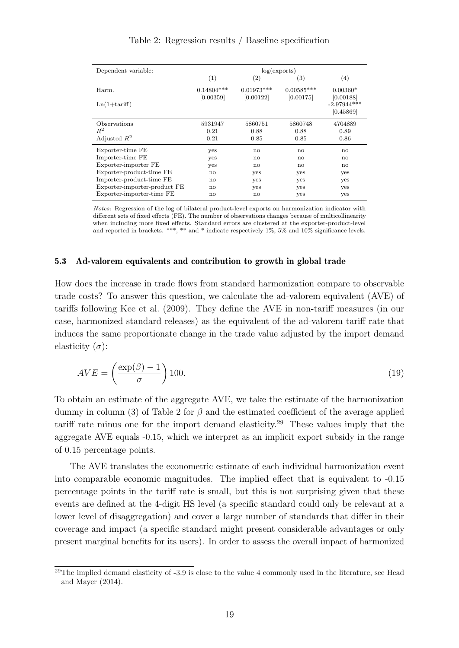<span id="page-19-0"></span>

| Dependent variable:          | log(exports)              |                           |                           |                            |  |
|------------------------------|---------------------------|---------------------------|---------------------------|----------------------------|--|
|                              | (1)                       | $\left( 2\right)$         | $\left( 3\right)$         | $\left( 4\right)$          |  |
| Harm.                        | $0.14804***$<br>[0.00359] | $0.01973***$<br>[0.00122] | $0.00585***$<br>[0.00175] | $0.00360*$<br>[0.00188]    |  |
| $Ln(1+tariff)$               |                           |                           |                           | $-2.97944***$<br>[0.45869] |  |
| Observations                 | 5931947                   | 5860751                   | 5860748                   | 4704889                    |  |
| $R^2$                        | 0.21                      | 0.88                      | 0.88                      | 0.89                       |  |
| Adjusted $R^2$               | 0.21                      | 0.85                      | 0.85                      | 0.86                       |  |
| Exporter-time FE             | yes                       | $\mathbf{n}$              | no                        | no                         |  |
| Importer-time FE             | yes                       | no                        | no                        | no                         |  |
| Exporter-importer FE         | yes                       | $\mathbf{n}$              | $\mathbf{n}$              | $\mathbf{n}$               |  |
| Exporter-product-time FE     | $\mathbf{n}$              | yes                       | yes                       | yes                        |  |
| Importer-product-time FE     | $\mathbf{n}$              | yes                       | yes                       | yes                        |  |
| Exporter-importer-product FE | $\mathbf{n}$              | yes                       | yes                       | yes                        |  |
| Exporter-importer-time FE    | no                        | $\mathbf{n}$              | yes                       | yes                        |  |

Table 2: Regression results / Baseline specification

Notes: Regression of the log of bilateral product-level exports on harmonization indicator with different sets of fixed effects (FE). The number of observations changes because of multicollinearity when including more fixed effects. Standard errors are clustered at the exporter-product-level and reported in brackets. \*\*\*, \*\* and \* indicate respectively 1%, 5% and 10% significance levels.

#### 5.3 Ad-valorem equivalents and contribution to growth in global trade

How does the increase in trade flows from standard harmonization compare to observable trade costs? To answer this question, we calculate the ad-valorem equivalent (AVE) of tariffs following [Kee et al.](#page-39-11) [\(2009\)](#page-39-11). They define the AVE in non-tariff measures (in our case, harmonized standard releases) as the equivalent of the ad-valorem tariff rate that induces the same proportionate change in the trade value adjusted by the import demand elasticity  $(\sigma)$ :

$$
AVE = \left(\frac{\exp(\beta) - 1}{\sigma}\right)100.\tag{19}
$$

To obtain an estimate of the aggregate AVE, we take the estimate of the harmonization dummy in column (3) of Table [2](#page-19-0) for  $\beta$  and the estimated coefficient of the average applied tariff rate minus one for the import demand elasticity.[29](#page-19-1) These values imply that the aggregate AVE equals -0.15, which we interpret as an implicit export subsidy in the range of 0.15 percentage points.

The AVE translates the econometric estimate of each individual harmonization event into comparable economic magnitudes. The implied effect that is equivalent to -0.15 percentage points in the tariff rate is small, but this is not surprising given that these events are defined at the 4-digit HS level (a specific standard could only be relevant at a lower level of disaggregation) and cover a large number of standards that differ in their coverage and impact (a specific standard might present considerable advantages or only present marginal benefits for its users). In order to assess the overall impact of harmonized

<span id="page-19-1"></span><sup>&</sup>lt;sup>29</sup>The implied demand elasticity of  $-3.9$  is close to the value 4 commonly used in the literature, see [Head](#page-39-12) [and Mayer](#page-39-12) [\(2014\)](#page-39-12).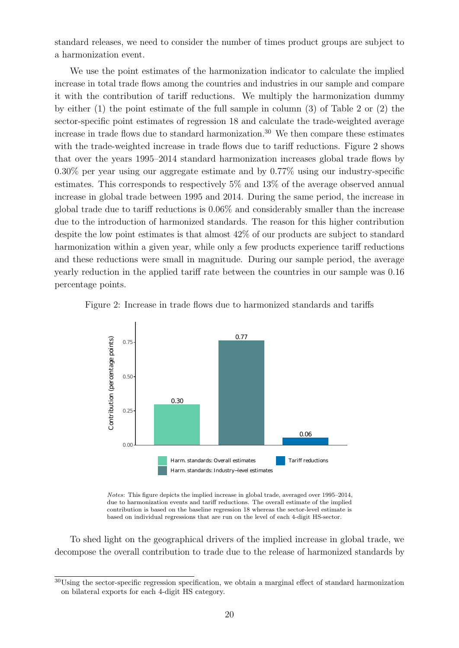standard releases, we need to consider the number of times product groups are subject to a harmonization event.

We use the point estimates of the harmonization indicator to calculate the implied increase in total trade flows among the countries and industries in our sample and compare it with the contribution of tariff reductions. We multiply the harmonization dummy by either (1) the point estimate of the full sample in column (3) of Table [2](#page-19-0) or (2) the sector-specific point estimates of regression [18](#page-17-1) and calculate the trade-weighted average increase in trade flows due to standard harmonization.<sup>[30](#page-20-0)</sup> We then compare these estimates with the trade-weighted increase in trade flows due to tariff reductions. Figure [2](#page-20-1) shows that over the years 1995–2014 standard harmonization increases global trade flows by 0.30% per year using our aggregate estimate and by 0.77% using our industry-specific estimates. This corresponds to respectively 5% and 13% of the average observed annual increase in global trade between 1995 and 2014. During the same period, the increase in global trade due to tariff reductions is 0.06% and considerably smaller than the increase due to the introduction of harmonized standards. The reason for this higher contribution despite the low point estimates is that almost 42% of our products are subject to standard harmonization within a given year, while only a few products experience tariff reductions and these reductions were small in magnitude. During our sample period, the average yearly reduction in the applied tariff rate between the countries in our sample was 0.16 percentage points.

<span id="page-20-1"></span>



Notes: This figure depicts the implied increase in global trade, averaged over 1995–2014, due to harmonization events and tariff reductions. The overall estimate of the implied contribution is based on the baseline regression [18](#page-17-1) whereas the sector-level estimate is based on individual regressions that are run on the level of each 4-digit HS-sector.

To shed light on the geographical drivers of the implied increase in global trade, we decompose the overall contribution to trade due to the release of harmonized standards by

<span id="page-20-0"></span><sup>&</sup>lt;sup>30</sup>Using the sector-specific regression specification, we obtain a marginal effect of standard harmonization on bilateral exports for each 4-digit HS category.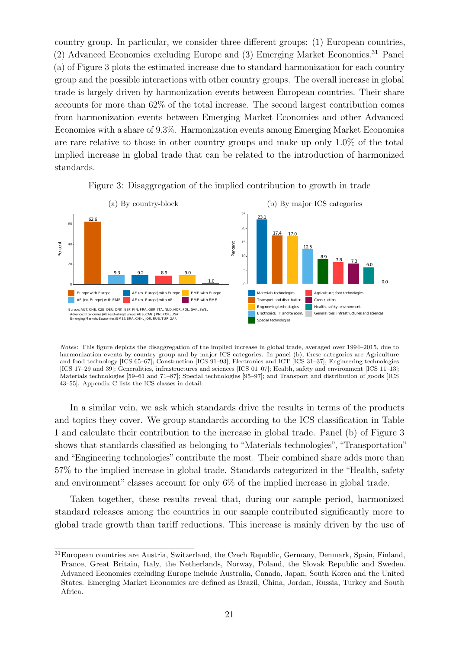country group. In particular, we consider three different groups: (1) European countries, (2) Advanced Economies excluding Europe and (3) Emerging Market Economies.[31](#page-21-0) Panel (a) of Figure [3](#page-21-1) plots the estimated increase due to standard harmonization for each country group and the possible interactions with other country groups. The overall increase in global trade is largely driven by harmonization events between European countries. Their share accounts for more than 62% of the total increase. The second largest contribution comes from harmonization events between Emerging Market Economies and other Advanced Economies with a share of 9.3%. Harmonization events among Emerging Market Economies are rare relative to those in other country groups and make up only 1.0% of the total implied increase in global trade that can be related to the introduction of harmonized standards.

<span id="page-21-1"></span>

Figure 3: Disaggregation of the implied contribution to growth in trade

Notes: This figure depicts the disaggregation of the implied increase in global trade, averaged over 1994–2015, due to harmonization events by country group and by major ICS categories. In panel (b), these categories are Agriculture and food technology [ICS 65–67]; Construction [ICS 91–93]; Electronics and ICT [ICS 31–37]; Engineering technologies [ICS 17–29 and 39]; Generalities, infrastructures and sciences [ICS 01–07]; Health, safety and environment [ICS 11–13]; Materials technologies [59–61 and 71–87]; Special technologies [95–97]; and Transport and distribution of goods [ICS 43–55]. Appendix [C](#page-51-0) lists the ICS classes in detail.

In a similar vein, we ask which standards drive the results in terms of the products and topics they cover. We group standards according to the ICS classification in Table [1](#page-15-1) and calculate their contribution to the increase in global trade. Panel (b) of Figure [3](#page-21-1) shows that standards classified as belonging to "Materials technologies", "Transportation" and "Engineering technologies" contribute the most. Their combined share adds more than 57% to the implied increase in global trade. Standards categorized in the "Health, safety and environment" classes account for only 6% of the implied increase in global trade.

Taken together, these results reveal that, during our sample period, harmonized standard releases among the countries in our sample contributed significantly more to global trade growth than tariff reductions. This increase is mainly driven by the use of

<span id="page-21-0"></span><sup>31</sup>European countries are Austria, Switzerland, the Czech Republic, Germany, Denmark, Spain, Finland, France, Great Britain, Italy, the Netherlands, Norway, Poland, the Slovak Republic and Sweden. Advanced Economies excluding Europe include Australia, Canada, Japan, South Korea and the United States. Emerging Market Economies are defined as Brazil, China, Jordan, Russia, Turkey and South Africa.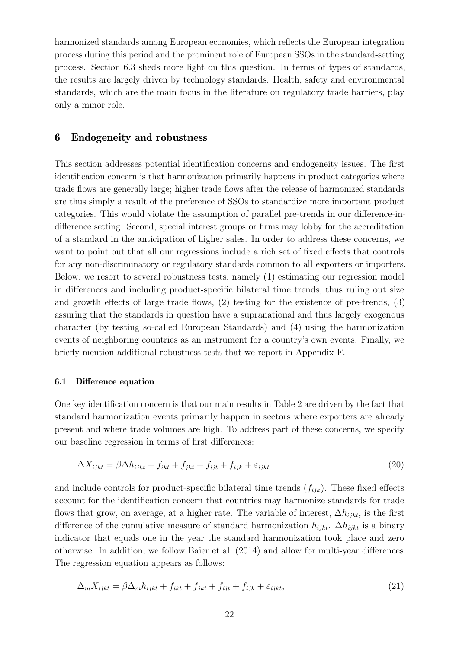harmonized standards among European economies, which reflects the European integration process during this period and the prominent role of European SSOs in the standard-setting process. Section [6.3](#page-25-0) sheds more light on this question. In terms of types of standards, the results are largely driven by technology standards. Health, safety and environmental standards, which are the main focus in the literature on regulatory trade barriers, play only a minor role.

## <span id="page-22-0"></span>6 Endogeneity and robustness

This section addresses potential identification concerns and endogeneity issues. The first identification concern is that harmonization primarily happens in product categories where trade flows are generally large; higher trade flows after the release of harmonized standards are thus simply a result of the preference of SSOs to standardize more important product categories. This would violate the assumption of parallel pre-trends in our difference-indifference setting. Second, special interest groups or firms may lobby for the accreditation of a standard in the anticipation of higher sales. In order to address these concerns, we want to point out that all our regressions include a rich set of fixed effects that controls for any non-discriminatory or regulatory standards common to all exporters or importers. Below, we resort to several robustness tests, namely (1) estimating our regression model in differences and including product-specific bilateral time trends, thus ruling out size and growth effects of large trade flows, (2) testing for the existence of pre-trends, (3) assuring that the standards in question have a supranational and thus largely exogenous character (by testing so-called European Standards) and (4) using the harmonization events of neighboring countries as an instrument for a country's own events. Finally, we briefly mention additional robustness tests that we report in Appendix [F.](#page-60-0)

#### 6.1 Difference equation

One key identification concern is that our main results in Table [2](#page-19-0) are driven by the fact that standard harmonization events primarily happen in sectors where exporters are already present and where trade volumes are high. To address part of these concerns, we specify our baseline regression in terms of first differences:

$$
\Delta X_{ijkt} = \beta \Delta h_{ijkt} + f_{ikt} + f_{jkt} + f_{ijt} + f_{ijk} + \varepsilon_{ijkt}
$$
\n(20)

and include controls for product-specific bilateral time trends  $(f_{ijk})$ . These fixed effects account for the identification concern that countries may harmonize standards for trade flows that grow, on average, at a higher rate. The variable of interest,  $\Delta h_{i j k t}$ , is the first difference of the cumulative measure of standard harmonization  $h_{i j k t}$ .  $\Delta h_{i j k t}$  is a binary indicator that equals one in the year the standard harmonization took place and zero otherwise. In addition, we follow [Baier et al.](#page-37-12) [\(2014\)](#page-37-12) and allow for multi-year differences. The regression equation appears as follows:

<span id="page-22-1"></span>
$$
\Delta_m X_{ijkt} = \beta \Delta_m h_{ijkt} + f_{ikt} + f_{jkt} + f_{ijt} + f_{ijk} + \varepsilon_{ijkt},\tag{21}
$$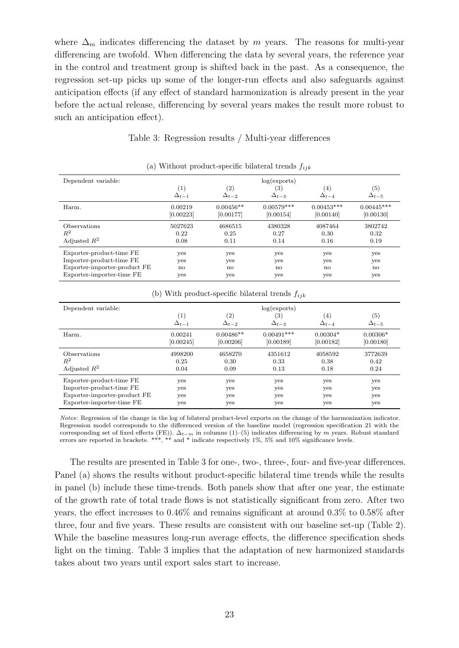where  $\Delta_m$  indicates differencing the dataset by m years. The reasons for multi-year differencing are twofold. When differencing the data by several years, the reference year in the control and treatment group is shifted back in the past. As a consequence, the regression set-up picks up some of the longer-run effects and also safeguards against anticipation effects (if any effect of standard harmonization is already present in the year before the actual release, differencing by several years makes the result more robust to such an anticipation effect).

## Table 3: Regression results / Multi-year differences

<span id="page-23-0"></span>

| Dependent variable:          |                |                | log(exports)      |                |                   |
|------------------------------|----------------|----------------|-------------------|----------------|-------------------|
|                              | (1)            | (2)            | $\left( 3\right)$ | (4)            | $\left( 5\right)$ |
|                              | $\Delta_{t-1}$ | $\Delta_{t-2}$ | $\Delta_{t-3}$    | $\Delta_{t-4}$ | $\Delta_{t-5}$    |
| Harm.                        | 0.00219        | $0.00456**$    | $0.00579***$      | $0.00453***$   | $0.00445***$      |
|                              | [0.00223]      | [0.00177]      | [0.00154]         | [0.00140]      | [0.00130]         |
| <i><b>Observations</b></i>   | 5027623        | 4686515        | 4380328           | 4087464        | 3802742           |
| $R^2$                        | 0.22           | 0.25           | 0.27              | 0.30           | 0.32              |
| Adjusted $R^2$               | 0.08           | 0.11           | 0.14              | 0.16           | 0.19              |
| Exporter-product-time FE     | yes            | yes            | yes               | yes            | yes               |
| Importer-product-time FE     | yes            | yes            | yes               | yes            | yes               |
| Exporter-importer-product FE | $\mathbf{n}$   | no             | no                | no             | $\mathbf{n}$      |
| Exporter-importer-time FE    | yes            | yes            | yes               | yes            | yes               |

(a) Without product-specific bilateral trends  $f_{ijk}$ 

| With product-specific bilateral trends $f_{ijk}$<br>$\mathbf{D}$ |                                     |                                     |                                       |                       |                       |  |
|------------------------------------------------------------------|-------------------------------------|-------------------------------------|---------------------------------------|-----------------------|-----------------------|--|
| Dependent variable:                                              | $\left( 1\right)$<br>$\Delta_{t-1}$ | $\left( 2\right)$<br>$\Delta_{t-2}$ | log(exports)<br>(3)<br>$\Delta_{t-3}$ | (4)<br>$\Delta_{t-4}$ | (5)<br>$\Delta_{t-5}$ |  |
| Harm.                                                            | 0.00241                             | $0.00486**$                         | $0.00491***$                          | $0.00304*$            | $0.00306*$            |  |
|                                                                  | [0.00245]                           | [0.00206]                           | [0.00189]                             | [0.00182]             | [0.00180]             |  |
| <b>Observations</b>                                              | 4998200                             | 4658270                             | 4351612                               | 4058592               | 3772639               |  |
| $R^2$                                                            | 0.25                                | 0.30                                | 0.33                                  | 0.38                  | 0.42                  |  |
| Adjusted $R^2$                                                   | 0.04                                | 0.09                                | 0.13                                  | 0.18                  | 0.24                  |  |
| Exporter-product-time FE                                         | yes                                 | yes                                 | yes                                   | yes                   | yes                   |  |
| Importer-product-time FE                                         | yes                                 | yes                                 | yes                                   | yes                   | yes                   |  |
| Exporter-importer-product FE                                     | yes                                 | yes                                 | yes                                   | yes                   | yes                   |  |
| Exporter-importer-time FE                                        | ves                                 | yes                                 | yes                                   | yes                   | yes                   |  |

(b) With product-specific bilateral trends  $f_{ijk}$ 

Notes: Regression of the change in the log of bilateral product-level exports on the change of the harmonization indicator. Regression model corresponds to the differenced version of the baseline model (regression specification [21](#page-22-1) with the corresponding set of fixed effects (FE)).  $\Delta_{t-m}$  in columns (1)–(5) indicates differencing by m years. Robust standard errors are reported in brackets. \*\*\*, \*\* and \* indicate respectively 1%, 5% and 10% significance levels.

The results are presented in Table [3](#page-23-0) for one-, two-, three-, four- and five-year differences. Panel (a) shows the results without product-specific bilateral time trends while the results in panel (b) include these time-trends. Both panels show that after one year, the estimate of the growth rate of total trade flows is not statistically significant from zero. After two years, the effect increases to 0.46% and remains significant at around 0.3% to 0.58% after three, four and five years. These results are consistent with our baseline set-up (Table [2\)](#page-19-0). While the baseline measures long-run average effects, the difference specification sheds light on the timing. Table [3](#page-23-0) implies that the adaptation of new harmonized standards takes about two years until export sales start to increase.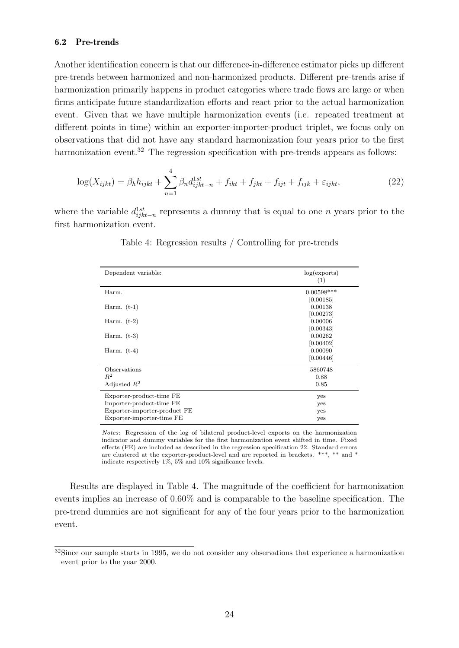## 6.2 Pre-trends

Another identification concern is that our difference-in-difference estimator picks up different pre-trends between harmonized and non-harmonized products. Different pre-trends arise if harmonization primarily happens in product categories where trade flows are large or when firms anticipate future standardization efforts and react prior to the actual harmonization event. Given that we have multiple harmonization events (i.e. repeated treatment at different points in time) within an exporter-importer-product triplet, we focus only on observations that did not have any standard harmonization four years prior to the first harmonization event.<sup>[32](#page-24-0)</sup> The regression specification with pre-trends appears as follows:

$$
\log(X_{ijkt}) = \beta_h h_{ijkt} + \sum_{n=1}^4 \beta_n d_{ijkt-n}^{1st} + f_{ikt} + f_{jkt} + f_{ijt} + f_{ijk} + \varepsilon_{ijkt},\tag{22}
$$

<span id="page-24-2"></span>where the variable  $d_{ijkt-n}^{1st}$  represents a dummy that is equal to one n years prior to the first harmonization event.

| Dependent variable:          | log(exports)<br>(1) |
|------------------------------|---------------------|
| Harm.                        | $0.00598***$        |
|                              | [0.00185]           |
| Harm. $(t-1)$                | 0.00138             |
|                              | [0.00273]           |
| Harm. $(t-2)$                | 0.00006             |
|                              | [0.00343]           |
| Harm. $(t-3)$                | 0.00262             |
|                              | [0.00402]           |
| Harm. $(t-4)$                | 0.00090             |
|                              | [0.00446]           |
| Observations                 | 5860748             |
| $R^2$                        | 0.88                |
| Adjusted $R^2$               | 0.85                |
| Exporter-product-time FE     | yes                 |
| Importer-product-time FE     | yes                 |
| Exporter-importer-product FE | yes                 |
| Exporter-importer-time FE    | yes                 |

<span id="page-24-1"></span>Table 4: Regression results / Controlling for pre-trends

Notes: Regression of the log of bilateral product-level exports on the harmonization indicator and dummy variables for the first harmonization event shifted in time. Fixed effects (FE) are included as described in the regression specification [22.](#page-24-1) Standard errors are clustered at the exporter-product-level and are reported in brackets. \*\*\*, \*\* and \* indicate respectively 1%, 5% and 10% significance levels.

Results are displayed in Table [4.](#page-24-2) The magnitude of the coefficient for harmonization events implies an increase of 0.60% and is comparable to the baseline specification. The pre-trend dummies are not significant for any of the four years prior to the harmonization event.

<span id="page-24-0"></span><sup>&</sup>lt;sup>32</sup>Since our sample starts in 1995, we do not consider any observations that experience a harmonization event prior to the year 2000.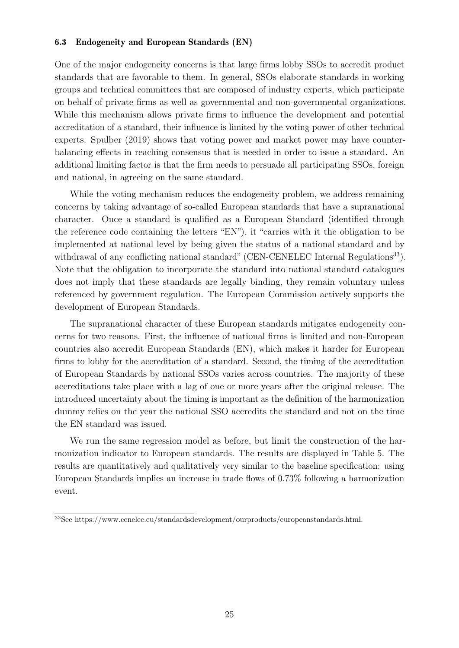## <span id="page-25-0"></span>6.3 Endogeneity and European Standards (EN)

One of the major endogeneity concerns is that large firms lobby SSOs to accredit product standards that are favorable to them. In general, SSOs elaborate standards in working groups and technical committees that are composed of industry experts, which participate on behalf of private firms as well as governmental and non-governmental organizations. While this mechanism allows private firms to influence the development and potential accreditation of a standard, their influence is limited by the voting power of other technical experts. [Spulber](#page-40-10) [\(2019\)](#page-40-10) shows that voting power and market power may have counterbalancing effects in reaching consensus that is needed in order to issue a standard. An additional limiting factor is that the firm needs to persuade all participating SSOs, foreign and national, in agreeing on the same standard.

While the voting mechanism reduces the endogeneity problem, we address remaining concerns by taking advantage of so-called European standards that have a supranational character. Once a standard is qualified as a European Standard (identified through the reference code containing the letters "EN"), it "carries with it the obligation to be implemented at national level by being given the status of a national standard and by withdrawal of any conflicting national standard" (CEN-CENELEC Internal Regulations<sup>[33](#page-25-1)</sup>). Note that the obligation to incorporate the standard into national standard catalogues does not imply that these standards are legally binding, they remain voluntary unless referenced by government regulation. The European Commission actively supports the development of European Standards.

The supranational character of these European standards mitigates endogeneity concerns for two reasons. First, the influence of national firms is limited and non-European countries also accredit European Standards (EN), which makes it harder for European firms to lobby for the accreditation of a standard. Second, the timing of the accreditation of European Standards by national SSOs varies across countries. The majority of these accreditations take place with a lag of one or more years after the original release. The introduced uncertainty about the timing is important as the definition of the harmonization dummy relies on the year the national SSO accredits the standard and not on the time the EN standard was issued.

We run the same regression model as before, but limit the construction of the harmonization indicator to European standards. The results are displayed in Table [5.](#page-26-1) The results are quantitatively and qualitatively very similar to the baseline specification: using European Standards implies an increase in trade flows of 0.73% following a harmonization event.

<span id="page-25-1"></span><sup>33</sup>See [https://www.cenelec.eu/standardsdevelopment/ourproducts/europeanstandards.html.](https://www.cenelec.eu/standardsdevelopment/ourproducts/europeanstandards.html)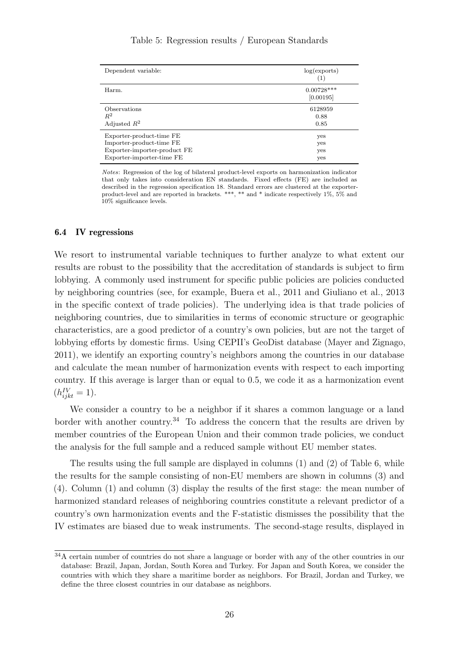<span id="page-26-1"></span>

| Dependent variable:                                                                                               | log(exports)<br>(1)       |
|-------------------------------------------------------------------------------------------------------------------|---------------------------|
| Harm.                                                                                                             | $0.00728***$<br>[0.00195] |
| Observations<br>$R^2$<br>Adjusted $R^2$                                                                           | 6128959<br>0.88<br>0.85   |
| Exporter-product-time FE<br>Importer-product-time FE<br>Exporter-importer-product FE<br>Exporter-importer-time FE | yes<br>yes<br>yes<br>yes  |

Notes: Regression of the log of bilateral product-level exports on harmonization indicator that only takes into consideration EN standards. Fixed effects (FE) are included as described in the regression specification [18.](#page-17-1) Standard errors are clustered at the exporterproduct-level and are reported in brackets. \*\*\*, \*\* and \* indicate respectively 1%, 5% and 10% significance levels.

#### <span id="page-26-0"></span>6.4 IV regressions

We resort to instrumental variable techniques to further analyze to what extent our results are robust to the possibility that the accreditation of standards is subject to firm lobbying. A commonly used instrument for specific public policies are policies conducted by neighboring countries (see, for example, [Buera et al.,](#page-37-13) [2011](#page-37-13) and [Giuliano et al.,](#page-38-16) [2013](#page-38-16) in the specific context of trade policies). The underlying idea is that trade policies of neighboring countries, due to similarities in terms of economic structure or geographic characteristics, are a good predictor of a country's own policies, but are not the target of lobbying efforts by domestic firms. Using CEPII's GeoDist database [\(Mayer and Zignago,](#page-39-13) [2011\)](#page-39-13), we identify an exporting country's neighbors among the countries in our database and calculate the mean number of harmonization events with respect to each importing country. If this average is larger than or equal to 0.5, we code it as a harmonization event  $(h_{i jkt}^{IV}=1).$ 

We consider a country to be a neighbor if it shares a common language or a land border with another country.<sup>[34](#page-26-2)</sup> To address the concern that the results are driven by member countries of the European Union and their common trade policies, we conduct the analysis for the full sample and a reduced sample without EU member states.

The results using the full sample are displayed in columns (1) and (2) of Table [6,](#page-27-0) while the results for the sample consisting of non-EU members are shown in columns (3) and (4). Column (1) and column (3) display the results of the first stage: the mean number of harmonized standard releases of neighboring countries constitute a relevant predictor of a country's own harmonization events and the F-statistic dismisses the possibility that the IV estimates are biased due to weak instruments. The second-stage results, displayed in

<span id="page-26-2"></span> $34A$  certain number of countries do not share a language or border with any of the other countries in our database: Brazil, Japan, Jordan, South Korea and Turkey. For Japan and South Korea, we consider the countries with which they share a maritime border as neighbors. For Brazil, Jordan and Turkey, we define the three closest countries in our database as neighbors.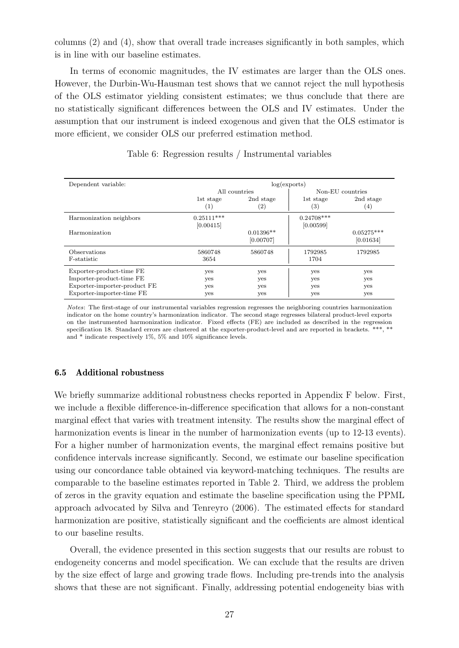columns (2) and (4), show that overall trade increases significantly in both samples, which is in line with our baseline estimates.

In terms of economic magnitudes, the IV estimates are larger than the OLS ones. However, the Durbin-Wu-Hausman test shows that we cannot reject the null hypothesis of the OLS estimator yielding consistent estimates; we thus conclude that there are no statistically significant differences between the OLS and IV estimates. Under the assumption that our instrument is indeed exogenous and given that the OLS estimator is more efficient, we consider OLS our preferred estimation method.

<span id="page-27-0"></span>

| Dependent variable:                                                                                               | log(exports)              |                          |                                |                                |  |
|-------------------------------------------------------------------------------------------------------------------|---------------------------|--------------------------|--------------------------------|--------------------------------|--|
|                                                                                                                   | All countries             |                          |                                | Non-EU countries               |  |
|                                                                                                                   | 1st stage<br>(1)          | 2nd stage<br>(2)         | 1st stage<br>$\left( 3\right)$ | 2nd stage<br>$\left( 4\right)$ |  |
| Harmonization neighbors                                                                                           | $0.25111***$<br>[0.00415] |                          | $0.24708***$<br>[0.00599]      |                                |  |
| Harmonization                                                                                                     |                           | $0.01396**$<br>[0.00707] |                                | $0.05275***$<br>[0.01634]      |  |
| Observations<br>F-statistic                                                                                       | 5860748<br>3654           | 5860748                  | 1792985<br>1704                | 1792985                        |  |
| Exporter-product-time FE<br>Importer-product-time FE<br>Exporter-importer-product FE<br>Exporter-importer-time FE | yes<br>yes<br>yes<br>yes  | yes<br>yes<br>yes<br>yes | yes<br>yes<br>yes<br>yes       | yes<br>yes<br>yes<br>yes       |  |

Table 6: Regression results / Instrumental variables

Notes: The first-stage of our instrumental variables regression regresses the neighboring countries harmonization indicator on the home country's harmonization indicator. The second stage regresses bilateral product-level exports on the instrumented harmonization indicator. Fixed effects (FE) are included as described in the regression specification [18.](#page-17-1) Standard errors are clustered at the exporter-product-level and are reported in brackets. \*\*\*, \*\* and \* indicate respectively 1%, 5% and 10% significance levels.

#### 6.5 Additional robustness

We briefly summarize additional robustness checks reported in Appendix [F](#page-60-0) below. First, we include a flexible difference-in-difference specification that allows for a non-constant marginal effect that varies with treatment intensity. The results show the marginal effect of harmonization events is linear in the number of harmonization events (up to 12-13 events). For a higher number of harmonization events, the marginal effect remains positive but confidence intervals increase significantly. Second, we estimate our baseline specification using our concordance table obtained via keyword-matching techniques. The results are comparable to the baseline estimates reported in Table [2.](#page-19-0) Third, we address the problem of zeros in the gravity equation and estimate the baseline specification using the PPML approach advocated by [Silva and Tenreyro](#page-40-17) [\(2006\)](#page-40-17). The estimated effects for standard harmonization are positive, statistically significant and the coefficients are almost identical to our baseline results.

Overall, the evidence presented in this section suggests that our results are robust to endogeneity concerns and model specification. We can exclude that the results are driven by the size effect of large and growing trade flows. Including pre-trends into the analysis shows that these are not significant. Finally, addressing potential endogeneity bias with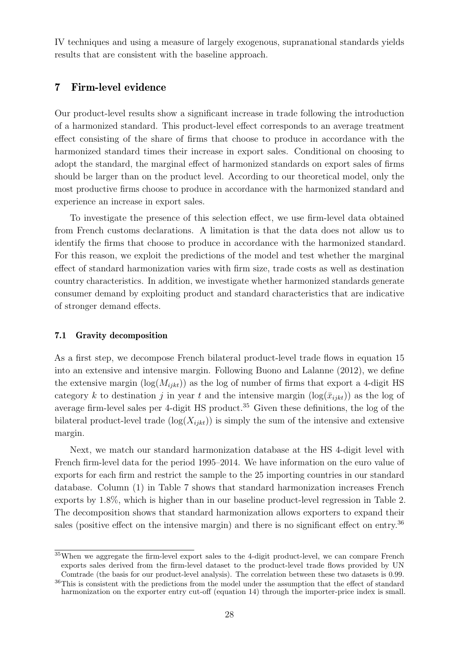IV techniques and using a measure of largely exogenous, supranational standards yields results that are consistent with the baseline approach.

# <span id="page-28-0"></span>7 Firm-level evidence

Our product-level results show a significant increase in trade following the introduction of a harmonized standard. This product-level effect corresponds to an average treatment effect consisting of the share of firms that choose to produce in accordance with the harmonized standard times their increase in export sales. Conditional on choosing to adopt the standard, the marginal effect of harmonized standards on export sales of firms should be larger than on the product level. According to our theoretical model, only the most productive firms choose to produce in accordance with the harmonized standard and experience an increase in export sales.

To investigate the presence of this selection effect, we use firm-level data obtained from French customs declarations. A limitation is that the data does not allow us to identify the firms that choose to produce in accordance with the harmonized standard. For this reason, we exploit the predictions of the model and test whether the marginal effect of standard harmonization varies with firm size, trade costs as well as destination country characteristics. In addition, we investigate whether harmonized standards generate consumer demand by exploiting product and standard characteristics that are indicative of stronger demand effects.

#### 7.1 Gravity decomposition

As a first step, we decompose French bilateral product-level trade flows in equation [15](#page-12-0) into an extensive and intensive margin. Following [Buono and Lalanne](#page-37-14) [\(2012\)](#page-37-14), we define the extensive margin  $(\log(M_{i\bar{i}kt}))$  as the log of number of firms that export a 4-digit HS category k to destination j in year t and the intensive margin  $(\log(\bar{x}_{i jkt}))$  as the log of average firm-level sales per 4-digit HS product.<sup>[35](#page-28-1)</sup> Given these definitions, the log of the bilateral product-level trade  $(\log(X_{ijkt}))$  is simply the sum of the intensive and extensive margin.

Next, we match our standard harmonization database at the HS 4-digit level with French firm-level data for the period 1995–2014. We have information on the euro value of exports for each firm and restrict the sample to the 25 importing countries in our standard database. Column (1) in Table [7](#page-29-0) shows that standard harmonization increases French exports by 1.8%, which is higher than in our baseline product-level regression in Table [2.](#page-19-0) The decomposition shows that standard harmonization allows exporters to expand their sales (positive effect on the intensive margin) and there is no significant effect on entry.<sup>[36](#page-28-2)</sup>

<span id="page-28-1"></span><sup>35</sup>When we aggregate the firm-level export sales to the 4-digit product-level, we can compare French exports sales derived from the firm-level dataset to the product-level trade flows provided by UN Comtrade (the basis for our product-level analysis). The correlation between these two datasets is 0.99.

<span id="page-28-2"></span><sup>&</sup>lt;sup>36</sup>This is consistent with the predictions from the model under the assumption that the effect of standard harmonization on the exporter entry cut-off (equation [14\)](#page-12-3) through the importer-price index is small.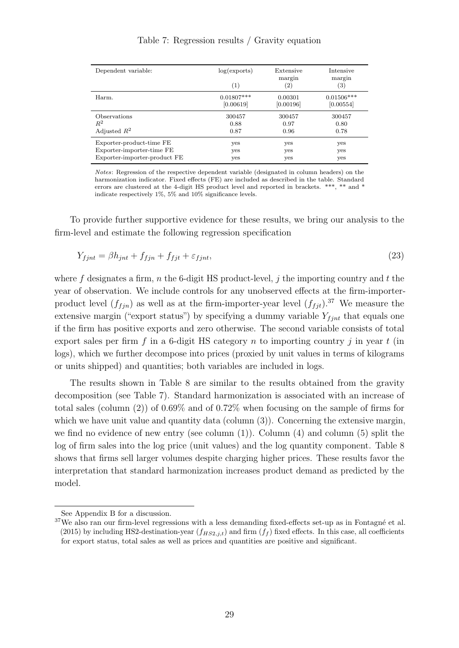<span id="page-29-0"></span>

| log(exports)<br>Extensive                         | Intensive                   |
|---------------------------------------------------|-----------------------------|
| margin<br>$\left( 2\right)$                       | margin<br>$\left( 3\right)$ |
| $0.01807***$<br>0.00301<br>[0.00619]<br>[0.00196] | $0.01506***$<br>[0.00554]   |
| 300457<br>300457<br>0.88<br>0.97<br>0.96          | 300457<br>0.80<br>0.78      |
| yes<br>yes<br>yes                                 | yes<br>yes<br>yes           |
|                                                   |                             |

Table 7: Regression results / Gravity equation

<span id="page-29-2"></span>Notes: Regression of the respective dependent variable (designated in column headers) on the harmonization indicator. Fixed effects (FE) are included as described in the table. Standard errors are clustered at the 4-digit HS product level and reported in brackets. \*\*\*, \*\* and \* indicate respectively 1%, 5% and 10% significance levels.

To provide further supportive evidence for these results, we bring our analysis to the firm-level and estimate the following regression specification

$$
Y_{fjnt} = \beta h_{jnt} + f_{fjnt} + f_{fjt} + \varepsilon_{fjnt},\tag{23}
$$

where f designates a firm, n the 6-digit HS product-level, j the importing country and t the year of observation. We include controls for any unobserved effects at the firm-importerproduct level  $(f_{f j n})$  as well as at the firm-importer-year level  $(f_{f j t})$ .<sup>[37](#page-29-1)</sup> We measure the extensive margin ("export status") by specifying a dummy variable  $Y_{f\text{int}}$  that equals one if the firm has positive exports and zero otherwise. The second variable consists of total export sales per firm f in a 6-digit HS category n to importing country j in year t (in logs), which we further decompose into prices (proxied by unit values in terms of kilograms or units shipped) and quantities; both variables are included in logs.

The results shown in Table [8](#page-30-0) are similar to the results obtained from the gravity decomposition (see Table [7\)](#page-29-0). Standard harmonization is associated with an increase of total sales (column (2)) of 0.69% and of 0.72% when focusing on the sample of firms for which we have unit value and quantity data (column  $(3)$ ). Concerning the extensive margin, we find no evidence of new entry (see column  $(1)$ ). Column  $(4)$  and column  $(5)$  split the log of firm sales into the log price (unit values) and the log quantity component. Table [8](#page-30-0) shows that firms sell larger volumes despite charging higher prices. These results favor the interpretation that standard harmonization increases product demand as predicted by the model.

See Appendix [B](#page-47-0) for a discussion.

<span id="page-29-1"></span> $37$ We also ran our firm-level regressions with a less demanding fixed-effects set-up as in Fontagné et al. [\(2015\)](#page-38-8) by including HS2-destination-year  $(f_{HS2,j,t})$  and firm  $(f_f)$  fixed effects. In this case, all coefficients for export status, total sales as well as prices and quantities are positive and significant.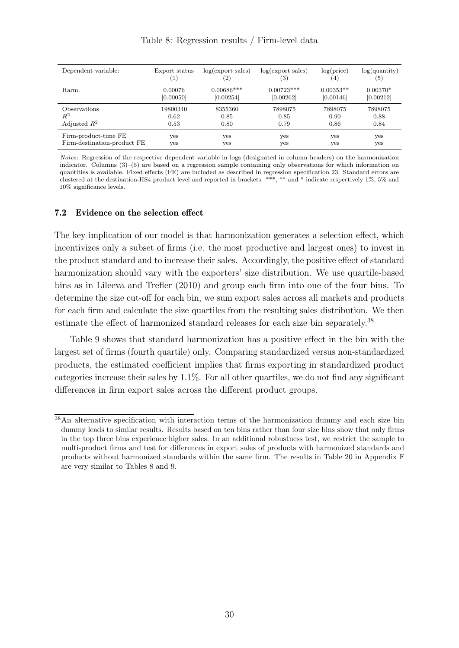<span id="page-30-0"></span>

| Dependent variable:         | Export status    | log(export sales) | log(export sales) | log(price)     | $log($ quantity $)$ |
|-----------------------------|------------------|-------------------|-------------------|----------------|---------------------|
|                             | $\left(1\right)$ | $\left( 2\right)$ | (3)               | $\overline{4}$ | (5)                 |
| Harm.                       | 0.00076          | $0.00686***$      | $0.00723***$      | $0.00353**$    | $0.00370*$          |
|                             | [0.00050]        | [0.00254]         | [0.00262]         | [0.00146]      | [0.00212]           |
| Observations                | 19800340         | 8355360           | 7898075           | 7898075        | 7898075             |
| $R^2$                       | 0.62             | 0.85              | 0.85              | 0.90           | 0.88                |
| Adjusted $R^2$              | 0.53             | 0.80              | 0.79              | 0.86           | 0.84                |
| Firm-product-time FE        | yes              | yes               | yes               | yes            | yes                 |
| Firm-destination-product FE | yes              | yes               | yes               | yes            | yes                 |

Notes: Regression of the respective dependent variable in logs (designated in column headers) on the harmonization indicator. Columns (3)–(5) are based on a regression sample containing only observations for which information on quantities is available. Fixed effects (FE) are included as described in regression specification [23.](#page-29-2) Standard errors are clustered at the destination-HS4 product level and reported in brackets. \*\*\*, \*\* and \* indicate respectively 1%, 5% and 10% significance levels.

#### 7.2 Evidence on the selection effect

The key implication of our model is that harmonization generates a selection effect, which incentivizes only a subset of firms (i.e. the most productive and largest ones) to invest in the product standard and to increase their sales. Accordingly, the positive effect of standard harmonization should vary with the exporters' size distribution. We use quartile-based bins as in [Lileeva and Trefler](#page-39-4) [\(2010\)](#page-39-4) and group each firm into one of the four bins. To determine the size cut-off for each bin, we sum export sales across all markets and products for each firm and calculate the size quartiles from the resulting sales distribution. We then estimate the effect of harmonized standard releases for each size bin separately.<sup>[38](#page-30-1)</sup>

Table [9](#page-31-0) shows that standard harmonization has a positive effect in the bin with the largest set of firms (fourth quartile) only. Comparing standardized versus non-standardized products, the estimated coefficient implies that firms exporting in standardized product categories increase their sales by 1.1%. For all other quartiles, we do not find any significant differences in firm export sales across the different product groups.

<span id="page-30-1"></span><sup>38</sup>An alternative specification with interaction terms of the harmonization dummy and each size bin dummy leads to similar results. Results based on ten bins rather than four size bins show that only firms in the top three bins experience higher sales. In an additional robustness test, we restrict the sample to multi-product firms and test for differences in export sales of products with harmonized standards and products without harmonized standards within the same firm. The results in Table [20](#page-63-0) in Appendix [F](#page-60-0) are very similar to Tables [8](#page-30-0) and [9.](#page-31-0)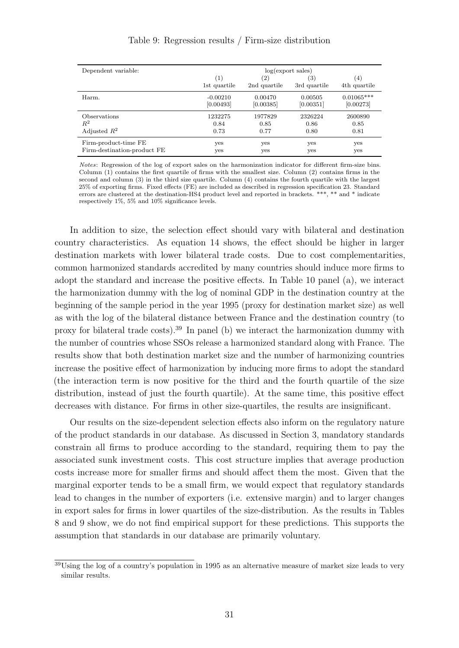<span id="page-31-0"></span>

| Dependent variable:         | log(export sales) |              |              |                   |  |
|-----------------------------|-------------------|--------------|--------------|-------------------|--|
|                             | (1)               | (2)          | 3)           | $\left( 4\right)$ |  |
|                             | 1st quartile      | 2nd quartile | 3rd quartile | 4th quartile      |  |
| Harm.                       | $-0.00210$        | 0.00470      | 0.00505      | $0.01065***$      |  |
|                             | [0.00493]         | [0.00385]    | [0.00351]    | [0.00273]         |  |
| Observations                | 1232275           | 1977829      | 2326224      | 2600890           |  |
| $R^2$                       | 0.84              | 0.85         | 0.86         | 0.85              |  |
| Adjusted $R^2$              | 0.73              | 0.77         | 0.80         | 0.81              |  |
| Firm-product-time FE        | yes               | yes          | yes          | yes               |  |
| Firm-destination-product FE | yes               | yes          | yes          | yes               |  |

#### Table 9: Regression results / Firm-size distribution

Notes: Regression of the log of export sales on the harmonization indicator for different firm-size bins. Column (1) contains the first quartile of firms with the smallest size. Column (2) contains firms in the second and column (3) in the third size quartile. Column (4) contains the fourth quartile with the largest 25% of exporting firms. Fixed effects (FE) are included as described in regression specification [23.](#page-29-2) Standard errors are clustered at the destination-HS4 product level and reported in brackets. \*\*\*, \*\* and \* indicate respectively 1%, 5% and 10% significance levels.

In addition to size, the selection effect should vary with bilateral and destination country characteristics. As equation [14](#page-12-3) shows, the effect should be higher in larger destination markets with lower bilateral trade costs. Due to cost complementarities, common harmonized standards accredited by many countries should induce more firms to adopt the standard and increase the positive effects. In Table [10](#page-32-0) panel (a), we interact the harmonization dummy with the log of nominal GDP in the destination country at the beginning of the sample period in the year 1995 (proxy for destination market size) as well as with the log of the bilateral distance between France and the destination country (to proxy for bilateral trade costs).[39](#page-31-1) In panel (b) we interact the harmonization dummy with the number of countries whose SSOs release a harmonized standard along with France. The results show that both destination market size and the number of harmonizing countries increase the positive effect of harmonization by inducing more firms to adopt the standard (the interaction term is now positive for the third and the fourth quartile of the size distribution, instead of just the fourth quartile). At the same time, this positive effect decreases with distance. For firms in other size-quartiles, the results are insignificant.

Our results on the size-dependent selection effects also inform on the regulatory nature of the product standards in our database. As discussed in Section [3,](#page-8-0) mandatory standards constrain all firms to produce according to the standard, requiring them to pay the associated sunk investment costs. This cost structure implies that average production costs increase more for smaller firms and should affect them the most. Given that the marginal exporter tends to be a small firm, we would expect that regulatory standards lead to changes in the number of exporters (i.e. extensive margin) and to larger changes in export sales for firms in lower quartiles of the size-distribution. As the results in Tables [8](#page-30-0) and [9](#page-31-0) show, we do not find empirical support for these predictions. This supports the assumption that standards in our database are primarily voluntary.

<span id="page-31-1"></span><sup>&</sup>lt;sup>39</sup>Using the log of a country's population in 1995 as an alternative measure of market size leads to very similar results.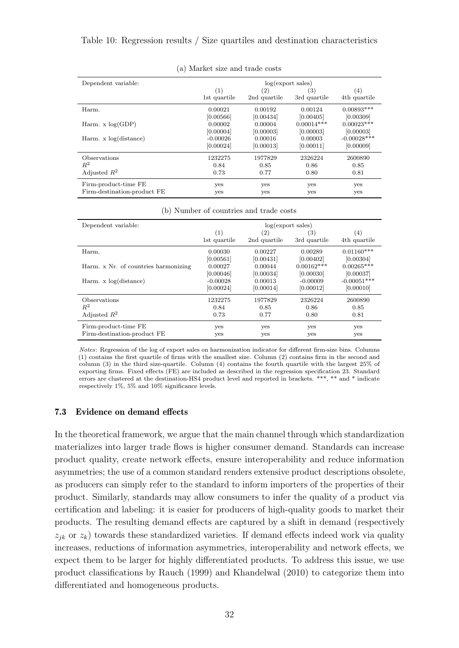<span id="page-32-0"></span>

| Dependent variable:         | log(export sales) |                   |              |               |  |
|-----------------------------|-------------------|-------------------|--------------|---------------|--|
|                             | (1)               | $\left( 2\right)$ | (3)          | (4)           |  |
|                             | 1st quartile      | 2nd quartile      | 3rd quartile | 4th quartile  |  |
| Harm.                       | 0.00021           | 0.00192           | 0.00124      | $0.00893***$  |  |
|                             | [0.00566]         | [0.00434]         | [0.00405]    | [0.00309]     |  |
| Harm. $x \log(\text{GDP})$  | 0.00002           | 0.00004           | $0.00014***$ | $0.00023***$  |  |
|                             | [0.00004]         | [0.00003]         | [0.00003]    | [0.00003]     |  |
| Harm. $x \log(distance)$    | -0.00026          | 0.00016           | 0.00003      | $-0.00028***$ |  |
|                             | [0.00024]         | [0.00013]         | [0.00011]    | [0.00009]     |  |
| Observations                | 1232275           | 1977829           | 2326224      | 2600890       |  |
| $R^2$                       | 0.84              | 0.85              | 0.86         | 0.85          |  |
| Adjusted $R^2$              | 0.73              | 0.77              | 0.80         | 0.81          |  |
| Firm-product-time FE        | yes               | yes               | yes          | yes           |  |
| Firm-destination-product FE | yes               | yes               | yes          | yes           |  |

(a) Market size and trade costs

|  |  | (b) Number of countries and trade costs |  |  |  |
|--|--|-----------------------------------------|--|--|--|
|--|--|-----------------------------------------|--|--|--|

| Dependent variable:                  | log(export sales) |                   |              |               |
|--------------------------------------|-------------------|-------------------|--------------|---------------|
|                                      | (1)               | $\left( 2\right)$ | (3)          | (4)           |
|                                      | 1st quartile      | 2nd quartile      | 3rd quartile | 4th quartile  |
| Harm.                                | 0.00030           | 0.00227           | 0.00289      | $0.01160***$  |
|                                      | [0.00561]         | [0.00431]         | [0.00402]    | [0.00304]     |
| Harm. x Nr. of countries harmonizing | 0.00027           | 0.00044           | $0.00162***$ | $0.00265***$  |
|                                      | [0.00046]         | [0.00034]         | [0.00030]    | [0.00037]     |
| Harm. $x \log(distance)$             | $-0.00028$        | 0.00013           | $-0.00009$   | $-0.00051***$ |
|                                      | [0.00024]         | [0.00014]         | [0.00012]    | [0.00010]     |
| Observations                         | 1232275           | 1977829           | 2326224      | 2600890       |
| $R^2$                                | 0.84              | 0.85              | 0.86         | 0.85          |
| Adjusted $R^2$                       | 0.73              | 0.77              | 0.80         | 0.81          |
| Firm-product-time FE                 | yes               | yes               | yes          | yes           |
| Firm-destination-product FE          | yes               | yes               | yes          | yes           |

Notes: Regression of the log of export sales on harmonization indicator for different firm-size bins. Columns (1) contains the first quartile of firms with the smallest size. Column (2) contains firm in the second and column (3) in the third size-quartile. Column (4) contains the fourth quartile with the largest 25% of exporting firms. Fixed effects (FE) are included as described in the regression specification [23.](#page-29-2) Standard errors are clustered at the destination-HS4 product level and reported in brackets. \*\*\*, \*\* and \* indicate respectively 1%, 5% and 10% significance levels.

#### 7.3 Evidence on demand effects

In the theoretical framework, we argue that the main channel through which standardization materializes into larger trade flows is higher consumer demand. Standards can increase product quality, create network effects, ensure interoperability and reduce information asymmetries; the use of a common standard renders extensive product descriptions obsolete, as producers can simply refer to the standard to inform importers of the properties of their product. Similarly, standards may allow consumers to infer the quality of a product via certification and labeling: it is easier for producers of high-quality goods to market their products. The resulting demand effects are captured by a shift in demand (respectively  $z_{ik}$  or  $z_k$ ) towards these standardized varieties. If demand effects indeed work via quality increases, reductions of information asymmetries, interoperability and network effects, we expect them to be larger for highly differentiated products. To address this issue, we use product classifications by [Rauch](#page-40-18) [\(1999\)](#page-40-18) and [Khandelwal](#page-39-14) [\(2010\)](#page-39-14) to categorize them into differentiated and homogeneous products.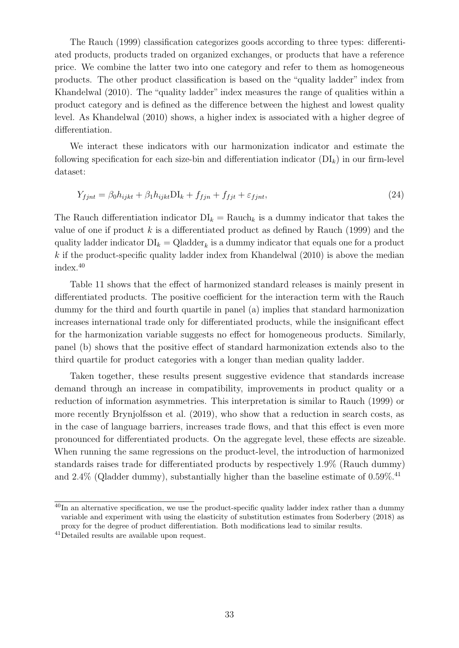The [Rauch](#page-40-18) [\(1999\)](#page-40-18) classification categorizes goods according to three types: differentiated products, products traded on organized exchanges, or products that have a reference price. We combine the latter two into one category and refer to them as homogeneous products. The other product classification is based on the "quality ladder" index from [Khandelwal](#page-39-14) [\(2010\)](#page-39-14). The "quality ladder" index measures the range of qualities within a product category and is defined as the difference between the highest and lowest quality level. As [Khandelwal](#page-39-14) [\(2010\)](#page-39-14) shows, a higher index is associated with a higher degree of differentiation.

We interact these indicators with our harmonization indicator and estimate the following specification for each size-bin and differentiation indicator  $(DI_k)$  in our firm-level dataset:

$$
Y_{fjnt} = \beta_0 h_{ijkt} + \beta_1 h_{ijkt} \text{DI}_k + f_{fjnt} + f_{fjt} + \varepsilon_{fjnt},\tag{24}
$$

The Rauch differentiation indicator  $DI_k = \text{Rauch}_k$  is a dummy indicator that takes the value of one if product k is a differentiated product as defined by [Rauch](#page-40-18)  $(1999)$  and the quality ladder indicator  $DI_k = Q$ ladder<sub>k</sub> is a dummy indicator that equals one for a product  $k$  if the product-specific quality ladder index from [Khandelwal](#page-39-14)  $(2010)$  is above the median index.[40](#page-33-0)

Table [11](#page-34-0) shows that the effect of harmonized standard releases is mainly present in differentiated products. The positive coefficient for the interaction term with the Rauch dummy for the third and fourth quartile in panel (a) implies that standard harmonization increases international trade only for differentiated products, while the insignificant effect for the harmonization variable suggests no effect for homogeneous products. Similarly, panel (b) shows that the positive effect of standard harmonization extends also to the third quartile for product categories with a longer than median quality ladder.

Taken together, these results present suggestive evidence that standards increase demand through an increase in compatibility, improvements in product quality or a reduction of information asymmetries. This interpretation is similar to [Rauch](#page-40-18) [\(1999\)](#page-40-18) or more recently [Brynjolfsson et al.](#page-37-15) [\(2019\)](#page-37-15), who show that a reduction in search costs, as in the case of language barriers, increases trade flows, and that this effect is even more pronounced for differentiated products. On the aggregate level, these effects are sizeable. When running the same regressions on the product-level, the introduction of harmonized standards raises trade for differentiated products by respectively 1.9% (Rauch dummy) and  $2.4\%$  (Qladder dummy), substantially higher than the baseline estimate of  $0.59\%$ .<sup>[41](#page-33-1)</sup>

<span id="page-33-0"></span> $^{40}$ In an alternative specification, we use the product-specific quality ladder index rather than a dummy variable and experiment with using the elasticity of substitution estimates from [Soderbery](#page-40-19) [\(2018\)](#page-40-19) as proxy for the degree of product differentiation. Both modifications lead to similar results.

<span id="page-33-1"></span><sup>41</sup>Detailed results are available upon request.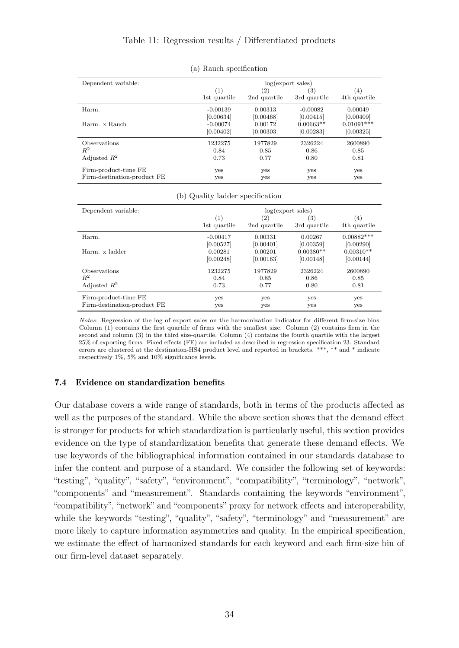<span id="page-34-0"></span>

| Dependent variable:         | log(export sales) |                   |              |              |
|-----------------------------|-------------------|-------------------|--------------|--------------|
|                             | (1)               | $\left( 2\right)$ | (3)          | (4)          |
|                             | 1st quartile      | 2nd quartile      | 3rd quartile | 4th quartile |
| Harm.                       | $-0.00139$        | 0.00313           | $-0.00082$   | 0.00049      |
|                             | [0.00634]         | [0.00468]         | [0.00415]    | [0.00409]    |
| Harm. x Rauch               | $-0.00074$        | 0.00172           | $0.00663**$  | $0.01091***$ |
|                             | [0.00402]         | [0.00303]         | [0.00283]    | [0.00325]    |
| Observations                | 1232275           | 1977829           | 2326224      | 2600890      |
| $R^2$                       | 0.84              | 0.85              | 0.86         | 0.85         |
| Adjusted $R^2$              | 0.73              | 0.77              | 0.80         | 0.81         |
| Firm-product-time FE        | yes               | yes               | yes          | yes          |
| Firm-destination-product FE | yes               | yes               | yes          | yes          |

(a) Rauch specification

|  |  |  | (b) Quality ladder specification |
|--|--|--|----------------------------------|
|--|--|--|----------------------------------|

| Dependent variable:         | log(export sales) |              |              |              |
|-----------------------------|-------------------|--------------|--------------|--------------|
|                             | (1)               | (2)          | (3)          | (4)          |
|                             | 1st quartile      | 2nd quartile | 3rd quartile | 4th quartile |
| Harm.                       | $-0.00417$        | 0.00331      | 0.00267      | $0.00882***$ |
|                             | [0.00527]         | [0.00401]    | [0.00359]    | [0.00290]    |
| Harm, x ladder              | 0.00281           | 0.00201      | $0.00380**$  | $0.00310**$  |
|                             | [0.00248]         | [0.00163]    | [0.00148]    | [0.00144]    |
| Observations                | 1232275           | 1977829      | 2326224      | 2600890      |
| $R^2$                       | 0.84              | 0.85         | 0.86         | 0.85         |
| Adjusted $R^2$              | 0.73              | 0.77         | 0.80         | 0.81         |
| Firm-product-time FE        | yes               | yes          | yes          | yes          |
| Firm-destination-product FE | yes               | yes          | yes          | yes          |

Notes: Regression of the log of export sales on the harmonization indicator for different firm-size bins. Column (1) contains the first quartile of firms with the smallest size. Column (2) contains firm in the second and column (3) in the third size-quartile. Column (4) contains the fourth quartile with the largest 25% of exporting firms. Fixed effects (FE) are included as described in regression specification [23.](#page-29-2) Standard errors are clustered at the destination-HS4 product level and reported in brackets. \*\*\*, \*\* and \* indicate respectively 1%, 5% and 10% significance levels.

## 7.4 Evidence on standardization benefits

Our database covers a wide range of standards, both in terms of the products affected as well as the purposes of the standard. While the above section shows that the demand effect is stronger for products for which standardization is particularly useful, this section provides evidence on the type of standardization benefits that generate these demand effects. We use keywords of the bibliographical information contained in our standards database to infer the content and purpose of a standard. We consider the following set of keywords: "testing", "quality", "safety", "environment", "compatibility", "terminology", "network", "components" and "measurement". Standards containing the keywords "environment", "compatibility", "network" and "components" proxy for network effects and interoperability, while the keywords "testing", "quality", "safety", "terminology" and "measurement" are more likely to capture information asymmetries and quality. In the empirical specification, we estimate the effect of harmonized standards for each keyword and each firm-size bin of our firm-level dataset separately.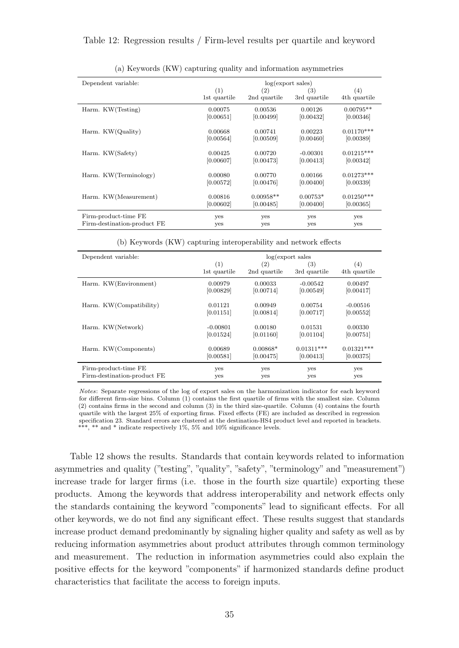#### <span id="page-35-0"></span>Table 12: Regression results / Firm-level results per quartile and keyword

| Dependent variable:         | log(export sales) |                   |              |              |
|-----------------------------|-------------------|-------------------|--------------|--------------|
|                             | (1)               | $\left( 2\right)$ | (3)          | (4)          |
|                             | 1st quartile      | 2nd quartile      | 3rd quartile | 4th quartile |
| Harm. KW(Testing)           | 0.00075           | 0.00536           | 0.00126      | $0.00795**$  |
|                             | [0.00651]         | [0.00499]         | [0.00432]    | [0.00346]    |
| Harm. KW(Quality)           | 0.00668           | 0.00741           | 0.00223      | $0.01170***$ |
|                             | [0.00564]         | [0.00509]         | [0.00460]    | [0.00389]    |
|                             |                   |                   |              |              |
| Harm. KW(Safety)            | 0.00425           | 0.00720           | $-0.00301$   | $0.01215***$ |
|                             | [0.00607]         | [0.00473]         | [0.00413]    | [0.00342]    |
| Harm. KW(Terminology)       | 0.00080           | 0.00770           | 0.00166      | $0.01273***$ |
|                             | [0.00572]         | [0.00476]         | [0.00400]    | [0.00339]    |
|                             |                   |                   |              |              |
| Harm. KW(Measurement)       | 0.00816           | $0.00958**$       | $0.00753*$   | $0.01250***$ |
|                             | [0.00602]         | [0.00485]         | [0.00400]    | [0.00365]    |
| Firm-product-time FE        | yes               | yes               | yes          | yes          |
| Firm-destination-product FE | yes               | yes               | yes          | yes          |

(a) Keywords (KW) capturing quality and information asymmetries

(b) Keywords (KW) capturing interoperability and network effects

| Dependent variable:         | log(export sales) |              |                   |              |
|-----------------------------|-------------------|--------------|-------------------|--------------|
|                             | (1)               | (2)          | $\left( 3\right)$ | (4)          |
|                             | 1st quartile      | 2nd quartile | 3rd quartile      | 4th quartile |
| Harm. KW(Environment)       | 0.00979           | 0.00033      | $-0.00542$        | 0.00497      |
|                             | [0.00829]         | [0.00714]    | [0.00549]         | [0.00417]    |
| Harm. KW(Compatibility)     | 0.01121           | 0.00949      | 0.00754           | $-0.00516$   |
|                             | [0.01151]         | [0.00814]    | [0.00717]         | [0.00552]    |
| Harm. KW(Network)           | $-0.00801$        | 0.00180      | 0.01531           | 0.00330      |
|                             | [0.01524]         | [0.01160]    | [0.01104]         | [0.00751]    |
| Harm. KW(Components)        | 0.00689           | $0.00868*$   | $0.01311***$      | $0.01321***$ |
|                             | [0.00581]         | [0.00475]    | [0.00413]         | [0.00375]    |
| Firm-product-time FE        | yes               | yes          | yes               | yes          |
| Firm-destination-product FE | yes               | yes          | yes               | yes          |

Notes: Separate regressions of the log of export sales on the harmonization indicator for each keyword for different firm-size bins. Column (1) contains the first quartile of firms with the smallest size. Column (2) contains firms in the second and column (3) in the third size-quartile. Column (4) contains the fourth quartile with the largest 25% of exporting firms. Fixed effects (FE) are included as described in regression specification [23.](#page-29-2) Standard errors are clustered at the destination-HS4 product level and reported in brackets. \*\*\*, \*\* and \* indicate respectively 1%, 5% and 10% significance levels.

Table [12](#page-35-0) shows the results. Standards that contain keywords related to information asymmetries and quality ("testing", "quality", "safety", "terminology" and "measurement") increase trade for larger firms (i.e. those in the fourth size quartile) exporting these products. Among the keywords that address interoperability and network effects only the standards containing the keyword "components" lead to significant effects. For all other keywords, we do not find any significant effect. These results suggest that standards increase product demand predominantly by signaling higher quality and safety as well as by reducing information asymmetries about product attributes through common terminology and measurement. The reduction in information asymmetries could also explain the positive effects for the keyword "components" if harmonized standards define product characteristics that facilitate the access to foreign inputs.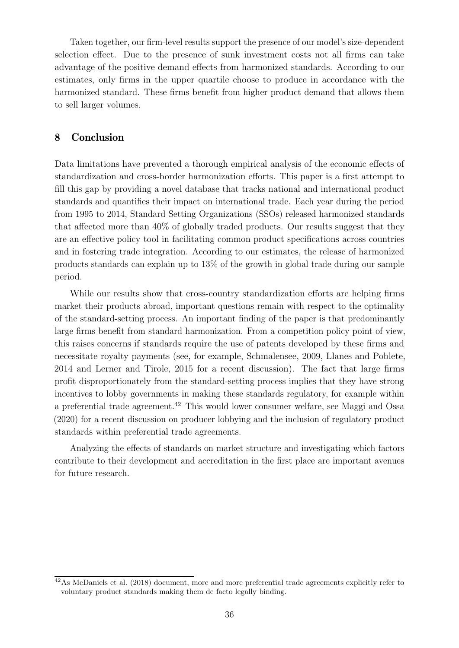Taken together, our firm-level results support the presence of our model's size-dependent selection effect. Due to the presence of sunk investment costs not all firms can take advantage of the positive demand effects from harmonized standards. According to our estimates, only firms in the upper quartile choose to produce in accordance with the harmonized standard. These firms benefit from higher product demand that allows them to sell larger volumes.

# 8 Conclusion

Data limitations have prevented a thorough empirical analysis of the economic effects of standardization and cross-border harmonization efforts. This paper is a first attempt to fill this gap by providing a novel database that tracks national and international product standards and quantifies their impact on international trade. Each year during the period from 1995 to 2014, Standard Setting Organizations (SSOs) released harmonized standards that affected more than 40% of globally traded products. Our results suggest that they are an effective policy tool in facilitating common product specifications across countries and in fostering trade integration. According to our estimates, the release of harmonized products standards can explain up to 13% of the growth in global trade during our sample period.

While our results show that cross-country standardization efforts are helping firms market their products abroad, important questions remain with respect to the optimality of the standard-setting process. An important finding of the paper is that predominantly large firms benefit from standard harmonization. From a competition policy point of view, this raises concerns if standards require the use of patents developed by these firms and necessitate royalty payments (see, for example, [Schmalensee,](#page-40-12) [2009,](#page-40-12) [Llanes and Poblete,](#page-39-10) [2014](#page-39-10) and [Lerner and Tirole,](#page-39-9) [2015](#page-39-9) for a recent discussion). The fact that large firms profit disproportionately from the standard-setting process implies that they have strong incentives to lobby governments in making these standards regulatory, for example within a preferential trade agreement.[42](#page-36-0) This would lower consumer welfare, see [Maggi and Ossa](#page-39-8) [\(2020\)](#page-39-8) for a recent discussion on producer lobbying and the inclusion of regulatory product standards within preferential trade agreements.

Analyzing the effects of standards on market structure and investigating which factors contribute to their development and accreditation in the first place are important avenues for future research.

<span id="page-36-0"></span><sup>42</sup>As [McDaniels et al.](#page-39-15) [\(2018\)](#page-39-15) document, more and more preferential trade agreements explicitly refer to voluntary product standards making them de facto legally binding.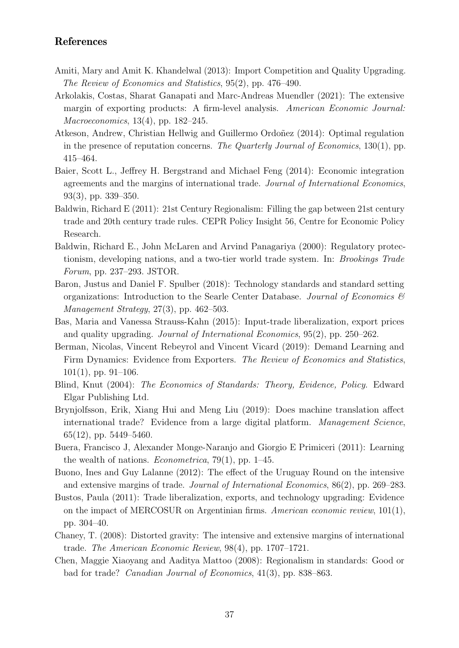# References

- <span id="page-37-4"></span>Amiti, Mary and Amit K. Khandelwal (2013): Import Competition and Quality Upgrading. The Review of Economics and Statistics, 95(2), pp. 476–490.
- <span id="page-37-6"></span>Arkolakis, Costas, Sharat Ganapati and Marc-Andreas Muendler (2021): The extensive margin of exporting products: A firm-level analysis. American Economic Journal: Macroeconomics, 13(4), pp. 182–245.
- <span id="page-37-3"></span>Atkeson, Andrew, Christian Hellwig and Guillermo Ordoñez (2014): Optimal regulation in the presence of reputation concerns. The Quarterly Journal of Economics, 130(1), pp. 415–464.
- <span id="page-37-12"></span>Baier, Scott L., Jeffrey H. Bergstrand and Michael Feng (2014): Economic integration agreements and the margins of international trade. Journal of International Economics, 93(3), pp. 339–350.
- <span id="page-37-10"></span>Baldwin, Richard E (2011): 21st Century Regionalism: Filling the gap between 21st century trade and 20th century trade rules. CEPR Policy Insight 56, Centre for Economic Policy Research.
- <span id="page-37-2"></span>Baldwin, Richard E., John McLaren and Arvind Panagariya (2000): Regulatory protectionism, developing nations, and a two-tier world trade system. In: Brookings Trade Forum, pp. 237–293. JSTOR.
- <span id="page-37-0"></span>Baron, Justus and Daniel F. Spulber (2018): Technology standards and standard setting organizations: Introduction to the Searle Center Database. Journal of Economics  $\mathscr$ Management Strategy, 27(3), pp. 462–503.
- <span id="page-37-5"></span>Bas, Maria and Vanessa Strauss-Kahn (2015): Input-trade liberalization, export prices and quality upgrading. Journal of International Economics, 95(2), pp. 250–262.
- <span id="page-37-9"></span>Berman, Nicolas, Vincent Rebeyrol and Vincent Vicard (2019): Demand Learning and Firm Dynamics: Evidence from Exporters. The Review of Economics and Statistics,  $101(1)$ , pp. 91–106.
- <span id="page-37-7"></span>Blind, Knut (2004): The Economics of Standards: Theory, Evidence, Policy. Edward Elgar Publishing Ltd.
- <span id="page-37-15"></span>Brynjolfsson, Erik, Xiang Hui and Meng Liu (2019): Does machine translation affect international trade? Evidence from a large digital platform. Management Science, 65(12), pp. 5449–5460.
- <span id="page-37-13"></span>Buera, Francisco J, Alexander Monge-Naranjo and Giorgio E Primiceri (2011): Learning the wealth of nations. *Econometrica*,  $79(1)$ , pp. 1–45.
- <span id="page-37-14"></span>Buono, Ines and Guy Lalanne (2012): The effect of the Uruguay Round on the intensive and extensive margins of trade. Journal of International Economics, 86(2), pp. 269–283.
- <span id="page-37-1"></span>Bustos, Paula (2011): Trade liberalization, exports, and technology upgrading: Evidence on the impact of MERCOSUR on Argentinian firms. American economic review, 101(1), pp. 304–40.
- <span id="page-37-11"></span>Chaney, T. (2008): Distorted gravity: The intensive and extensive margins of international trade. The American Economic Review, 98(4), pp. 1707–1721.
- <span id="page-37-8"></span>Chen, Maggie Xiaoyang and Aaditya Mattoo (2008): Regionalism in standards: Good or bad for trade? Canadian Journal of Economics, 41(3), pp. 838–863.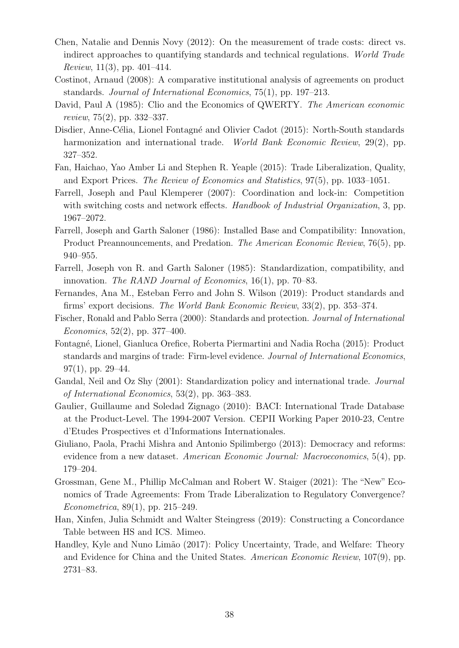- <span id="page-38-7"></span>Chen, Natalie and Dennis Novy (2012): On the measurement of trade costs: direct vs. indirect approaches to quantifying standards and technical regulations. World Trade *Review*, 11(3), pp. 401–414.
- <span id="page-38-1"></span>Costinot, Arnaud (2008): A comparative institutional analysis of agreements on product standards. Journal of International Economics, 75(1), pp. 197–213.
- <span id="page-38-12"></span>David, Paul A (1985): Clio and the Economics of QWERTY. The American economic review, 75(2), pp. 332–337.
- <span id="page-38-10"></span>Disdier, Anne-Célia, Lionel Fontagné and Olivier Cadot (2015): North-South standards harmonization and international trade. World Bank Economic Review, 29(2), pp. 327–352.
- <span id="page-38-5"></span>Fan, Haichao, Yao Amber Li and Stephen R. Yeaple (2015): Trade Liberalization, Quality, and Export Prices. The Review of Economics and Statistics, 97(5), pp. 1033–1051.
- <span id="page-38-4"></span>Farrell, Joseph and Paul Klemperer (2007): Coordination and lock-in: Competition with switching costs and network effects. Handbook of Industrial Organization, 3, pp. 1967–2072.
- <span id="page-38-13"></span>Farrell, Joseph and Garth Saloner (1986): Installed Base and Compatibility: Innovation, Product Preannouncements, and Predation. The American Economic Review, 76(5), pp. 940–955.
- <span id="page-38-0"></span>Farrell, Joseph von R. and Garth Saloner (1985): Standardization, compatibility, and innovation. The RAND Journal of Economics, 16(1), pp. 70–83.
- <span id="page-38-9"></span>Fernandes, Ana M., Esteban Ferro and John S. Wilson (2019): Product standards and firms' export decisions. The World Bank Economic Review, 33(2), pp. 353–374.
- <span id="page-38-3"></span>Fischer, Ronald and Pablo Serra (2000): Standards and protection. Journal of International Economics,  $52(2)$ , pp. 377–400.
- <span id="page-38-8"></span>Fontagn´e, Lionel, Gianluca Orefice, Roberta Piermartini and Nadia Rocha (2015): Product standards and margins of trade: Firm-level evidence. Journal of International Economics,  $97(1)$ , pp.  $29-44$ .
- <span id="page-38-2"></span>Gandal, Neil and Oz Shy (2001): Standardization policy and international trade. Journal of International Economics, 53(2), pp. 363–383.
- <span id="page-38-14"></span>Gaulier, Guillaume and Soledad Zignago (2010): BACI: International Trade Database at the Product-Level. The 1994-2007 Version. CEPII Working Paper 2010-23, Centre d'Etudes Prospectives et d'Informations Internationales.
- <span id="page-38-16"></span>Giuliano, Paola, Prachi Mishra and Antonio Spilimbergo (2013): Democracy and reforms: evidence from a new dataset. American Economic Journal: Macroeconomics, 5(4), pp. 179–204.
- <span id="page-38-11"></span>Grossman, Gene M., Phillip McCalman and Robert W. Staiger (2021): The "New" Economics of Trade Agreements: From Trade Liberalization to Regulatory Convergence? Econometrica, 89(1), pp. 215–249.
- <span id="page-38-15"></span>Han, Xinfen, Julia Schmidt and Walter Steingress (2019): Constructing a Concordance Table between HS and ICS. Mimeo.
- <span id="page-38-6"></span>Handley, Kyle and Nuno Limão (2017): Policy Uncertainty, Trade, and Welfare: Theory and Evidence for China and the United States. American Economic Review, 107(9), pp. 2731–83.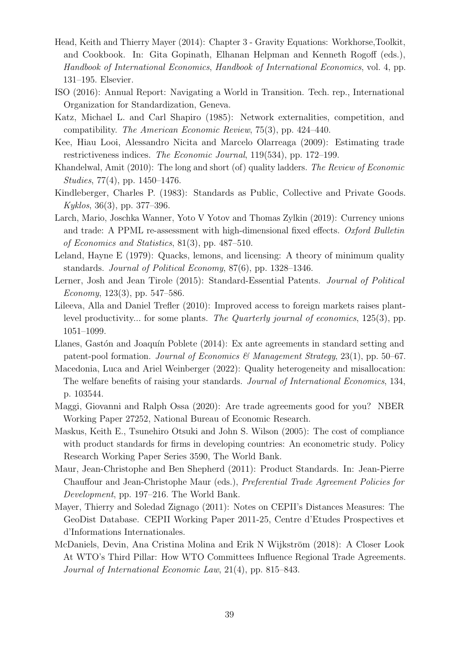- <span id="page-39-12"></span>Head, Keith and Thierry Mayer (2014): Chapter 3 - Gravity Equations: Workhorse,Toolkit, and Cookbook. In: Gita Gopinath, Elhanan Helpman and Kenneth Rogoff (eds.), Handbook of International Economics, Handbook of International Economics, vol. 4, pp. 131–195. Elsevier.
- <span id="page-39-0"></span>ISO (2016): Annual Report: Navigating a World in Transition. Tech. rep., International Organization for Standardization, Geneva.
- <span id="page-39-3"></span>Katz, Michael L. and Carl Shapiro (1985): Network externalities, competition, and compatibility. The American Economic Review, 75(3), pp. 424–440.
- <span id="page-39-11"></span>Kee, Hiau Looi, Alessandro Nicita and Marcelo Olarreaga (2009): Estimating trade restrictiveness indices. The Economic Journal, 119(534), pp. 172–199.
- <span id="page-39-14"></span>Khandelwal, Amit (2010): The long and short (of) quality ladders. The Review of Economic Studies, 77(4), pp. 1450–1476.
- <span id="page-39-1"></span>Kindleberger, Charles P. (1983): Standards as Public, Collective and Private Goods.  $Kyklos, 36(3), pp. 377-396.$
- <span id="page-39-16"></span>Larch, Mario, Joschka Wanner, Yoto V Yotov and Thomas Zylkin (2019): Currency unions and trade: A PPML re-assessment with high-dimensional fixed effects. Oxford Bulletin of Economics and Statistics, 81(3), pp. 487–510.
- <span id="page-39-2"></span>Leland, Hayne E (1979): Quacks, lemons, and licensing: A theory of minimum quality standards. Journal of Political Economy, 87(6), pp. 1328–1346.
- <span id="page-39-9"></span>Lerner, Josh and Jean Tirole (2015): Standard-Essential Patents. Journal of Political Economy,  $123(3)$ , pp.  $547-586$ .
- <span id="page-39-4"></span>Lileeva, Alla and Daniel Trefler (2010): Improved access to foreign markets raises plantlevel productivity... for some plants. The Quarterly journal of economics, 125(3), pp. 1051–1099.
- <span id="page-39-10"></span>Llanes, Gastón and Joaquín Poblete (2014): Ex ante agreements in standard setting and patent-pool formation. Journal of Economics & Management Strategy, 23(1), pp. 50–67.
- <span id="page-39-5"></span>Macedonia, Luca and Ariel Weinberger (2022): Quality heterogeneity and misallocation: The welfare benefits of raising your standards. Journal of International Economics, 134, p. 103544.
- <span id="page-39-8"></span>Maggi, Giovanni and Ralph Ossa (2020): Are trade agreements good for you? NBER Working Paper 27252, National Bureau of Economic Research.
- <span id="page-39-6"></span>Maskus, Keith E., Tsunehiro Otsuki and John S. Wilson (2005): The cost of compliance with product standards for firms in developing countries: An econometric study. Policy Research Working Paper Series 3590, The World Bank.
- <span id="page-39-7"></span>Maur, Jean-Christophe and Ben Shepherd (2011): Product Standards. In: Jean-Pierre Chauffour and Jean-Christophe Maur (eds.), Preferential Trade Agreement Policies for Development, pp. 197–216. The World Bank.
- <span id="page-39-13"></span>Mayer, Thierry and Soledad Zignago (2011): Notes on CEPII's Distances Measures: The GeoDist Database. CEPII Working Paper 2011-25, Centre d'Etudes Prospectives et d'Informations Internationales.
- <span id="page-39-15"></span>McDaniels, Devin, Ana Cristina Molina and Erik N Wijkström (2018): A Closer Look At WTO's Third Pillar: How WTO Committees Influence Regional Trade Agreements. Journal of International Economic Law, 21(4), pp. 815–843.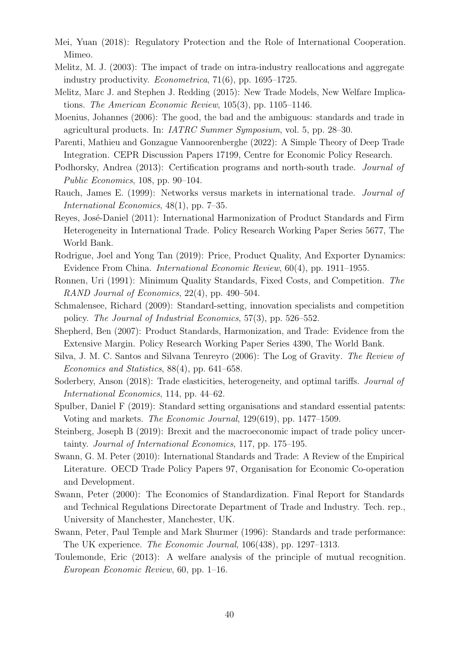- <span id="page-40-2"></span>Mei, Yuan (2018): Regulatory Protection and the Role of International Cooperation. Mimeo.
- <span id="page-40-13"></span>Melitz, M. J. (2003): The impact of trade on intra-industry reallocations and aggregate industry productivity. Econometrica, 71(6), pp. 1695–1725.
- <span id="page-40-15"></span>Melitz, Marc J. and Stephen J. Redding (2015): New Trade Models, New Welfare Implications. The American Economic Review, 105(3), pp. 1105–1146.
- <span id="page-40-16"></span>Moenius, Johannes (2006): The good, the bad and the ambiguous: standards and trade in agricultural products. In: IATRC Summer Symposium, vol. 5, pp. 28–30.
- <span id="page-40-9"></span>Parenti, Mathieu and Gonzague Vannoorenberghe (2022): A Simple Theory of Deep Trade Integration. CEPR Discussion Papers 17199, Centre for Economic Policy Research.
- <span id="page-40-1"></span>Podhorsky, Andrea (2013): Certification programs and north-south trade. Journal of Public Economics, 108, pp. 90–104.
- <span id="page-40-18"></span>Rauch, James E. (1999): Networks versus markets in international trade. Journal of International Economics, 48(1), pp. 7–35.
- <span id="page-40-8"></span>Reyes, José-Daniel (2011): International Harmonization of Product Standards and Firm Heterogeneity in International Trade. Policy Research Working Paper Series 5677, The World Bank.
- <span id="page-40-6"></span>Rodrigue, Joel and Yong Tan (2019): Price, Product Quality, And Exporter Dynamics: Evidence From China. International Economic Review, 60(4), pp. 1911–1955.
- <span id="page-40-0"></span>Ronnen, Uri (1991): Minimum Quality Standards, Fixed Costs, and Competition. The RAND Journal of Economics, 22(4), pp. 490–504.
- <span id="page-40-12"></span>Schmalensee, Richard (2009): Standard-setting, innovation specialists and competition policy. The Journal of Industrial Economics, 57(3), pp. 526–552.
- <span id="page-40-14"></span>Shepherd, Ben (2007): Product Standards, Harmonization, and Trade: Evidence from the Extensive Margin. Policy Research Working Paper Series 4390, The World Bank.
- <span id="page-40-17"></span>Silva, J. M. C. Santos and Silvana Tenreyro (2006): The Log of Gravity. The Review of Economics and Statistics, 88(4), pp. 641–658.
- <span id="page-40-19"></span>Soderbery, Anson (2018): Trade elasticities, heterogeneity, and optimal tariffs. *Journal of* International Economics, 114, pp. 44–62.
- <span id="page-40-10"></span>Spulber, Daniel F (2019): Standard setting organisations and standard essential patents: Voting and markets. The Economic Journal, 129(619), pp. 1477–1509.
- <span id="page-40-4"></span>Steinberg, Joseph B (2019): Brexit and the macroeconomic impact of trade policy uncertainty. Journal of International Economics, 117, pp. 175–195.
- <span id="page-40-7"></span>Swann, G. M. Peter (2010): International Standards and Trade: A Review of the Empirical Literature. OECD Trade Policy Papers 97, Organisation for Economic Co-operation and Development.
- <span id="page-40-11"></span>Swann, Peter (2000): The Economics of Standardization. Final Report for Standards and Technical Regulations Directorate Department of Trade and Industry. Tech. rep., University of Manchester, Manchester, UK.
- <span id="page-40-5"></span>Swann, Peter, Paul Temple and Mark Shurmer (1996): Standards and trade performance: The UK experience. The Economic Journal, 106(438), pp. 1297–1313.
- <span id="page-40-3"></span>Toulemonde, Eric (2013): A welfare analysis of the principle of mutual recognition. European Economic Review, 60, pp. 1–16.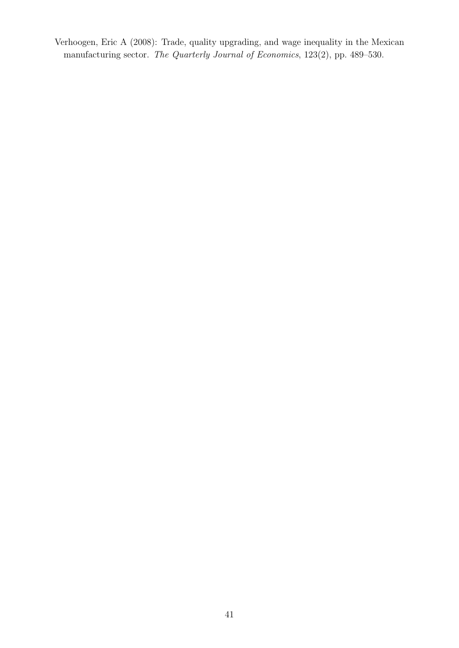<span id="page-41-0"></span>Verhoogen, Eric A (2008): Trade, quality upgrading, and wage inequality in the Mexican manufacturing sector. The Quarterly Journal of Economics, 123(2), pp. 489–530.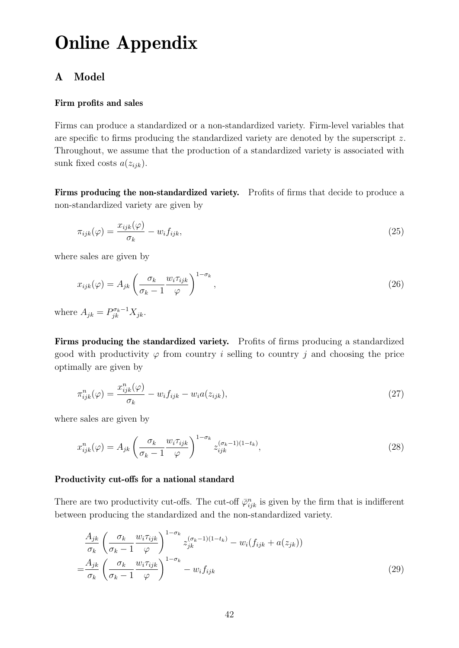# Online Appendix

# <span id="page-42-0"></span>A Model

## Firm profits and sales

Firms can produce a standardized or a non-standardized variety. Firm-level variables that are specific to firms producing the standardized variety are denoted by the superscript z. Throughout, we assume that the production of a standardized variety is associated with sunk fixed costs  $a(z_{ijk})$ .

Firms producing the non-standardized variety. Profits of firms that decide to produce a non-standardized variety are given by

$$
\pi_{ijk}(\varphi) = \frac{x_{ijk}(\varphi)}{\sigma_k} - w_i f_{ijk},\tag{25}
$$

where sales are given by

$$
x_{ijk}(\varphi) = A_{jk} \left( \frac{\sigma_k}{\sigma_k - 1} \frac{w_i \tau_{ijk}}{\varphi} \right)^{1 - \sigma_k}, \qquad (26)
$$

where  $A_{jk} = P_{jk}^{\sigma_k - 1} X_{jk}$ .

Firms producing the standardized variety. Profits of firms producing a standardized good with productivity  $\varphi$  from country *i* selling to country *j* and choosing the price optimally are given by

$$
\pi_{ijk}^n(\varphi) = \frac{x_{ijk}^n(\varphi)}{\sigma_k} - w_i f_{ijk} - w_i a(z_{ijk}),\tag{27}
$$

where sales are given by

$$
x_{ijk}^n(\varphi) = A_{jk} \left( \frac{\sigma_k}{\sigma_k - 1} \frac{w_i \tau_{ijk}}{\varphi} \right)^{1 - \sigma_k} z_{ijk}^{(\sigma_k - 1)(1 - t_k)}, \tag{28}
$$

#### Productivity cut-offs for a national standard

There are two productivity cut-offs. The cut-off  $\bar{\varphi}_{ijk}^n$  is given by the firm that is indifferent between producing the standardized and the non-standardized variety.

$$
\frac{A_{jk}}{\sigma_k} \left( \frac{\sigma_k}{\sigma_k - 1} \frac{w_i \tau_{ijk}}{\varphi} \right)^{1 - \sigma_k} z_{jk}^{(\sigma_k - 1)(1 - t_k)} - w_i (f_{ijk} + a(z_{jk}))
$$
\n
$$
= \frac{A_{jk}}{\sigma_k} \left( \frac{\sigma_k}{\sigma_k - 1} \frac{w_i \tau_{ijk}}{\varphi} \right)^{1 - \sigma_k} - w_i f_{ijk}
$$
\n(29)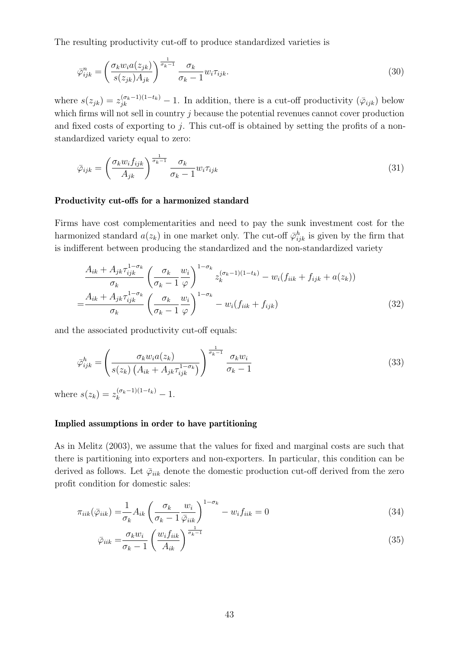The resulting productivity cut-off to produce standardized varieties is

$$
\bar{\varphi}_{ijk}^{n} = \left(\frac{\sigma_k w_i a(z_{jk})}{s(z_{jk}) A_{jk}}\right)^{\frac{1}{\sigma_k - 1}} \frac{\sigma_k}{\sigma_k - 1} w_i \tau_{ijk}.
$$
\n(30)

where  $s(z_{jk}) = z_{jk}^{(\sigma_k - 1)(1 - t_k)} - 1$ . In addition, there is a cut-off productivity  $(\bar{\varphi}_{ijk})$  below which firms will not sell in country  $j$  because the potential revenues cannot cover production and fixed costs of exporting to  $j$ . This cut-off is obtained by setting the profits of a nonstandardized variety equal to zero:

$$
\bar{\varphi}_{ijk} = \left(\frac{\sigma_k w_i f_{ijk}}{A_{jk}}\right)^{\frac{1}{\sigma_k - 1}} \frac{\sigma_k}{\sigma_k - 1} w_i \tau_{ijk} \tag{31}
$$

#### Productivity cut-offs for a harmonized standard

Firms have cost complementarities and need to pay the sunk investment cost for the harmonized standard  $a(z_k)$  in one market only. The cut-off  $\overline{\varphi}_{ijk}^h$  is given by the firm that is indifferent between producing the standardized and the non-standardized variety

$$
\frac{A_{ik} + A_{jk}\tau_{ijk}^{1-\sigma_k}}{\sigma_k} \left(\frac{\sigma_k}{\sigma_k - 1} \frac{w_i}{\varphi}\right)^{1-\sigma_k} z_k^{(\sigma_k - 1)(1-t_k)} - w_i(f_{iik} + f_{ijk} + a(z_k))
$$
\n
$$
= \frac{A_{ik} + A_{jk}\tau_{ijk}^{1-\sigma_k}}{\sigma_k} \left(\frac{\sigma_k}{\sigma_k - 1} \frac{w_i}{\varphi}\right)^{1-\sigma_k} - w_i(f_{iik} + f_{ijk})
$$
\n(32)

and the associated productivity cut-off equals:

$$
\bar{\varphi}_{ijk}^{h} = \left(\frac{\sigma_k w_i a(z_k)}{s(z_k) \left(A_{ik} + A_{jk} \tau_{ijk}^{1 - \sigma_k}\right)}\right)^{\frac{1}{\sigma_k - 1}} \frac{\sigma_k w_i}{\sigma_k - 1} \tag{33}
$$

where  $s(z_k) = z_k^{(\sigma_k - 1)(1 - t_k)} - 1$ .

#### Implied assumptions in order to have partitioning

As in [Melitz](#page-40-13) [\(2003\)](#page-40-13), we assume that the values for fixed and marginal costs are such that there is partitioning into exporters and non-exporters. In particular, this condition can be derived as follows. Let  $\bar{\varphi}_{ijk}$  denote the domestic production cut-off derived from the zero profit condition for domestic sales:

$$
\pi_{iik}(\bar{\varphi}_{iik}) = \frac{1}{\sigma_k} A_{ik} \left( \frac{\sigma_k}{\sigma_k - 1} \frac{w_i}{\bar{\varphi}_{iik}} \right)^{1 - \sigma_k} - w_i f_{iik} = 0 \tag{34}
$$

<span id="page-43-0"></span>
$$
\bar{\varphi}_{iik} = \frac{\sigma_k w_i}{\sigma_k - 1} \left( \frac{w_i f_{iik}}{A_{ik}} \right)^{\frac{1}{\sigma_k - 1}}
$$
\n(35)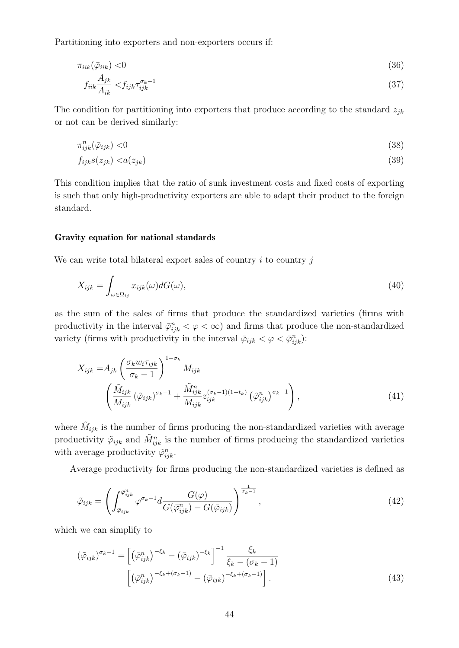Partitioning into exporters and non-exporters occurs if:

$$
\pi_{iik}(\bar{\varphi}_{iik}) < 0 \tag{36}
$$

$$
f_{iik}\frac{A_{jk}}{A_{ik}} < f_{ijk}\tau_{ijk}^{\sigma_k - 1} \tag{37}
$$

The condition for partitioning into exporters that produce according to the standard  $z_{ik}$ or not can be derived similarly:

$$
\pi_{ijk}^n(\bar{\varphi}_{ijk}) < 0 \tag{38}
$$

$$
f_{ijk}s(z_{jk}) < a(z_{jk}) \tag{39}
$$

This condition implies that the ratio of sunk investment costs and fixed costs of exporting is such that only high-productivity exporters are able to adapt their product to the foreign standard.

#### Gravity equation for national standards

We can write total bilateral export sales of country  $i$  to country  $j$ 

$$
X_{ijk} = \int_{\omega \in \Omega_{ij}} x_{ijk}(\omega) dG(\omega), \tag{40}
$$

as the sum of the sales of firms that produce the standardized varieties (firms with productivity in the interval  $\bar{\varphi}_{ijk}^n < \varphi < \infty$  and firms that produce the non-standardized variety (firms with productivity in the interval  $\bar{\varphi}_{ijk} < \varphi < \bar{\varphi}_{ijk}^n$ ):

$$
X_{ijk} = A_{jk} \left( \frac{\sigma_k w_i \tau_{ijk}}{\sigma_k - 1} \right)^{1 - \sigma_k} M_{ijk}
$$

$$
\left( \frac{\tilde{M}_{ijk}}{M_{ijk}} \left( \tilde{\varphi}_{ijk} \right)^{\sigma_k - 1} + \frac{\tilde{M}_{ijk}^n}{M_{ijk}} z_{ijk}^{(\sigma_k - 1)(1 - t_k)} \left( \tilde{\varphi}_{ijk}^n \right)^{\sigma_k - 1} \right), \tag{41}
$$

where  $\tilde{M}_{ijk}$  is the number of firms producing the non-standardized varieties with average productivity  $\tilde{\varphi}_{ijk}$  and  $\tilde{M}_{ijk}^n$  is the number of firms producing the standardized varieties with average productivity  $\tilde{\varphi}_{ijk}^n$ .

Average productivity for firms producing the non-standardized varieties is defined as

$$
\tilde{\varphi}_{ijk} = \left( \int_{\bar{\varphi}_{ijk}}^{\bar{\varphi}_{ijk}^n} \varphi^{\sigma_k - 1} d \frac{G(\varphi)}{G(\bar{\varphi}_{ijk}^n) - G(\bar{\varphi}_{ijk})} \right)^{\frac{1}{\sigma_k - 1}}, \qquad (42)
$$

which we can simplify to

$$
(\tilde{\varphi}_{ijk})^{\sigma_k - 1} = \left[ \left( \bar{\varphi}_{ijk}^n \right)^{-\xi_k} - \left( \bar{\varphi}_{ijk} \right)^{-\xi_k} \right]^{-1} \frac{\xi_k}{\xi_k - (\sigma_k - 1)}
$$

$$
\left[ \left( \bar{\varphi}_{ijk}^n \right)^{-\xi_k + (\sigma_k - 1)} - \left( \bar{\varphi}_{ijk} \right)^{-\xi_k + (\sigma_k - 1)} \right].
$$
(43)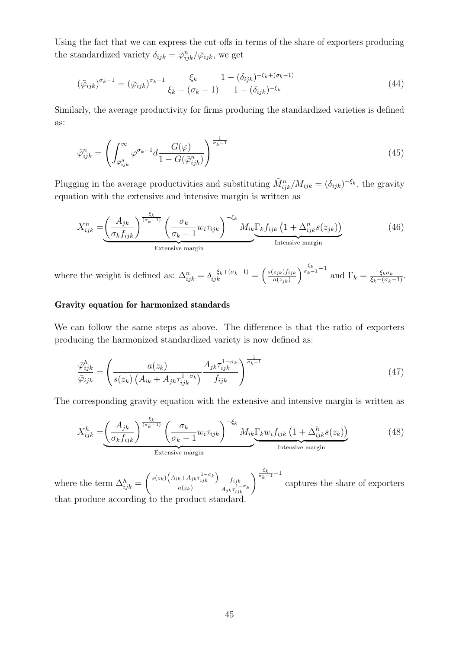Using the fact that we can express the cut-offs in terms of the share of exporters producing the standardized variety  $\delta_{ijk} = \bar{\varphi}_{ijk}^n / \bar{\varphi}_{ijk}$ , we get

$$
(\tilde{\varphi}_{ijk})^{\sigma_k - 1} = (\bar{\varphi}_{ijk})^{\sigma_k - 1} \frac{\xi_k}{\xi_k - (\sigma_k - 1)} \frac{1 - (\delta_{ijk})^{-\xi_k + (\sigma_k - 1)}}{1 - (\delta_{ijk})^{-\xi_k}}
$$
(44)

Similarly, the average productivity for firms producing the standardized varieties is defined as:

$$
\tilde{\varphi}_{ijk}^{n} = \left( \int_{\bar{\varphi}_{ijk}^{n}}^{\infty} \varphi^{\sigma_{k}-1} d \frac{G(\varphi)}{1 - G(\bar{\varphi}_{ijk}^{n})} \right)^{\frac{1}{\sigma_{k}-1}}
$$
\n(45)

Plugging in the average productivities and substituting  $\tilde{M}_{ijk}^n / M_{ijk} = (\delta_{ijk})^{-\xi_k}$ , the gravity equation with the extensive and intensive margin is written as

$$
X_{ijk}^{n} = \underbrace{\left(\frac{A_{jk}}{\sigma_k f_{ijk}}\right)^{\frac{\xi_k}{(\sigma_k - 1)}} \left(\frac{\sigma_k}{\sigma_k - 1} w_i \tau_{ijk}\right)^{-\xi_k} M_{ik} \underbrace{\Gamma_k f_{ijk} \left(1 + \Delta_{ijk}^n s(z_{jk})\right)}_{\text{Intensive margin}} \tag{46}
$$

where the weight is defined as:  $\Delta_{ijk}^n = \delta_{ijk}^{-\xi_k + (\sigma_k - 1)} = \frac{\delta(z_{jk})f_{ijk}}{a(z_{jk})}$  $a(z_{jk})$  $\int_{\sigma_k}^{\frac{\xi_k}{\sigma_k-1}-1}$  and  $\Gamma_k = \frac{\xi_k \sigma_k}{\xi_k - (\sigma_k - 1)}$ .

## Gravity equation for harmonized standards

We can follow the same steps as above. The difference is that the ratio of exporters producing the harmonized standardized variety is now defined as:

$$
\frac{\bar{\varphi}_{ijk}^h}{\bar{\varphi}_{ijk}} = \left(\frac{a(z_k)}{s(z_k)\left(A_{ik} + A_{jk}\tau_{ijk}^{1-\sigma_k}\right)} \frac{A_{jk}\tau_{ijk}^{1-\sigma_k}}{f_{ijk}}\right)^{\frac{1}{\sigma_k - 1}}
$$
(47)

The corresponding gravity equation with the extensive and intensive margin is written as

$$
X_{ijk}^{h} = \left(\frac{A_{jk}}{\sigma_k f_{ijk}}\right)^{\frac{\xi_k}{(\sigma_k - 1)}} \left(\frac{\sigma_k}{\sigma_k - 1} w_i \tau_{ijk}\right)^{-\xi_k} M_{ik} \underbrace{\Gamma_k w_i f_{ijk} \left(1 + \Delta_{ijk}^h s(z_k)\right)}_{\text{Intensive margin}} \tag{48}
$$

where the term  $\Delta_{ijk}^h =$  $\left( s(z_k) \left( A_{ik} + A_{jk} \tau_{ijk}^{1-\sigma_k} \right) \right)$  $a(z_k)$  $f_{ijk}$  $\frac{f_{ijk}}{A_{jk}\tau_{ijk}^{-1-\sigma_k}}\right)^{\frac{\xi_k}{\sigma_k-1}-1}$ captures the share of exporters that produce according to the product standard.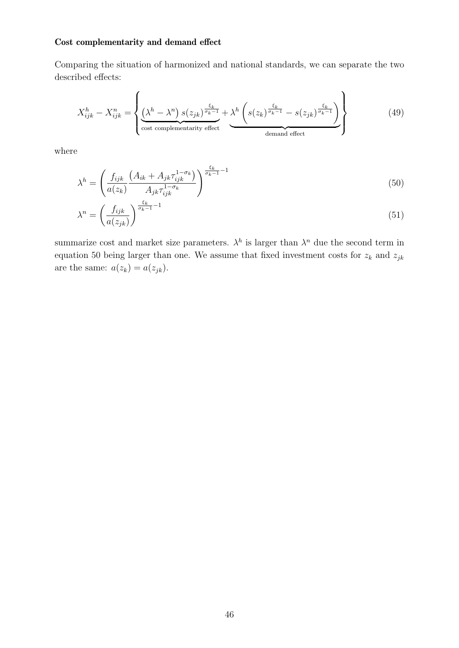# Cost complementarity and demand effect

Comparing the situation of harmonized and national standards, we can separate the two described effects:

$$
X_{ijk}^{h} - X_{ijk}^{n} = \left\{ \underbrace{\left(\lambda^{h} - \lambda^{n}\right) s(z_{jk})^{\frac{\xi_{k}}{\sigma_{k}-1}}}_{\text{cost complementarity effect}} + \underbrace{\lambda^{h}\left(s(z_{k})^{\frac{\xi_{k}}{\sigma_{k}-1}} - s(z_{jk})^{\frac{\xi_{k}}{\sigma_{k}-1}}\right)}_{\text{demand effect}} \right\}
$$
(49)

where

<span id="page-46-0"></span>
$$
\lambda^{h} = \left(\frac{f_{ijk}}{a(z_k)} \frac{(A_{ik} + A_{jk} \tau_{ijk}^{1-\sigma_k})}{A_{jk} \tau_{ijk}^{1-\sigma_k}}\right)^{\frac{\xi_k}{\sigma_k - 1} - 1}
$$
(50)

$$
\lambda^n = \left(\frac{f_{ijk}}{a(z_{jk})}\right)^{\frac{\xi_k}{\sigma_k - 1} - 1} \tag{51}
$$

summarize cost and market size parameters.  $\lambda^h$  is larger than  $\lambda^n$  due the second term in equation [50](#page-46-0) being larger than one. We assume that fixed investment costs for  $z_k$  and  $z_{jk}$ are the same:  $a(z_k) = a(z_{jk})$ .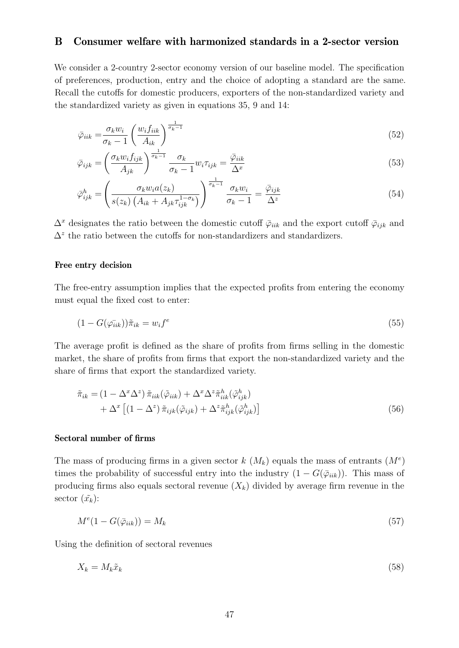# <span id="page-47-0"></span>B Consumer welfare with harmonized standards in a 2-sector version

We consider a 2-country 2-sector economy version of our baseline model. The specification of preferences, production, entry and the choice of adopting a standard are the same. Recall the cutoffs for domestic producers, exporters of the non-standardized variety and the standardized variety as given in equations [35,](#page-43-0) [9](#page-11-1) and [14:](#page-12-3)

<span id="page-47-2"></span>
$$
\bar{\varphi}_{iik} = \frac{\sigma_k w_i}{\sigma_k - 1} \left( \frac{w_i f_{iik}}{A_{ik}} \right)^{\frac{1}{\sigma_k - 1}}
$$
\n(52)

$$
\bar{\varphi}_{ijk} = \left(\frac{\sigma_k w_i f_{ijk}}{A_{jk}}\right)^{\frac{1}{\sigma_k - 1}} \frac{\sigma_k}{\sigma_k - 1} w_i \tau_{ijk} = \frac{\bar{\varphi}_{iik}}{\Delta^x}
$$
\n(53)

$$
\bar{\varphi}_{ijk}^{h} = \left(\frac{\sigma_k w_i a(z_k)}{s(z_k) \left(A_{ik} + A_{jk} \tau_{ijk}^{1-\sigma_k}\right)}\right)^{\frac{1}{\sigma_k - 1}} \frac{\sigma_k w_i}{\sigma_k - 1} = \frac{\bar{\varphi}_{ijk}}{\Delta^z} \tag{54}
$$

 $\Delta^x$  designates the ratio between the domestic cutoff  $\bar{\varphi}_{iik}$  and the export cutoff  $\bar{\varphi}_{ijk}$  and  $\Delta^z$  the ratio between the cutoffs for non-standardizers and standardizers.

## Free entry decision

The free-entry assumption implies that the expected profits from entering the economy must equal the fixed cost to enter:

$$
(1 - G(\varphi_{ijk}))\tilde{\pi}_{ik} = w_i f^e \tag{55}
$$

The average profit is defined as the share of profits from firms selling in the domestic market, the share of profits from firms that export the non-standardized variety and the share of firms that export the standardized variety.

<span id="page-47-1"></span>
$$
\tilde{\pi}_{ik} = (1 - \Delta^x \Delta^z) \tilde{\pi}_{iik} (\tilde{\varphi}_{iik}) + \Delta^x \Delta^z \tilde{\pi}_{iik}^h (\tilde{\varphi}_{ijk}^h) \n+ \Delta^x \left[ (1 - \Delta^z) \tilde{\pi}_{ijk} (\tilde{\varphi}_{ijk}) + \Delta^z \tilde{\pi}_{ijk}^h (\tilde{\varphi}_{ijk}^h) \right]
$$
\n(56)

## Sectoral number of firms

The mass of producing firms in a given sector  $k(M_k)$  equals the mass of entrants  $(M<sup>e</sup>)$ times the probability of successful entry into the industry  $(1 - G(\bar{\varphi}_{iik}))$ . This mass of producing firms also equals sectoral revenue  $(X_k)$  divided by average firm revenue in the sector  $(\tilde{x}_k)$ :

<span id="page-47-3"></span>
$$
M^{e}(1 - G(\bar{\varphi}_{ik})) = M_{k} \tag{57}
$$

Using the definition of sectoral revenues

$$
X_k = M_k \tilde{x}_k \tag{58}
$$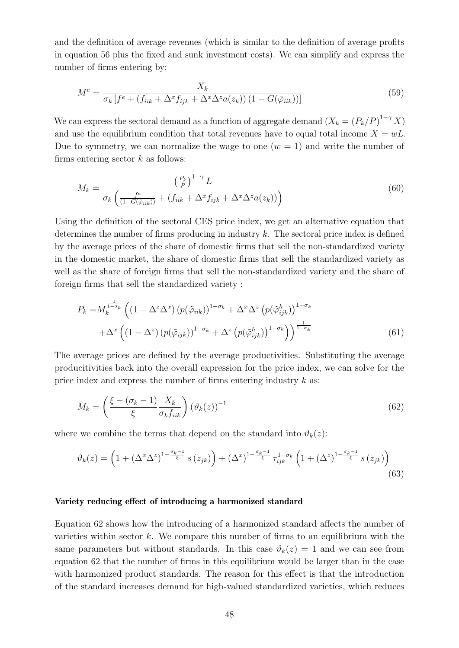and the definition of average revenues (which is similar to the definition of average profits in equation [56](#page-47-1) plus the fixed and sunk investment costs). We can simplify and express the number of firms entering by:

$$
M^{e} = \frac{X_{k}}{\sigma_{k}\left[f^{e} + \left(f_{iik} + \Delta^{x}f_{ijk} + \Delta^{x}\Delta^{z}a(z_{k})\right)\left(1 - G(\bar{\varphi}_{iik})\right)\right]}
$$
(59)

We can express the sectoral demand as a function of aggregate demand  $(X_k = (P_k/P)^{1-\gamma} X)$ and use the equilibrium condition that total revenues have to equal total income  $X = wL$ . Due to symmetry, we can normalize the wage to one  $(w = 1)$  and write the number of firms entering sector  $k$  as follows:

<span id="page-48-1"></span>
$$
M_k = \frac{\left(\frac{P_k}{P}\right)^{1-\gamma} L}{\sigma_k \left(\frac{f^e}{(1-G(\bar{\varphi}_{iik}))} + (f_{iik} + \Delta^x f_{ijk} + \Delta^x \Delta^z a(z_k))\right)}
$$
(60)

Using the definition of the sectoral CES price index, we get an alternative equation that determines the number of firms producing in industry  $k$ . The sectoral price index is defined by the average prices of the share of domestic firms that sell the non-standardized variety in the domestic market, the share of domestic firms that sell the standardized variety as well as the share of foreign firms that sell the non-standardized variety and the share of foreign firms that sell the standardized variety :

$$
P_k = M_k^{\frac{1}{1-\sigma_k}} \left( \left(1 - \Delta^z \Delta^x \right) \left( p(\tilde{\varphi}_{iik}) \right)^{1-\sigma_k} + \Delta^x \Delta^z \left( p(\tilde{\varphi}_{ijk}^h) \right)^{1-\sigma_k} + \Delta^x \left( \left(1 - \Delta^z \right) \left( p(\tilde{\varphi}_{ijk}) \right)^{1-\sigma_k} + \Delta^z \left( p(\tilde{\varphi}_{ijk}^h) \right)^{1-\sigma_k} \right) \right)^{\frac{1}{1-\sigma_k}}
$$
\n(61)

The average prices are defined by the average productivities. Substituting the average producitivities back into the overall expression for the price index, we can solve for the price index and express the number of firms entering industry  $k$  as:

<span id="page-48-0"></span>
$$
M_k = \left(\frac{\xi - (\sigma_k - 1)}{\xi} \frac{X_k}{\sigma_k f_{iik}}\right) (\vartheta_k(z))^{-1}
$$
(62)

where we combine the terms that depend on the standard into  $\vartheta_k(z)$ :

$$
\vartheta_k(z) = \left(1 + \left(\Delta^x \Delta^z\right)^{1 - \frac{\sigma_k - 1}{\xi}} s\left(z_{jk}\right)\right) + \left(\Delta^x\right)^{1 - \frac{\sigma_k - 1}{\xi}} \tau_{ijk}^{1 - \sigma_k} \left(1 + \left(\Delta^z\right)^{1 - \frac{\sigma_k - 1}{\xi}} s\left(z_{jk}\right)\right)
$$
\n(63)

## Variety reducing effect of introducing a harmonized standard

Equation [62](#page-48-0) shows how the introducing of a harmonized standard affects the number of varieties within sector  $k$ . We compare this number of firms to an equilibrium with the same parameters but without standards. In this case  $\vartheta_k(z) = 1$  and we can see from equation [62](#page-48-0) that the number of firms in this equilibrium would be larger than in the case with harmonized product standards. The reason for this effect is that the introduction of the standard increases demand for high-valued standardized varieties, which reduces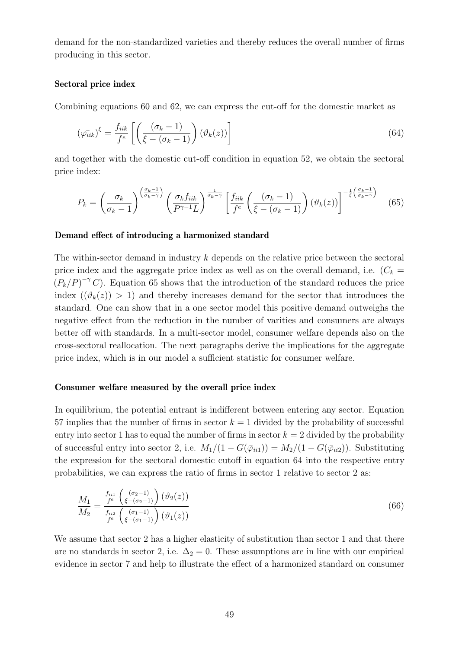demand for the non-standardized varieties and thereby reduces the overall number of firms producing in this sector.

## Sectoral price index

Combining equations [60](#page-48-1) and [62,](#page-48-0) we can express the cut-off for the domestic market as

<span id="page-49-1"></span>
$$
(\varphi_{iik}^{-})^{\xi} = \frac{f_{iik}}{f^e} \left[ \left( \frac{(\sigma_k - 1)}{\xi - (\sigma_k - 1)} \right) (\vartheta_k(z)) \right]
$$
\n(64)

and together with the domestic cut-off condition in equation [52,](#page-47-2) we obtain the sectoral price index:

<span id="page-49-0"></span>
$$
P_k = \left(\frac{\sigma_k}{\sigma_k - 1}\right)^{\left(\frac{\sigma_k - 1}{\sigma_k - \gamma}\right)} \left(\frac{\sigma_k f_{iik}}{P^{\gamma - 1} L}\right)^{\frac{1}{\sigma_k - \gamma}} \left[\frac{f_{iik}}{f^e} \left(\frac{(\sigma_k - 1)}{\xi - (\sigma_k - 1)}\right) \left(\vartheta_k(z)\right)\right]^{-\frac{1}{\xi} \left(\frac{\sigma_k - 1}{\sigma_k - \gamma}\right)}\tag{65}
$$

#### Demand effect of introducing a harmonized standard

The within-sector demand in industry k depends on the relative price between the sectoral price index and the aggregate price index as well as on the overall demand, i.e.  $(C_k =$  $(P_k/P)^{-\gamma} C$ ). Equation [65](#page-49-0) shows that the introduction of the standard reduces the price index  $((\vartheta_k(z)) > 1)$  and thereby increases demand for the sector that introduces the standard. One can show that in a one sector model this positive demand outweighs the negative effect from the reduction in the number of varities and consumers are always better off with standards. In a multi-sector model, consumer welfare depends also on the cross-sectoral reallocation. The next paragraphs derive the implications for the aggregate price index, which is in our model a sufficient statistic for consumer welfare.

#### Consumer welfare measured by the overall price index

In equilibrium, the potential entrant is indifferent between entering any sector. Equation [57](#page-47-3) implies that the number of firms in sector  $k = 1$  divided by the probability of successful entry into sector 1 has to equal the number of firms in sector  $k = 2$  divided by the probability of successful entry into sector 2, i.e.  $M_1/(1 - G(\bar{\varphi}_{ii1})) = M_2/(1 - G(\bar{\varphi}_{ii2}))$ . Substituting the expression for the sectoral domestic cutoff in equation [64](#page-49-1) into the respective entry probabilities, we can express the ratio of firms in sector 1 relative to sector 2 as:

$$
\frac{M_1}{M_2} = \frac{\frac{f_{ii1}}{f^e} \left(\frac{(\sigma_2 - 1)}{\xi - (\sigma_2 - 1)}\right) (\vartheta_2(z))}{\frac{f_{ii2}}{f^e} \left(\frac{(\sigma_1 - 1)}{\xi - (\sigma_1 - 1)}\right) (\vartheta_1(z))}
$$
\n(66)

We assume that sector 2 has a higher elasticity of substitution than sector 1 and that there are no standards in sector 2, i.e.  $\Delta_2 = 0$ . These assumptions are in line with our empirical evidence in sector 7 and help to illustrate the effect of a harmonized standard on consumer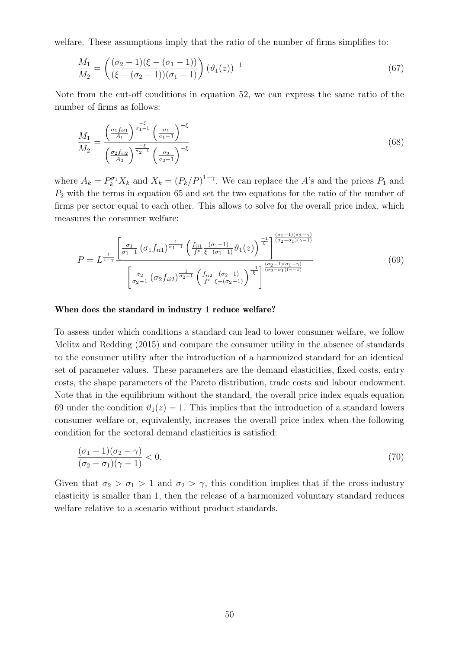welfare. These assumptions imply that the ratio of the number of firms simplifies to:

$$
\frac{M_1}{M_2} = \left(\frac{(\sigma_2 - 1)(\xi - (\sigma_1 - 1))}{(\xi - (\sigma_2 - 1))(\sigma_1 - 1)}\right) (\vartheta_1(z))^{-1}
$$
\n(67)

Note from the cut-off conditions in equation [52,](#page-47-2) we can express the same ratio of the number of firms as follows:

$$
\frac{M_1}{M_2} = \frac{\left(\frac{\sigma_1 f_{ii1}}{A_1}\right)^{\frac{-\xi}{\sigma_1 - 1}} \left(\frac{\sigma_1}{\sigma_1 - 1}\right)^{-\xi}}{\left(\frac{\sigma_2 f_{ii2}}{A_2}\right)^{\frac{-\xi}{\sigma_2 - 1}} \left(\frac{\sigma_2}{\sigma_2 - 1}\right)^{-\xi}}
$$
\n(68)

where  $A_k = P_k^{\sigma_1} X_k$  and  $X_k = (P_k/P)^{1-\gamma}$ . We can replace the A's and the prices  $P_1$  and  $P<sub>2</sub>$  with the terms in equation [65](#page-49-0) and set the two equations for the ratio of the number of firms per sector equal to each other. This allows to solve for the overall price index, which measures the consumer welfare:

<span id="page-50-0"></span>
$$
P = L^{\frac{1}{1-\gamma}} \frac{\left[\frac{\sigma_1}{\sigma_1 - 1} \left(\sigma_1 f_{ii1}\right)^{\frac{1}{\sigma_1 - 1}} \left(\frac{f_{ii1}}{f^{\epsilon}} \frac{(\sigma_1 - 1)}{\xi - (\sigma_1 - 1)} \vartheta_1(z)\right)^{\frac{-1}{\xi}}\right]^{\frac{(\sigma_1 - 1)(\sigma_2 - \gamma)}{(\sigma_2 - \sigma_1)(\gamma - 1)}}}{\left[\frac{\sigma_2}{\sigma_2 - 1} \left(\sigma_2 f_{ii2}\right)^{\frac{1}{\sigma_2 - 1}} \left(\frac{f_{ii2}}{f^{\epsilon}} \frac{(\sigma_2 - 1)}{\xi - (\sigma_2 - 1)}\right)^{\frac{-1}{\xi}}\right]^{\frac{(\sigma_2 - 1)(\sigma_1 - \gamma)}{(\sigma_2 - \sigma_1)(\gamma - 1)}}}
$$
(69)

#### When does the standard in industry 1 reduce welfare?

To assess under which conditions a standard can lead to lower consumer welfare, we follow [Melitz and Redding](#page-40-15) [\(2015\)](#page-40-15) and compare the consumer utility in the absence of standards to the consumer utility after the introduction of a harmonized standard for an identical set of parameter values. These parameters are the demand elasticities, fixed costs, entry costs, the shape parameters of the Pareto distribution, trade costs and labour endowment. Note that in the equilibrium without the standard, the overall price index equals equation [69](#page-50-0) under the condition  $\vartheta_1(z) = 1$ . This implies that the introduction of a standard lowers consumer welfare or, equivalently, increases the overall price index when the following condition for the sectoral demand elasticities is satisfied:

$$
\frac{(\sigma_1 - 1)(\sigma_2 - \gamma)}{(\sigma_2 - \sigma_1)(\gamma - 1)} < 0. \tag{70}
$$

Given that  $\sigma_2 > \sigma_1 > 1$  and  $\sigma_2 > \gamma$ , this condition implies that if the cross-industry elasticity is smaller than 1, then the release of a harmonized voluntary standard reduces welfare relative to a scenario without product standards.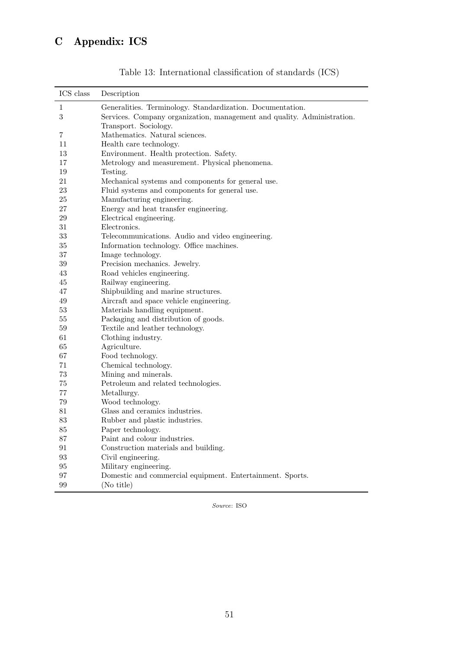<span id="page-51-0"></span>

| ICS class        | Description                                                             |
|------------------|-------------------------------------------------------------------------|
| $\mathbf{1}$     | Generalities. Terminology. Standardization. Documentation.              |
| $\boldsymbol{3}$ | Services. Company organization, management and quality. Administration. |
|                  | Transport. Sociology.                                                   |
| 7                | Mathematics. Natural sciences.                                          |
| 11               | Health care technology.                                                 |
| 13               | Environment. Health protection. Safety.                                 |
| 17               | Metrology and measurement. Physical phenomena.                          |
| 19               | Testing.                                                                |
| 21               | Mechanical systems and components for general use.                      |
| $23\,$           | Fluid systems and components for general use.                           |
| 25               | Manufacturing engineering.                                              |
| $27\,$           | Energy and heat transfer engineering.                                   |
| $\,29$           | Electrical engineering.                                                 |
| 31               | Electronics.                                                            |
| 33               | Telecommunications. Audio and video engineering.                        |
| 35               | Information technology. Office machines.                                |
| 37               | Image technology.                                                       |
| $39\,$           | Precision mechanics. Jewelry.                                           |
| $43\,$           | Road vehicles engineering.                                              |
| 45               | Railway engineering.                                                    |
| 47               | Shipbuilding and marine structures.                                     |
| $49\,$           | Aircraft and space vehicle engineering.                                 |
| $53\,$           | Materials handling equipment.                                           |
| $55\,$           | Packaging and distribution of goods.                                    |
| 59               | Textile and leather technology.                                         |
| 61               | Clothing industry.                                                      |
| 65               | Agriculture.                                                            |
| 67               | Food technology.                                                        |
| 71               | Chemical technology.                                                    |
| $73\,$           | Mining and minerals.                                                    |
| 75               | Petroleum and related technologies.                                     |
| 77               | Metallurgy.                                                             |
| 79               | Wood technology.                                                        |
| 81               | Glass and ceramics industries.                                          |
| 83               | Rubber and plastic industries.                                          |
| 85               | Paper technology.                                                       |
| 87               | Paint and colour industries.                                            |
| 91               | Construction materials and building.                                    |
| 93               | Civil engineering.                                                      |
| 95               | Military engineering.                                                   |
| 97               | Domestic and commercial equipment. Entertainment. Sports.               |
| 99               | (No title)                                                              |

Table 13: International classification of standards (ICS)

Source: ISO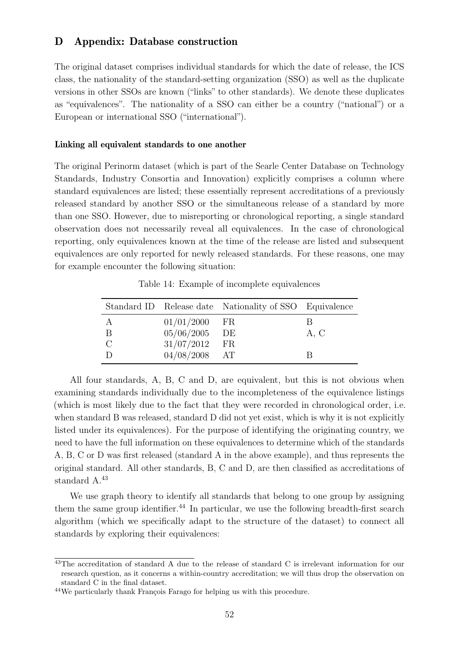# <span id="page-52-0"></span>D Appendix: Database construction

The original dataset comprises individual standards for which the date of release, the ICS class, the nationality of the standard-setting organization (SSO) as well as the duplicate versions in other SSOs are known ("links" to other standards). We denote these duplicates as "equivalences". The nationality of a SSO can either be a country ("national") or a European or international SSO ("international").

#### Linking all equivalent standards to one another

The original Perinorm dataset (which is part of the Searle Center Database on Technology Standards, Industry Consortia and Innovation) explicitly comprises a column where standard equivalences are listed; these essentially represent accreditations of a previously released standard by another SSO or the simultaneous release of a standard by more than one SSO. However, due to misreporting or chronological reporting, a single standard observation does not necessarily reveal all equivalences. In the case of chronological reporting, only equivalences known at the time of the release are listed and subsequent equivalences are only reported for newly released standards. For these reasons, one may for example encounter the following situation:

|   |                 | Standard ID Release date Nationality of SSO Equivalence |      |
|---|-----------------|---------------------------------------------------------|------|
| А | $01/01/2000$ FR |                                                         | R    |
| Β | 05/06/2005      | DE                                                      | A, C |
|   | 31/07/2012      | FR                                                      |      |
|   | $04/08/2008$ AT |                                                         |      |

Table 14: Example of incomplete equivalences

All four standards, A, B, C and D, are equivalent, but this is not obvious when examining standards individually due to the incompleteness of the equivalence listings (which is most likely due to the fact that they were recorded in chronological order, i.e. when standard B was released, standard D did not yet exist, which is why it is not explicitly listed under its equivalences). For the purpose of identifying the originating country, we need to have the full information on these equivalences to determine which of the standards A, B, C or D was first released (standard A in the above example), and thus represents the original standard. All other standards, B, C and D, are then classified as accreditations of standard A.<sup>[43](#page-52-1)</sup>

We use graph theory to identify all standards that belong to one group by assigning them the same group identifier. $^{44}$  $^{44}$  $^{44}$  In particular, we use the following breadth-first search algorithm (which we specifically adapt to the structure of the dataset) to connect all standards by exploring their equivalences:

<span id="page-52-1"></span><sup>&</sup>lt;sup>43</sup>The accreditation of standard A due to the release of standard C is irrelevant information for our research question, as it concerns a within-country accreditation; we will thus drop the observation on standard C in the final dataset.

<span id="page-52-2"></span> $44$ We particularly thank François Farago for helping us with this procedure.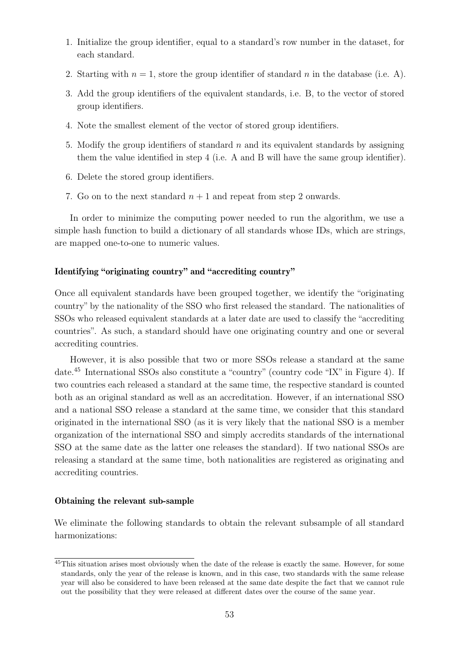- 1. Initialize the group identifier, equal to a standard's row number in the dataset, for each standard.
- 2. Starting with  $n = 1$ , store the group identifier of standard n in the database (i.e. A).
- 3. Add the group identifiers of the equivalent standards, i.e. B, to the vector of stored group identifiers.
- 4. Note the smallest element of the vector of stored group identifiers.
- 5. Modify the group identifiers of standard  $n$  and its equivalent standards by assigning them the value identified in step 4 (i.e. A and B will have the same group identifier).
- 6. Delete the stored group identifiers.
- 7. Go on to the next standard  $n+1$  and repeat from step 2 onwards.

In order to minimize the computing power needed to run the algorithm, we use a simple hash function to build a dictionary of all standards whose IDs, which are strings, are mapped one-to-one to numeric values.

# Identifying "originating country" and "accrediting country"

Once all equivalent standards have been grouped together, we identify the "originating country" by the nationality of the SSO who first released the standard. The nationalities of SSOs who released equivalent standards at a later date are used to classify the "accrediting countries". As such, a standard should have one originating country and one or several accrediting countries.

However, it is also possible that two or more SSOs release a standard at the same date.[45](#page-53-0) International SSOs also constitute a "country" (country code "IX" in Figure [4\)](#page-55-0). If two countries each released a standard at the same time, the respective standard is counted both as an original standard as well as an accreditation. However, if an international SSO and a national SSO release a standard at the same time, we consider that this standard originated in the international SSO (as it is very likely that the national SSO is a member organization of the international SSO and simply accredits standards of the international SSO at the same date as the latter one releases the standard). If two national SSOs are releasing a standard at the same time, both nationalities are registered as originating and accrediting countries.

# Obtaining the relevant sub-sample

We eliminate the following standards to obtain the relevant subsample of all standard harmonizations:

<span id="page-53-0"></span><sup>45</sup>This situation arises most obviously when the date of the release is exactly the same. However, for some standards, only the year of the release is known, and in this case, two standards with the same release year will also be considered to have been released at the same date despite the fact that we cannot rule out the possibility that they were released at different dates over the course of the same year.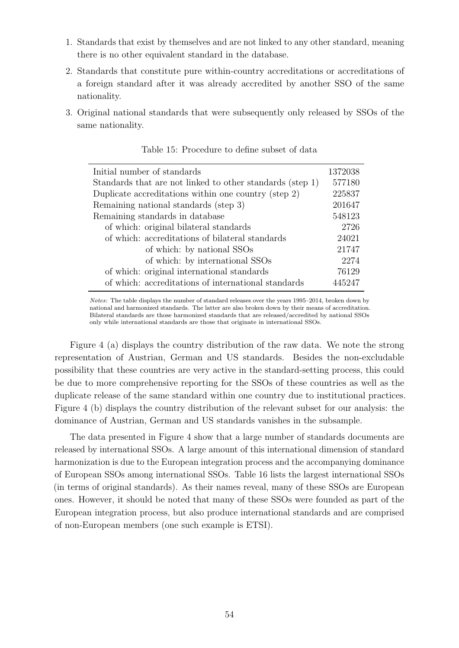- 1. Standards that exist by themselves and are not linked to any other standard, meaning there is no other equivalent standard in the database.
- 2. Standards that constitute pure within-country accreditations or accreditations of a foreign standard after it was already accredited by another SSO of the same nationality.
- 3. Original national standards that were subsequently only released by SSOs of the same nationality.

| Initial number of standards                               | 1372038 |
|-----------------------------------------------------------|---------|
| Standards that are not linked to other standards (step 1) | 577180  |
| Duplicate accreditations within one country (step 2)      | 225837  |
| Remaining national standards (step 3)                     | 201647  |
| Remaining standards in database                           | 548123  |
| of which: original bilateral standards                    | 2726    |
| of which: accreditations of bilateral standards           | 24021   |
| of which: by national SSOs                                | 21747   |
| of which: by international SSOs                           | 2274    |
| of which: original international standards                | 76129   |
| of which: accreditations of international standards       | 445247  |

Table 15: Procedure to define subset of data

Notes: The table displays the number of standard releases over the years 1995–2014, broken down by national and harmonized standards. The latter are also broken down by their means of accreditation. Bilateral standards are those harmonized standards that are released/accredited by national SSOs only while international standards are those that originate in international SSOs.

Figure [4](#page-55-0) (a) displays the country distribution of the raw data. We note the strong representation of Austrian, German and US standards. Besides the non-excludable possibility that these countries are very active in the standard-setting process, this could be due to more comprehensive reporting for the SSOs of these countries as well as the duplicate release of the same standard within one country due to institutional practices. Figure [4](#page-55-0) (b) displays the country distribution of the relevant subset for our analysis: the dominance of Austrian, German and US standards vanishes in the subsample.

The data presented in Figure [4](#page-55-0) show that a large number of standards documents are released by international SSOs. A large amount of this international dimension of standard harmonization is due to the European integration process and the accompanying dominance of European SSOs among international SSOs. Table [16](#page-56-0) lists the largest international SSOs (in terms of original standards). As their names reveal, many of these SSOs are European ones. However, it should be noted that many of these SSOs were founded as part of the European integration process, but also produce international standards and are comprised of non-European members (one such example is ETSI).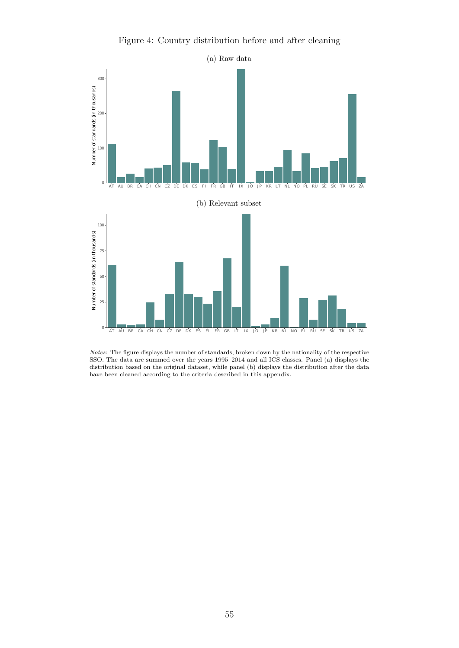

<span id="page-55-0"></span>

Notes: The figure displays the number of standards, broken down by the nationality of the respective SSO. The data are summed over the years 1995–2014 and all ICS classes. Panel (a) displays the distribution based on the original dataset, while panel (b) displays the distribution after the data have been cleaned according to the criteria described in this appendix.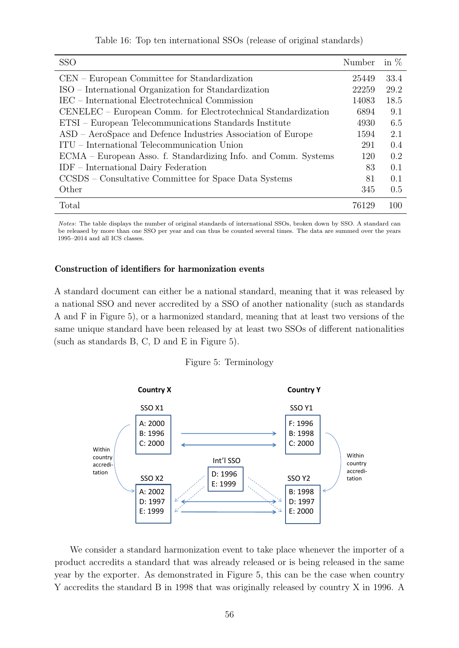Table 16: Top ten international SSOs (release of original standards)

<span id="page-56-0"></span>

| <b>SSO</b>                                                     | Number | in $%$ |
|----------------------------------------------------------------|--------|--------|
| CEN – European Committee for Standardization                   | 25449  | 33.4   |
| ISO – International Organization for Standardization           | 22259  | 29.2   |
| IEC – International Electrotechnical Commission                | 14083  | 18.5   |
| CENELEC – European Comm. for Electrotechnical Standardization  | 6894   | 9.1    |
| ETSI – European Telecommunications Standards Institute         | 4930   | 6.5    |
| ASD – AeroSpace and Defence Industries Association of Europe   | 1594   | 2.1    |
| ITU – International Telecommunication Union                    | 291    | 0.4    |
| ECMA – European Asso. f. Standardizing Info. and Comm. Systems | 120    | 0.2    |
| $IDF$ – International Dairy Federation                         | 83     | 0.1    |
| CCSDS – Consultative Committee for Space Data Systems          | 81     | 0.1    |
| Other                                                          | 345    | 0.5    |
| Total                                                          | 76129  | 100    |

Notes: The table displays the number of original standards of international SSOs, broken down by SSO. A standard can be released by more than one SSO per year and can thus be counted several times. The data are summed over the years 1995–2014 and all ICS classes.

## Construction of identifiers for harmonization events

A standard document can either be a national standard, meaning that it was released by a national SSO and never accredited by a SSO of another nationality (such as standards A and F in Figure [5\)](#page-56-1), or a harmonized standard, meaning that at least two versions of the same unique standard have been released by at least two SSOs of different nationalities (such as standards B, C, D and E in Figure [5\)](#page-56-1).

#### Figure 5: Terminology

<span id="page-56-1"></span>

We consider a standard harmonization event to take place whenever the importer of a product accredits a standard that was already released or is being released in the same year by the exporter. As demonstrated in Figure [5,](#page-56-1) this can be the case when country Y accredits the standard B in 1998 that was originally released by country X in 1996. A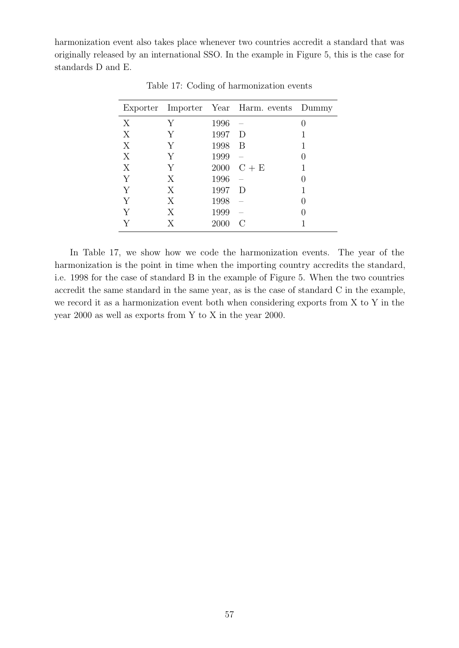<span id="page-57-0"></span>harmonization event also takes place whenever two countries accredit a standard that was originally released by an international SSO. In the example in Figure [5,](#page-56-1) this is the case for standards D and E.

|   |   |      | Exporter Importer Year Harm. events Dummy |  |
|---|---|------|-------------------------------------------|--|
| X | Y | 1996 |                                           |  |
| X | Y | 1997 | D                                         |  |
| X | Y | 1998 | B                                         |  |
| X | Y | 1999 |                                           |  |
| X | Y |      | 2000 $C + E$                              |  |
| Y | X | 1996 |                                           |  |
| Y | X | 1997 | D                                         |  |
| Y | Χ | 1998 |                                           |  |
| Y | X | 1999 |                                           |  |
|   | X | 2000 |                                           |  |

Table 17: Coding of harmonization events

In Table [17,](#page-57-0) we show how we code the harmonization events. The year of the harmonization is the point in time when the importing country accredits the standard, i.e. 1998 for the case of standard B in the example of Figure [5.](#page-56-1) When the two countries accredit the same standard in the same year, as is the case of standard C in the example, we record it as a harmonization event both when considering exports from X to Y in the year 2000 as well as exports from Y to X in the year 2000.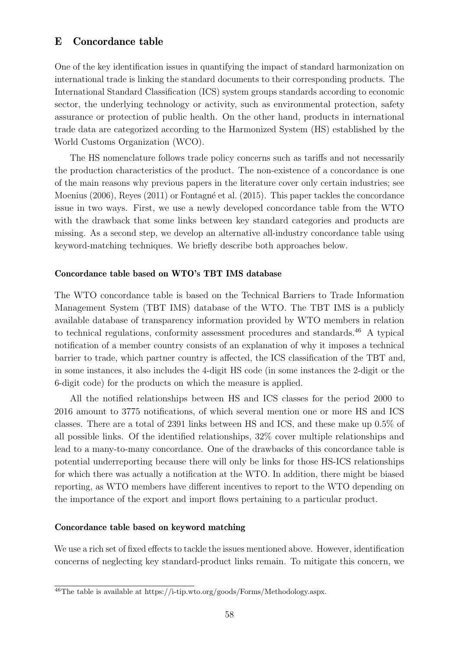# <span id="page-58-0"></span>E Concordance table

One of the key identification issues in quantifying the impact of standard harmonization on international trade is linking the standard documents to their corresponding products. The International Standard Classification (ICS) system groups standards according to economic sector, the underlying technology or activity, such as environmental protection, safety assurance or protection of public health. On the other hand, products in international trade data are categorized according to the Harmonized System (HS) established by the World Customs Organization (WCO).

The HS nomenclature follows trade policy concerns such as tariffs and not necessarily the production characteristics of the product. The non-existence of a concordance is one of the main reasons why previous papers in the literature cover only certain industries; see [Moenius](#page-40-16) [\(2006\)](#page-40-16), [Reyes](#page-40-8) [\(2011\)](#page-40-8) or Fontagné et al. [\(2015\)](#page-38-8). This paper tackles the concordance issue in two ways. First, we use a newly developed concordance table from the WTO with the drawback that some links between key standard categories and products are missing. As a second step, we develop an alternative all-industry concordance table using keyword-matching techniques. We briefly describe both approaches below.

# Concordance table based on WTO's TBT IMS database

The WTO concordance table is based on the Technical Barriers to Trade Information Management System (TBT IMS) database of the WTO. The TBT IMS is a publicly available database of transparency information provided by WTO members in relation to technical regulations, conformity assessment procedures and standards.<sup>[46](#page-58-1)</sup> A typical notification of a member country consists of an explanation of why it imposes a technical barrier to trade, which partner country is affected, the ICS classification of the TBT and, in some instances, it also includes the 4-digit HS code (in some instances the 2-digit or the 6-digit code) for the products on which the measure is applied.

All the notified relationships between HS and ICS classes for the period 2000 to 2016 amount to 3775 notifications, of which several mention one or more HS and ICS classes. There are a total of 2391 links between HS and ICS, and these make up 0.5% of all possible links. Of the identified relationships, 32% cover multiple relationships and lead to a many-to-many concordance. One of the drawbacks of this concordance table is potential underreporting because there will only be links for those HS-ICS relationships for which there was actually a notification at the WTO. In addition, there might be biased reporting, as WTO members have different incentives to report to the WTO depending on the importance of the export and import flows pertaining to a particular product.

## Concordance table based on keyword matching

We use a rich set of fixed effects to tackle the issues mentioned above. However, identification concerns of neglecting key standard-product links remain. To mitigate this concern, we

<span id="page-58-1"></span><sup>&</sup>lt;sup>46</sup>The table is available at [https://i-tip.wto.org/goods/Forms/Methodology.aspx.](https://i-tip.wto.org/goods/Forms/Methodology.aspx)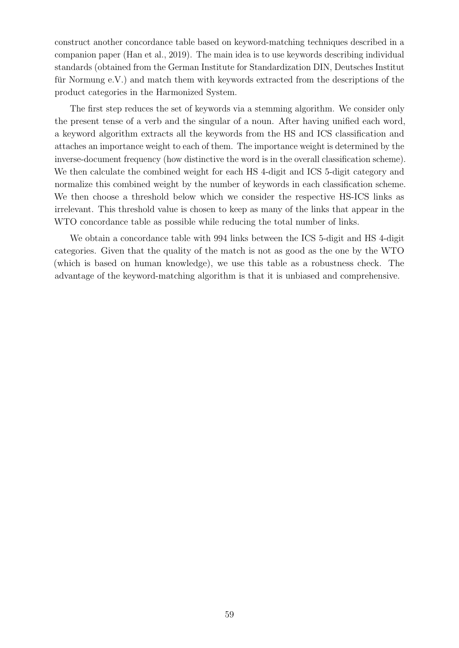construct another concordance table based on keyword-matching techniques described in a companion paper [\(Han et al.,](#page-38-15) [2019\)](#page-38-15). The main idea is to use keywords describing individual standards (obtained from the German Institute for Standardization DIN, Deutsches Institut für Normung  $e.V.$ ) and match them with keywords extracted from the descriptions of the product categories in the Harmonized System.

The first step reduces the set of keywords via a stemming algorithm. We consider only the present tense of a verb and the singular of a noun. After having unified each word, a keyword algorithm extracts all the keywords from the HS and ICS classification and attaches an importance weight to each of them. The importance weight is determined by the inverse-document frequency (how distinctive the word is in the overall classification scheme). We then calculate the combined weight for each HS 4-digit and ICS 5-digit category and normalize this combined weight by the number of keywords in each classification scheme. We then choose a threshold below which we consider the respective HS-ICS links as irrelevant. This threshold value is chosen to keep as many of the links that appear in the WTO concordance table as possible while reducing the total number of links.

We obtain a concordance table with 994 links between the ICS 5-digit and HS 4-digit categories. Given that the quality of the match is not as good as the one by the WTO (which is based on human knowledge), we use this table as a robustness check. The advantage of the keyword-matching algorithm is that it is unbiased and comprehensive.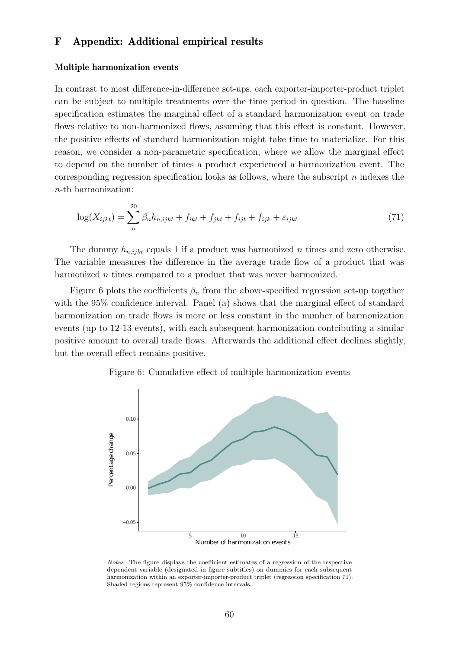# <span id="page-60-0"></span>F Appendix: Additional empirical results

#### Multiple harmonization events

In contrast to most difference-in-difference set-ups, each exporter-importer-product triplet can be subject to multiple treatments over the time period in question. The baseline specification estimates the marginal effect of a standard harmonization event on trade flows relative to non-harmonized flows, assuming that this effect is constant. However, the positive effects of standard harmonization might take time to materialize. For this reason, we consider a non-parametric specification, where we allow the marginal effect to depend on the number of times a product experienced a harmonization event. The corresponding regression specification looks as follows, where the subscript  $n$  indexes the n-th harmonization:

<span id="page-60-2"></span>
$$
\log(X_{ijkt}) = \sum_{n}^{20} \beta_n h_{n,ijkt} + f_{ikt} + f_{jkt} + f_{ijt} + f_{ijk} + \varepsilon_{ijkt}
$$
 (71)

The dummy  $h_{n,ijk}$  equals 1 if a product was harmonized n times and zero otherwise. The variable measures the difference in the average trade flow of a product that was harmonized *n* times compared to a product that was never harmonized.

Figure [6](#page-60-1) plots the coefficients  $\beta_n$  from the above-specified regression set-up together with the 95% confidence interval. Panel (a) shows that the marginal effect of standard harmonization on trade flows is more or less constant in the number of harmonization events (up to 12-13 events), with each subsequent harmonization contributing a similar positive amount to overall trade flows. Afterwards the additional effect declines slightly, but the overall effect remains positive.

## Figure 6: Cumulative effect of multiple harmonization events

<span id="page-60-1"></span>

Notes: The figure displays the coefficient estimates of a regression of the respective dependent variable (designated in figure subtitles) on dummies for each subsequent harmonization within an exporter-importer-product triplet (regression specification [71\)](#page-60-2). Shaded regions represent 95% confidence intervals.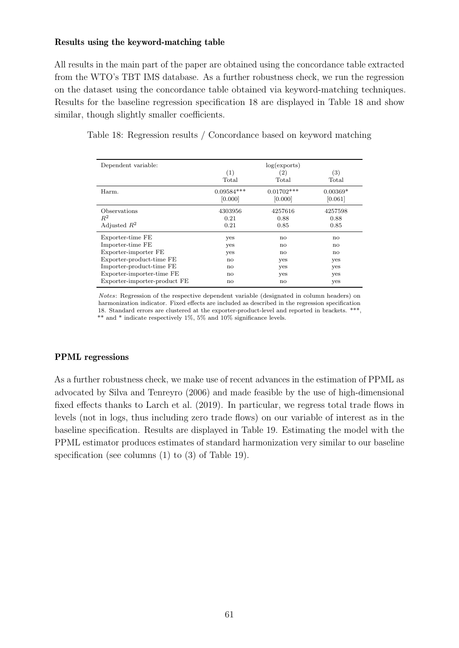## Results using the keyword-matching table

All results in the main part of the paper are obtained using the concordance table extracted from the WTO's TBT IMS database. As a further robustness check, we run the regression on the dataset using the concordance table obtained via keyword-matching techniques. Results for the baseline regression specification [18](#page-17-1) are displayed in Table [18](#page-61-0) and show similar, though slightly smaller coefficients.

<span id="page-61-0"></span>

|  | Table 18: Regression results / Concordance based on keyword matching |  |  |  |  |  |
|--|----------------------------------------------------------------------|--|--|--|--|--|
|  |                                                                      |  |  |  |  |  |

| Dependent variable:          | (1)<br>Total | log(exports)<br>(2)<br>Total | (3)<br>Total |
|------------------------------|--------------|------------------------------|--------------|
| Harm.                        | $0.09584***$ | $0.01702***$                 | $0.00369*$   |
|                              | [0.000]      | [0.000]                      | [0.061]      |
| Observations                 | 4303956      | 4257616                      | 4257598      |
| $R^2$                        | 0.21         | 0.88                         | 0.88         |
| Adjusted $R^2$               | 0.21         | 0.85                         | 0.85         |
| Exporter-time FE             | yes          | $\mathbf{n}$                 | no           |
| Importer-time FE             | yes          | $\mathbf{n}$                 | no           |
| Exporter-importer FE         | yes          | no                           | no           |
| Exporter-product-time FE     | no           | yes                          | yes          |
| Importer-product-time FE     | no           | yes                          | yes          |
| Exporter-importer-time FE    | no           | yes                          | yes          |
| Exporter-importer-product FE | $\mathbf{n}$ | $\mathbf{n}$                 | yes          |

Notes: Regression of the respective dependent variable (designated in column headers) on harmonization indicator. Fixed effects are included as described in the regression specification [18.](#page-17-1) Standard errors are clustered at the exporter-product-level and reported in brackets. \*\*\*, \*\* and \* indicate respectively 1%, 5% and 10% significance levels.

# PPML regressions

As a further robustness check, we make use of recent advances in the estimation of PPML as advocated by [Silva and Tenreyro](#page-40-17) [\(2006\)](#page-40-17) and made feasible by the use of high-dimensional fixed effects thanks to [Larch et al.](#page-39-16) [\(2019\)](#page-39-16). In particular, we regress total trade flows in levels (not in logs, thus including zero trade flows) on our variable of interest as in the baseline specification. Results are displayed in Table [19.](#page-62-0) Estimating the model with the PPML estimator produces estimates of standard harmonization very similar to our baseline specification (see columns (1) to (3) of Table [19\)](#page-62-0).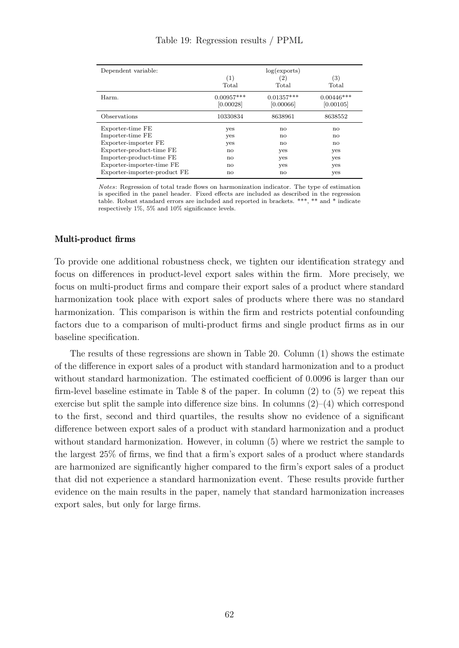<span id="page-62-0"></span>

| Dependent variable:          | log(exports) |              |              |  |  |
|------------------------------|--------------|--------------|--------------|--|--|
|                              | (1)          | (2)          | (3)          |  |  |
|                              | Total        | Total        | Total        |  |  |
| Harm.                        | $0.00957***$ | $0.01357***$ | $0.00446***$ |  |  |
|                              | [0.00028]    | [0.00066]    | [0.00105]    |  |  |
| Observations                 | 10330834     | 8638961      | 8638552      |  |  |
| Exporter-time FE             | yes          | no           | no           |  |  |
| Importer-time FE             | yes          | no           | no           |  |  |
| Exporter-importer FE         | yes          | no           | no           |  |  |
| Exporter-product-time FE     | no           | yes          | yes          |  |  |
| Importer-product-time FE     | $\mathbf{n}$ | yes          | yes          |  |  |
| Exporter-importer-time FE    | $\mathbf{n}$ | yes          | yes          |  |  |
| Exporter-importer-product FE | $\mathbf{n}$ | $\mathbf{n}$ | yes          |  |  |

Table 19: Regression results / PPML

Notes: Regression of total trade flows on harmonization indicator. The type of estimation is specified in the panel header. Fixed effects are included as described in the regression table. Robust standard errors are included and reported in brackets. \*\*\*, \*\* and \* indicate respectively 1%, 5% and 10% significance levels.

## Multi-product firms

To provide one additional robustness check, we tighten our identification strategy and focus on differences in product-level export sales within the firm. More precisely, we focus on multi-product firms and compare their export sales of a product where standard harmonization took place with export sales of products where there was no standard harmonization. This comparison is within the firm and restricts potential confounding factors due to a comparison of multi-product firms and single product firms as in our baseline specification.

The results of these regressions are shown in Table [20.](#page-63-0) Column (1) shows the estimate of the difference in export sales of a product with standard harmonization and to a product without standard harmonization. The estimated coefficient of 0.0096 is larger than our firm-level baseline estimate in Table [8](#page-30-0) of the paper. In column (2) to (5) we repeat this exercise but split the sample into difference size bins. In columns  $(2)-(4)$  which correspond to the first, second and third quartiles, the results show no evidence of a significant difference between export sales of a product with standard harmonization and a product without standard harmonization. However, in column  $(5)$  where we restrict the sample to the largest 25% of firms, we find that a firm's export sales of a product where standards are harmonized are significantly higher compared to the firm's export sales of a product that did not experience a standard harmonization event. These results provide further evidence on the main results in the paper, namely that standard harmonization increases export sales, but only for large firms.